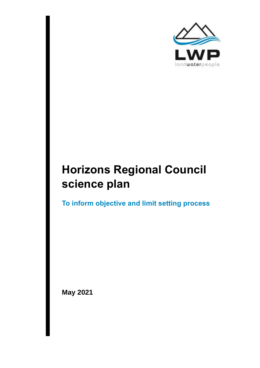

# **Horizons Regional Council science plan**

**To inform objective and limit setting process**

**May 2021**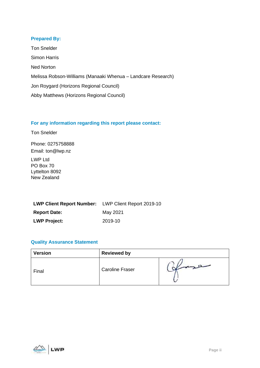#### **Prepared By:**

Ton Snelder Simon Harris Ned Norton Melissa Robson-Williams (Manaaki Whenua – Landcare Research) Jon Roygard (Horizons Regional Council) Abby Matthews (Horizons Regional Council)

#### **For any information regarding this report please contact:**

Ton Snelder

Phone: 0275758888 Email: ton@lwp.nz

LWP Ltd PO Box 70 Lyttelton 8092 New Zealand

| <b>LWP Client Report Number:</b> LWP Client Report 2019-10 |          |
|------------------------------------------------------------|----------|
| <b>Report Date:</b>                                        | May 2021 |
| <b>LWP Project:</b>                                        | 2019-10  |

#### **Quality Assurance Statement**

| <b>Version</b> | <b>Reviewed by</b>     |  |
|----------------|------------------------|--|
| Final          | <b>Caroline Fraser</b> |  |

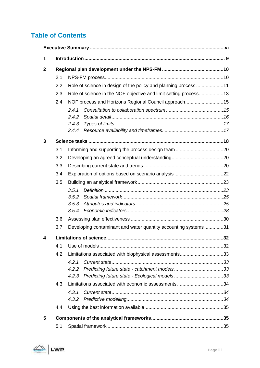# **Table of Contents**

| 1            |     |                                                                  |  |  |
|--------------|-----|------------------------------------------------------------------|--|--|
| $\mathbf{2}$ |     |                                                                  |  |  |
|              | 2.1 |                                                                  |  |  |
|              | 2.2 | Role of science in design of the policy and planning process11   |  |  |
|              | 2.3 | Role of science in the NOF objective and limit setting process13 |  |  |
|              | 2.4 | NOF process and Horizons Regional Council approach15             |  |  |
|              |     | 2.4.1                                                            |  |  |
|              |     | 2.4.2                                                            |  |  |
|              |     | 2.4.3                                                            |  |  |
|              |     | 2.4.4                                                            |  |  |
| 3            |     |                                                                  |  |  |
|              | 3.1 |                                                                  |  |  |
|              | 3.2 |                                                                  |  |  |
|              | 3.3 |                                                                  |  |  |
|              | 3.4 |                                                                  |  |  |
|              | 3.5 |                                                                  |  |  |
|              |     | 3.5.1                                                            |  |  |
|              |     | 3.5.2                                                            |  |  |
|              |     | 3.5.3                                                            |  |  |
|              |     | 3.5.4                                                            |  |  |
|              | 3.6 |                                                                  |  |  |
|              | 3.7 | Developing contaminant and water quantity accounting systems31   |  |  |
| 4            |     |                                                                  |  |  |
|              | 4.1 |                                                                  |  |  |
|              | 4.2 | Limitations associated with biophysical assessments33            |  |  |
|              |     | 4.2.1                                                            |  |  |
|              |     | 4.2.2                                                            |  |  |
|              |     |                                                                  |  |  |
|              | 4.3 | Limitations associated with economic assessments34               |  |  |
|              |     | 4.3.1                                                            |  |  |
|              |     |                                                                  |  |  |
|              | 4.4 |                                                                  |  |  |
| 5            |     |                                                                  |  |  |
|              | 5.1 |                                                                  |  |  |

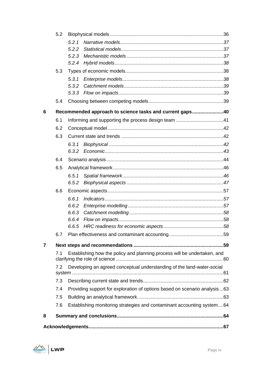|   | 5.2 |                                                                           |  |
|---|-----|---------------------------------------------------------------------------|--|
|   |     | 5.2.1                                                                     |  |
|   |     | 5.2.2                                                                     |  |
|   |     | 5.2.3                                                                     |  |
|   |     | 5.2.4                                                                     |  |
|   | 5.3 |                                                                           |  |
|   |     | 5.3.1                                                                     |  |
|   |     | 5.3.2                                                                     |  |
|   |     | 5.3.3                                                                     |  |
|   | 5.4 |                                                                           |  |
| 6 |     | Recommended approach to science tasks and current gaps40                  |  |
|   | 6.1 |                                                                           |  |
|   | 6.2 |                                                                           |  |
|   | 6.3 |                                                                           |  |
|   |     | 6, 3, 1                                                                   |  |
|   |     | 6.3.2                                                                     |  |
|   | 6.4 |                                                                           |  |
|   | 6.5 |                                                                           |  |
|   |     | 6.5.1                                                                     |  |
|   |     | 6.5.2                                                                     |  |
|   | 6.6 |                                                                           |  |
|   |     | 6.6.1                                                                     |  |
|   |     | 6.6.2                                                                     |  |
|   |     | 6.6.3                                                                     |  |
|   |     | 6.6.4                                                                     |  |
|   |     | 6.6.5                                                                     |  |
|   | 6.7 |                                                                           |  |
| 7 |     |                                                                           |  |
|   | 7.1 | Establishing how the policy and planning process will be undertaken, and  |  |
|   | 7.2 | Developing an agreed conceptual understanding of the land-water-social    |  |
|   | 7.3 |                                                                           |  |
|   | 7.4 | Providing support for exploration of options based on scenario analysis63 |  |
|   | 7.5 |                                                                           |  |
|   | 7.6 | Establishing monitoring strategies and contaminant accounting system64    |  |
| 8 |     |                                                                           |  |
|   |     |                                                                           |  |
|   |     |                                                                           |  |

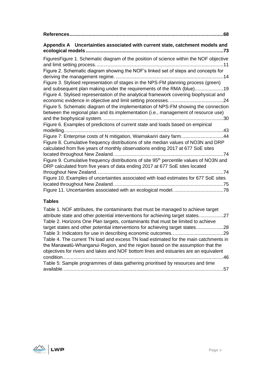| Appendix A Uncertainties associated with current state, catchment models and                                                                                                                                                                                                                                                                                                                                                                                                                                                              |
|-------------------------------------------------------------------------------------------------------------------------------------------------------------------------------------------------------------------------------------------------------------------------------------------------------------------------------------------------------------------------------------------------------------------------------------------------------------------------------------------------------------------------------------------|
| FiguresFigure 1. Schematic diagram of the position of science within the NOF objective<br>Figure 2. Schematic diagram showing the NOF's linked set of steps and concepts for<br>Figure 3. Stylised representation of stages in the NPS-FM planning process (green)<br>Figure 4. Stylised representation of the analytical framework covering biophysical and<br>Figure 5. Schematic diagram of the implementation of NPS-FM showing the connection<br>between the regional plan and its implementation (i.e., management of resource use) |
|                                                                                                                                                                                                                                                                                                                                                                                                                                                                                                                                           |
| Figure 6. Examples of predictions of current state and loads based on empirical                                                                                                                                                                                                                                                                                                                                                                                                                                                           |
| Figure 7: Enterprise costs of N mitigation, Waimakariri dairy farm44<br>Figure 8. Cumulative frequency distributions of site median values of NO3N and DRP<br>calculated from five years of monthly observations ending 2017 at 677 SoE sites                                                                                                                                                                                                                                                                                             |
|                                                                                                                                                                                                                                                                                                                                                                                                                                                                                                                                           |
| Figure 9. Cumulative frequency distributions of site 95 <sup>th</sup> percentile values of NO3N and<br>DRP calculated from five years of data ending 2017 at 677 SoE sites located                                                                                                                                                                                                                                                                                                                                                        |
|                                                                                                                                                                                                                                                                                                                                                                                                                                                                                                                                           |
| Figure 10. Examples of uncertainties associated with load estimates for 677 SoE sites                                                                                                                                                                                                                                                                                                                                                                                                                                                     |
|                                                                                                                                                                                                                                                                                                                                                                                                                                                                                                                                           |
|                                                                                                                                                                                                                                                                                                                                                                                                                                                                                                                                           |

# **Tables**

| Table 1. NOF attributes, the contaminants that must be managed to achieve target     |  |
|--------------------------------------------------------------------------------------|--|
| attribute state and other potential interventions for achieving target states27      |  |
| Table 2. Horizons One Plan targets, contaminants that must be limited to achieve     |  |
| target states and other potential interventions for achieving target states28        |  |
|                                                                                      |  |
| Table 4. The current TN load and excess TN load estimated for the main catchments in |  |
| the Manawatū-Whanganui Region, and the region based on the assumption that the       |  |
| objectives for rivers and lakes and NOF bottom lines and estuaries are an equivalent |  |
|                                                                                      |  |
| Table 5: Sample programmes of data gathering prioritised by resources and time       |  |
|                                                                                      |  |

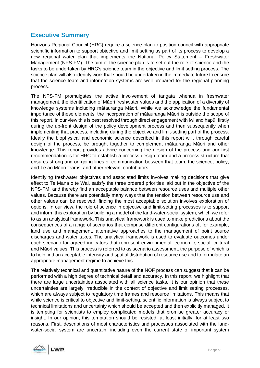# <span id="page-5-0"></span>**Executive Summary**

Horizons Regional Council (HRC) require a science plan to position council with appropriate scientific information to support objective and limit setting as part of its process to develop a new regional water plan that implements the National Policy Statement – Freshwater Management (NPS-FM). The aim of the science plan is to set out the role of science and the tasks to be undertaken by HRC's science team in the objective and limit setting process. The science plan will also identify work that should be undertaken in the immediate future to ensure that the science team and information systems are well prepared for the regional planning process.

The NPS-FM promulgates the active involvement of tangata whenua in freshwater management, the identification of Māori freshwater values and the application of a diversity of knowledge systems including mātauranga Māori. While we acknowledge the fundamental importance of these elements, the incorporation of mātauranga Māori is outside the scope of this report. In our view this is best resolved through direct engagement with iwi and hapū, firstly during the up-front design of the policy development process and then subsequently when implementing that process, including during the objective and limit-setting part of the process. Ideally the biophysical and economic science described in this report will, through careful design of the process, be brought together to complement mātauranga Māori and other knowledge. This report provides advice concerning the design of the process and our first recommendation is for HRC to establish a process design team and a process structure that ensures strong and on-going lines of communication between that team, the science, policy, and Te ao Māori teams, and other relevant contributors.

Identifying freshwater objectives and associated limits involves making decisions that give effect to Te Mana o te Wai, satisfy the three ordered priorities laid out in the objective of the NPS-FM, and thereby find an acceptable balance between resource uses and multiple other values. Because there are potentially many ways that the tension between resource use and other values can be resolved, finding the most acceptable solution involves exploration of options. In our view, the role of science in objective and limit-setting processes is to support and inform this exploration by building a model of the land-water-social system, which we refer to as an analytical framework. This analytical framework is used to make predictions about the consequences of a range of scenarios that comprise different configurations of, for example, land use and management, alternative approaches to the management of point source discharges and water takes. The analytical framework is used to evaluate outcomes under each scenario for agreed indicators that represent environmental, economic, social, cultural and Māori values. This process is referred to as scenario assessment, the purpose of which is to help find an acceptable intensity and spatial distribution of resource use and to formulate an appropriate management regime to achieve this.

The relatively technical and quantitative nature of the NOF process can suggest that it can be performed with a high degree of technical detail and accuracy. In this report, we highlight that there are large uncertainties associated with all science tasks. It is our opinion that these uncertainties are largely irreducible in the context of objective and limit setting processes, which are always subject to regulatory time frames and resource limitations. This means that while science is critical to objective and limit-setting, scientific information is always subject to technical limitations and uncertainty which should be accepted and then explicitly managed. It is tempting for scientists to employ complicated models that promise greater accuracy or insight. In our opinion, this temptation should be resisted, at least initially, for at least two reasons. First, descriptions of most characteristics and processes associated with the landwater-social system are uncertain, including even the current state of important system

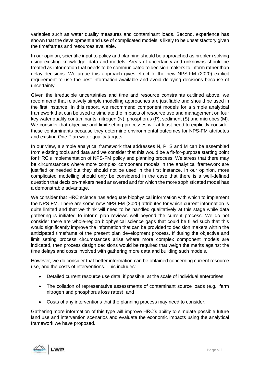variables such as water quality measures and contaminant loads. Second, experience has shown that the development and use of complicated models is likely to be unsatisfactory given the timeframes and resources available.

In our opinion, scientific input to policy and planning should be approached as problem solving using existing knowledge, data and models. Areas of uncertainty and unknowns should be treated as information that needs to be communicated to decision makers to inform rather than delay decisions. We argue this approach gives effect to the new NPS-FM (2020) explicit requirement to use the best information available and avoid delaying decisions because of uncertainty.

Given the irreducible uncertainties and time and resource constraints outlined above, we recommend that relatively simple modelling approaches are justifiable and should be used in the first instance. In this report, we recommend component models for a simple analytical framework that can be used to simulate the impacts of resource use and management on four key water quality contaminants: nitrogen (N), phosphorus (P), sediment (S) and microbes (M). We consider that objective and limit setting processes will at least need to explicitly consider these contaminants because they determine environmental outcomes for NPS-FM attributes and existing One Plan water quality targets.

In our view, a simple analytical framework that addresses N, P, S and M can be assembled from existing tools and data and we consider that this would be a fit-for-purpose starting point for HRC's implementation of NPS-FM policy and planning process. We stress that there may be circumstances where more complex component models in the analytical framework are justified or needed but they should not be used in the first instance. In our opinion, more complicated modelling should only be considered in the case that there is a well-defined question that decision-makers need answered and for which the more sophisticated model has a demonstrable advantage.

We consider that HRC science has adequate biophysical information with which to implement the NPS-FM. There are some new NPS-FM (2020) attributes for which current information is quite limited and that we think will need to be handled qualitatively at this stage while data gathering is initiated to inform plan reviews well beyond the current process. We do not consider there are whole-region biophysical science gaps that could be filled such that this would significantly improve the information that can be provided to decision makers within the anticipated timeframe of the present plan development process. If during the objective and limit setting process circumstances arise where more complex component models are indicated, then process design decisions would be required that weigh the merits against the time delays and costs involved with gathering more data and building such models.

However, we do consider that better information can be obtained concerning current resource use, and the costs of interventions. This includes:

- Detailed current resource use data, if possible, at the scale of individual enterprises;
- The collation of representative assessments of contaminant source loads (e.g., farm nitrogen and phosphorus loss rates); and
- Costs of any interventions that the planning process may need to consider.

Gathering more information of this type will improve HRC's ability to simulate possible future land use and intervention scenarios and evaluate the economic impacts using the analytical framework we have proposed.

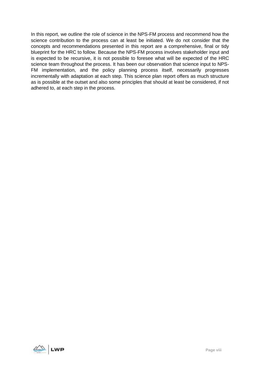In this report, we outline the role of science in the NPS-FM process and recommend how the science contribution to the process can at least be initiated. We do not consider that the concepts and recommendations presented in this report are a comprehensive, final or tidy blueprint for the HRC to follow. Because the NPS-FM process involves stakeholder input and is expected to be recursive, it is not possible to foresee what will be expected of the HRC science team throughout the process. It has been our observation that science input to NPS-FM implementation, and the policy planning process itself, necessarily progresses incrementally with adaptation at each step. This science plan report offers as much structure as is possible at the outset and also some principles that should at least be considered, if not adhered to, at each step in the process.

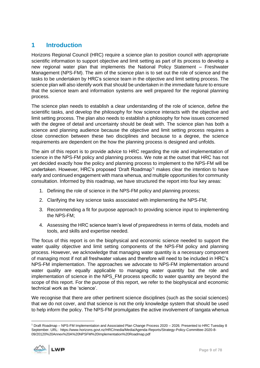# <span id="page-8-0"></span>**1 Introduction**

Horizons Regional Council (HRC) require a science plan to position council with appropriate scientific information to support objective and limit setting as part of its process to develop a new regional water plan that implements the National Policy Statement – Freshwater Management (NPS-FM). The aim of the science plan is to set out the role of science and the tasks to be undertaken by HRC's science team in the objective and limit setting process. The science plan will also identify work that should be undertaken in the immediate future to ensure that the science team and information systems are well prepared for the regional planning process.

The science plan needs to establish a clear understanding of the role of science, define the scientific tasks, and develop the philosophy for how science interacts with the objective and limit setting process. The plan also needs to establish a philosophy for how issues concerned with the degree of detail and uncertainty should be dealt with. The science plan has both a science and planning audience because the objective and limit setting process requires a close connection between these two disciplines and because to a degree, the science requirements are dependent on the how the planning process is designed and unfolds.

The aim of this report is to provide advice to HRC regarding the role and implementation of science in the NPS-FM policy and planning process. We note at the outset that HRC has not yet decided exactly how the policy and planning process to implement to the NPS-FM will be undertaken. However, HRC's proposed 'Draft Roadmap'<sup>1</sup> makes clear the intention to have early and continued engagement with mana whenua, and multiple opportunities for community consultation. Informed by this roadmap, we have structured the report into four key areas:

- 1. Defining the role of science in the NPS-FM policy and planning process;
- 2. Clarifying the key science tasks associated with implementing the NPS-FM;
- 3. Recommending a fit for purpose approach to providing science input to implementing the NPS-FM;
- 4. Assessing the HRC science team's level of preparedness in terms of data, models and tools, and skills and expertise needed.

The focus of this report is on the biophysical and economic science needed to support the water quality objective and limit setting components of the NPS-FM policy and planning process. However, we acknowledge that managing water quantity is a necessary component of managing most if not all freshwater values and therefore will need to be included in HRC's NPS-FM implementation. The approaches we advocate to NPS-FM implementation around water quality are equally applicable to managing water quantity but the role and implementation of science in the NPS\_FM process specific to water quantity are beyond the scope of this report. For the purpose of this report, we refer to the biophysical and economic technical work as the 'science'.

We recognise that there are other pertinent science disciplines (such as the social sciences) that we do not cover, and that science is not the only knowledge system that should be used to help inform the policy. The NPS-FM promulgates the active involvement of tangata whenua

<sup>1</sup> Draft Roadmap – NPS-FM Implementation and Associated Plan Change Process 2020 – 2026. Presented to HRC Tuesday 8 September. URL: https://www.horizons.govt.nz/HRC/media/Media/Agenda-Reports/Strategy-Policy-Committee-2020-8- 09/20120%20Annex%20A%20NPSFM%20Implementation%20Roadmap.pdf

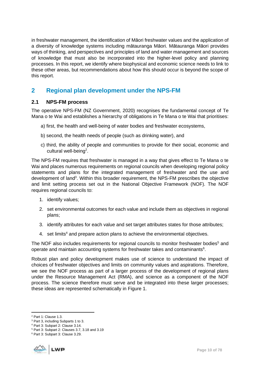in freshwater management, the identification of Māori freshwater values and the application of a diversity of knowledge systems including mātauranga Māori. Mātauranga Māori provides ways of thinking, and perspectives and principles of land and water management and sources of knowledge that must also be incorporated into the higher-level policy and planning processes. In this report, we identify where biophysical and economic science needs to link to these other areas, but recommendations about how this should occur is beyond the scope of this report.

# <span id="page-9-0"></span>**2 Regional plan development under the NPS-FM**

# <span id="page-9-1"></span>**2.1 NPS-FM process**

The operative NPS-FM (NZ Government, 2020) recognises the fundamental concept of Te Mana o te Wai and establishes a hierarchy of obligations in Te Mana o te Wai that prioritises:

- a) first, the health and well-being of water bodies and freshwater ecosystems,
- b) second, the health needs of people (such as drinking water), and
- c) third, the ability of people and communities to provide for their social, economic and cultural well-being<sup>2</sup>.

The NPS-FM requires that freshwater is managed in a way that gives effect to Te Mana o te Wai and places numerous requirements on regional councils when developing regional policy statements and plans for the integrated management of freshwater and the use and development of land<sup>3</sup>. Within this broader requirement, the NPS-FM prescribes the objective and limit setting process set out in the National Objective Framework (NOF). The NOF requires regional councils to:

- 1. identify values;
- 2. set environmental outcomes for each value and include them as objectives in regional plans;
- 3. identify attributes for each value and set target attributes states for those attributes;
- 4. set limits<sup>4</sup> and prepare action plans to achieve the environmental objectives.

The NOF also includes requirements for regional councils to monitor freshwater bodies<sup>5</sup> and operate and maintain accounting systems for freshwater takes and contaminants $6$ .

Robust plan and policy development makes use of science to understand the impact of choices of freshwater objectives and limits on community values and aspirations. Therefore, we see the NOF process as part of a larger process of the development of regional plans under the Resource Management Act (RMA), and science as a component of the NOF process. The science therefore must serve and be integrated into these larger processes; these ideas are represented schematically in [Figure 1.](#page-10-1)

<sup>6</sup> Part 3: Subpart 3: Clause 3.29.



<sup>2</sup> Part 1: Clause 1.3.

<sup>3</sup> Part 3, including Subparts 1 to 3.

<sup>4</sup> Part 3: Subpart 2: Clause 3.14.

<sup>5</sup> Part 3: Subpart 2: Clauses 3.7, 3.18 and 3.19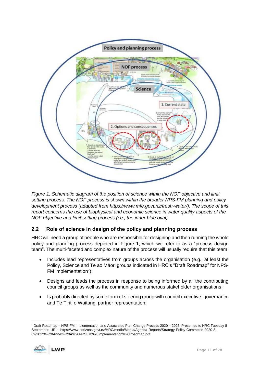

<span id="page-10-1"></span>*Figure 1. Schematic diagram of the position of science within the NOF objective and limit setting process. The NOF process is shown within the broader NPS-FM planning and policy development process (adapted from https://www.mfe.govt.nz/fresh-water/). The scope of this report concerns the use of biophysical and economic science in water quality aspects of the NOF objective and limit setting process (i.e., the inner blue oval).* 

# <span id="page-10-0"></span>**2.2 Role of science in design of the policy and planning process**

HRC will need a group of people who are responsible for designing and then running the whole policy and planning process depicted in [Figure 1,](#page-10-1) which we refer to as a "process design team". The multi-faceted and complex nature of the process will usually require that this team:

- Includes lead representatives from groups across the organisation (e.g., at least the Policy, Science and Te ao Māori groups indicated in HRC's "Draft Roadmap" for NPS-FM implementation<sup>7</sup>);
- Designs and leads the process in response to being informed by all the contributing council groups as well as the community and numerous stakeholder organisations;
- Is probably directed by some form of steering group with council executive, governance and Te Tiriti o Waitangi partner representation;

<sup>7</sup> Draft Roadmap – NPS-FM Implementation and Associated Plan Change Process 2020 – 2026. Presented to HRC Tuesday 8 September. URL: https://www.horizons.govt.nz/HRC/media/Media/Agenda-Reports/Strategy-Policy-Committee-2020-8- 09/20120%20Annex%20A%20NPSFM%20Implementation%20Roadmap.pdf

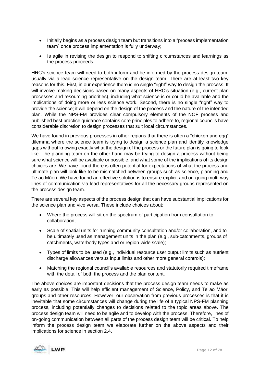- Initially begins as a process design team but transitions into a "process implementation team" once process implementation is fully underway;
- Is agile in revising the design to respond to shifting circumstances and learnings as the process proceeds.

HRC's science team will need to both inform and be informed by the process design team, usually via a lead science representative on the design team. There are at least two key reasons for this. First, in our experience there is no single "right" way to design the process. It will involve making decisions based on many aspects of HRC's situation (e.g., current plan processes and resourcing priorities), including what science is or could be available and the implications of doing more or less science work. Second, there is no single "right" way to provide the science; it will depend on the design of the process and the nature of the intended plan. While the NPS-FM provides clear compulsory elements of the NOF process and published best practice guidance contains core principles to adhere to, regional councils have considerable discretion to design processes that suit local circumstances.

We have found in previous processes in other regions that there is often a "chicken and egg" dilemma where the science team is trying to design a science plan and identify knowledge gaps without knowing exactly what the design of the process or the future plan is going to look like. The planning team on the other hand may be trying to design a process without being sure what science will be available or possible, and what some of the implications of its design choices are. We have found there is often potential for expectations of what the process and ultimate plan will look like to be mismatched between groups such as science, planning and Te ao Māori. We have found an effective solution is to ensure explicit and on-going multi-way lines of communication via lead representatives for all the necessary groups represented on the process design team.

There are several key aspects of the process design that can have substantial implications for the science plan and vice versa. These include choices about:

- Where the process will sit on the spectrum of participation from consultation to collaboration;
- Scale of spatial units for running community consultation and/or collaboration, and to be ultimately used as management units in the plan (e.g., sub-catchments, groups of catchments, waterbody types and or region-wide scale);
- Types of limits to be used (e.g., individual resource user output limits such as nutrient discharge allowances versus input limits and other more general controls);
- Matching the regional council's available resources and statutorily required timeframe with the detail of both the process and the plan content.

The above choices are important decisions that the process design team needs to make as early as possible. This will help efficient management of Science, Policy, and Te ao Māori groups and other resources. However, our observation from previous processes is that it is inevitable that some circumstances will change during the life of a typical NPS-FM planning process, including potentially changes to decisions related to the topic areas above. The process design team will need to be agile and to develop with the process. Therefore, lines of on-going communication between all parts of the process design team will be critical. To help inform the process design team we elaborate further on the above aspects and their implications for science in section [2.4.](#page-14-0)

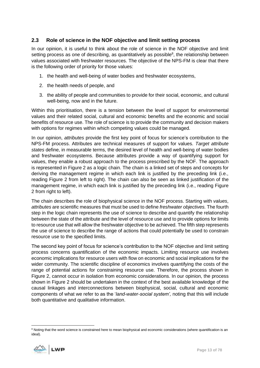# <span id="page-12-0"></span>**2.3 Role of science in the NOF objective and limit setting process**

In our opinion, it is useful to think about the role of science in the NOF objective and limit setting process as one of describing, as quantitatively as possible $8$ , the relationship between values associated with freshwater resources. The objective of the NPS-FM is clear that there is the following order of priority for those values:

- 1. the health and well-being of water bodies and freshwater ecosystems,
- 2. the health needs of people, and
- 3. the ability of people and communities to provide for their social, economic, and cultural well-being, now and in the future.

Within this prioritisation, there is a tension between the level of support for environmental values and their related social, cultural and economic benefits and the economic and social benefits of resource use. The role of science is to provide the community and decision makers with options for regimes within which competing values could be managed.

In our opinion, *attributes* provide the first key point of focus for science's contribution to the NPS-FM process. Attributes are technical measures of support for values. *Target attribute states* define, in measurable terms, the desired level of health and well-being of water bodies and freshwater ecosystems. Because attributes provide a way of quantifying support for values, they enable a robust approach to the process prescribed by the NOF. The approach is represented in [Figure 2](#page-13-0) as a logic chain. The chain is a linked set of steps and concepts for deriving the management regime in which each link is justified by the preceding link (i.e., reading [Figure 2](#page-13-0) from left to right). The chain can also be seen as linked justification of the management regime, in which each link is justified by the preceding link (i.e., reading [Figure](#page-13-0)  [2](#page-13-0) from right to left).

The chain describes the role of biophysical science in the NOF process. Starting with *values*, *attributes* are scientific measures that must be used to define *freshwater objectives.* The fourth step in the logic chain represents the use of science to describe and quantify the relationship between the state of the attribute and the level of resource use and to provide options for limits to resource use that will allow the freshwater objective to be achieved. The fifth step represents the use of science to describe the range of actions that could potentially be used to constrain resource use to the specified limits.

The second key point of focus for science's contribution to the NOF objective and limit setting process concerns quantification of the economic impacts. Limiting resource use involves economic implications for resource users with flow on economic and social implications for the wider community. The scientific discipline of economics involves quantifying the costs of the range of potential actions for constraining resource use. Therefore, the process shown in [Figure 2,](#page-13-0) cannot occur in isolation from economic considerations. In our opinion, the process shown in [Figure 2](#page-13-0) should be undertaken in the context of the best available knowledge of the causal linkages and interconnections between biophysical, social, cultural and economic components of what we refer to as the '*land-water-social system',* noting that this will include both quantitative and qualitative information.

<sup>&</sup>lt;sup>8</sup> Noting that the word science is constrained here to mean biophysical and economic considerations (where quantification is an ideal).

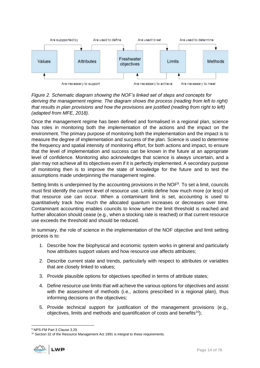

<span id="page-13-0"></span>*Figure 2. Schematic diagram showing the NOF's linked set of steps and concepts for deriving the management regime. The diagram shows the process (reading from left to right) that results in plan provisions and how the provisions are justified (reading from right to left) (adapted from MFE, 2018).* 

Once the management regime has been defined and formalised in a regional plan, science has roles in monitoring both the implementation of the actions and the impact on the environment. The primary purpose of monitoring both the implementation and the impact is to measure the degree of implementation and success of the plan. Science is used to determine the frequency and spatial intensity of monitoring effort, for both actions and impact, to ensure that the level of implementation and success can be known in the future at an appropriate level of confidence. Monitoring also acknowledges that science is always uncertain, and a plan may not achieve all its objectives even if it is perfectly implemented. A secondary purpose of monitoring then is to improve the state of knowledge for the future and to test the assumptions made underpinning the management regime.

Setting limits is underpinned by the accounting provisions in the NOF<sup>9</sup>. To set a limit, councils must first identify the current level of resource use. Limits define how much more (or less) of that resource use can occur. When a contaminant limit is set, accounting is used to quantitatively track how much the allocated quantum increases or decreases over time. Contaminant accounting enables councils to know when the limit threshold is reached and further allocation should cease (e.g., when a stocking rate is reached) or that current resource use exceeds the threshold and should be reduced.

In summary, the role of science in the implementation of the NOF objective and limit setting process is to:

- 1. Describe how the biophysical and economic system works in general and particularly how attributes support values and how resource use affects attributes;
- 2. Describe current state and trends, particularly with respect to attributes or variables that are closely linked to values;
- 3. Provide plausible options for objectives specified in terms of attribute states;
- 4. Define resource use limits that will achieve the various options for objectives and assist with the assessment of methods (i.e., actions prescribed in a regional plan), thus informing decisions on the objectives;
- 5. Provide technical support for justification of the management provisions (e.g., objectives, limits and methods and quantification of costs and benefits<sup>10</sup>);

<sup>&</sup>lt;sup>10</sup> Section 32 of the Resource Management Act 1991 is integral to these requirements.



<sup>9</sup> NPS-FM Part 3 Clause 3.29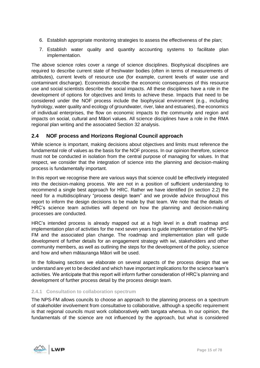- 6. Establish appropriate monitoring strategies to assess the effectiveness of the plan;
- 7. Establish water quality and quantity accounting systems to facilitate plan implementation.

The above science roles cover a range of science disciplines. Biophysical disciplines are required to describe current state of freshwater bodies (often in terms of measurements of attributes), current levels of resource use (for example, current levels of water use and contaminant discharge). Economists describe the economic consequences of this resource use and social scientists describe the social impacts. All these disciplines have a role in the development of options for objectives and limits to achieve these. Impacts that need to be considered under the NOF process include the biophysical environment (e.g., including hydrology, water quality and ecology of groundwater, river, lake and estuaries), the economics of individual enterprises, the flow on economic impacts to the community and region and impacts on social, cultural and Māori values. All science disciplines have a role in the RMA regional plan writing and the associated Section 32 analysis.

# <span id="page-14-0"></span>**2.4 NOF process and Horizons Regional Council approach**

While science is important, making decisions about objectives and limits must reference the fundamental role of values as the basis for the NOF process. In our opinion therefore, science must not be conducted in isolation from the central purpose of managing for values. In that respect, we consider that the integration of science into the planning and decision-making process is fundamentally important.

In this report we recognise there are various ways that science could be effectively integrated into the decision-making process. We are not in a position of sufficient understanding to recommend a single best approach for HRC. Rather we have identified (in section [2.2\)](#page-10-0) the need for a multidisciplinary "process design team" and we provide advice throughout this report to inform the design decisions to be made by that team. We note that the details of HRC's science team activities will depend on how the planning and decision-making processes are conducted.

HRC's intended process is already mapped out at a high level in a draft roadmap and implementation plan of activities for the next seven years to guide implementation of the NPS-FM and the associated plan change. The roadmap and implementation plan will guide development of further details for an engagement strategy with iwi, stakeholders and other community members, as well as outlining the steps for the development of the policy, science and how and when mātauranga Māori will be used.

In the following sections we elaborate on several aspects of the process design that we understand are yet to be decided and which have important implications for the science team's activities. We anticipate that this report will inform further consideration of HRC's planning and development of further process detail by the process design team.

#### <span id="page-14-1"></span>**2.4.1 Consultation to collaboration spectrum**

The NPS-FM allows councils to choose an approach to the planning process on a spectrum of stakeholder involvement from consultative to collaborative, although a specific requirement is that regional councils must work collaboratively with tangata whenua. In our opinion, the fundamentals of the science are not influenced by the approach, but what is considered

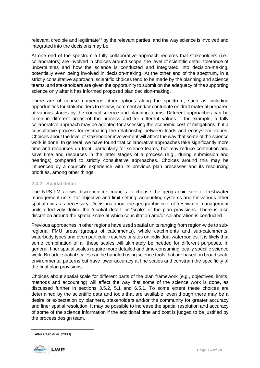relevant, credible and legitimate<sup>11</sup> by the relevant parties, and the way science is involved and integrated into the decisions may be.

At one end of the spectrum a fully collaborative approach requires that stakeholders (i.e., collaborators) are involved in choices around scope, the level of scientific detail, tolerance of uncertainties and how the science is conducted and integrated into decision-making, potentially even being involved in decision-making. At the other end of the spectrum, in a strictly consultative approach, scientific choices tend to be made by the planning and science teams, and stakeholders are given the opportunity to submit on the adequacy of the supporting science only after it has informed proposed plan decision-making.

There are of course numerous other options along the spectrum, such as including opportunities for stakeholders to review, comment and/or contribute on draft material prepared at various stages by the council science and planning teams. Different approaches can be taken in different areas of the process and for different values – for example, a fully collaborative approach may be adopted for assessing the economic cost of mitigations, but a consultative process for estimating the relationship between loads and ecosystem values. Choices about the level of stakeholder involvement will affect the way that some of the science work is done. In general, we have found that collaborative approaches take significantly more time and resources up front, particularly for science teams, but may reduce contention and save time and resources in the latter stages of a process (e.g., during submission and hearings) compared to strictly consultative approaches. Choices around this may be influenced by a council's experience with its previous plan processes and its resourcing priorities, among other things.

#### <span id="page-15-0"></span>**2.4.2 Spatial detail**

The NPS-FM allows discretion for councils to choose the geographic size of freshwater management units, for objective and limit setting, accounting systems and for various other spatial units, as necessary. Decisions about the geographic size of freshwater management units effectively define the "spatial detail" or "scale" of the plan provisions. There is also discretion around the spatial scale at which consultation and/or collaboration is conducted.

Previous approaches in other regions have used spatial units ranging from region-wide to subregional FMU areas (groups of catchments), whole catchments and sub-catchments, waterbody types and even particular reaches or sites on individual waterbodies. It is likely that some combination of all these scales will ultimately be needed for different purposes. In general, finer spatial scales require more detailed and time-consuming locally specific science work. Broader spatial scales can be handled using science tools that are based on broad scale environmental patterns but have lower accuracy at fine scales and constrain the specificity of the final plan provisions.

Choices about spatial scale for different parts of the plan framework (e.g., objectives, limits, methods and accounting) will affect the way that some of the science work is done, as discussed further in sections [3.5.2,](#page-24-0) [5.1](#page-34-2) and [6.5.1.](#page-45-1) To some extent these choices are determined by the scientific data and tools that are available, even though there may be a desire or expectation by planners, stakeholders and/or the community for greater accuracy and finer spatial resolution. It may be possible to increase the spatial resolution and accuracy of some of the science information if the additional time and cost is judged to be justified by the process design team.

<sup>11</sup> After Cash *et al. (*2003).

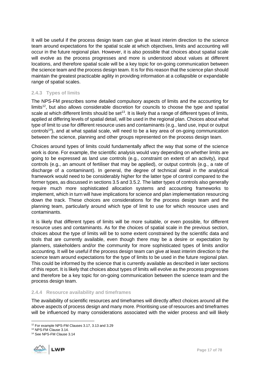It will be useful if the process design team can give at least interim direction to the science team around expectations for the spatial scale at which objectives, limits and accounting will occur in the future regional plan. However, it is also possible that choices about spatial scale will evolve as the process progresses and more is understood about values at different locations, and therefore spatial scale will be a key topic for on-going communication between the science team and the process design team. It is for this reason that the science plan should maintain the greatest practicable agility in providing information at a collapsible or expandable range of spatial scales.

# <span id="page-16-0"></span>**2.4.3 Types of limits**

The NPS-FM prescribes some detailed compulsory aspects of limits and the accounting for limits<sup>12</sup>, but also allows considerable discretion for councils to choose the type and spatial scale at which different limits should be set<sup>13</sup>. It is likely that a range of different types of limits, applied at differing levels of spatial detail, will be used in the regional plan. Choices about what type of limit to use for different resource uses and contaminants (e.g., land use, input or output controls<sup>14</sup>), and at what spatial scale, will need to be a key area of on-going communication between the science, planning and other groups represented on the process design team.

Choices around types of limits could fundamentally affect the way that some of the science work is done. For example, the scientific analysis would vary depending on whether limits are going to be expressed as land use controls (e.g., constraint on extent of an activity), input controls (e.g., an amount of fertiliser that may be applied), or output controls (e.g., a rate of discharge of a contaminant). In general, the degree of technical detail in the analytical framework would need to be considerably higher for the latter type of control compared to the former types, as discussed in section[s 3.5](#page-22-0) and [3.5.2.](#page-24-0) The latter types of controls also generally require much more sophisticated allocation systems and accounting frameworks to implement, which in turn will have implications for science and plan implementation resourcing down the track. These choices are considerations for the process design team and the planning team, particularly around which type of limit to use for which resource uses and contaminants.

It is likely that different types of limits will be more suitable, or even possible, for different resource uses and contaminants. As for the choices of spatial scale in the previous section, choices about the type of limits will be to some extent constrained by the scientific data and tools that are currently available, even though there may be a desire or expectation by planners, stakeholders and/or the community for more sophisticated types of limits and/or accounting. It will be useful if the process design team can give at least interim direction to the science team around expectations for the type of limits to be used in the future regional plan. This could be informed by the science that is currently available as described in later sections of this report. It is likely that choices about types of limits will evolve as the process progresses and therefore be a key topic for on-going communication between the science team and the process design team.

#### <span id="page-16-1"></span>**2.4.4 Resource availability and timeframes**

The availability of scientific resources and timeframes will directly affect choices around all the above aspects of process design and many more. Prioritising use of resources and timeframes will be influenced by many considerations associated with the wider process and will likely

<sup>14</sup> See NPS-FM Clause 3.14



<sup>12</sup> For example NPS-FM Clauses 3.17, 3.13 and 3.29

<sup>13</sup> NPS-FM Clause 3.14.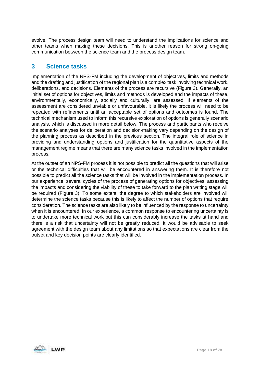evolve. The process design team will need to understand the implications for science and other teams when making these decisions. This is another reason for strong on-going communication between the science team and the process design team.

# <span id="page-17-0"></span>**3 Science tasks**

Implementation of the NPS-FM including the development of objectives, limits and methods and the drafting and justification of the regional plan is a complex task involving technical work, deliberations, and decisions. Elements of the process are recursive [\(Figure 3\)](#page-18-0). Generally, an initial set of options for objectives, limits and methods is developed and the impacts of these, environmentally, economically, socially and culturally, are assessed. If elements of the assessment are considered unviable or unfavourable, it is likely the process will need to be repeated with refinements until an acceptable set of options and outcomes is found. The technical mechanism used to inform this recursive exploration of options is generally scenario analysis, which is discussed in more detail below. The process and participants who receive the scenario analyses for deliberation and decision-making vary depending on the design of the planning process as described in the previous section. The integral role of science in providing and understanding options and justification for the quantitative aspects of the management regime means that there are many science tasks involved in the implementation process.

At the outset of an NPS-FM process it is not possible to predict all the questions that will arise or the technical difficulties that will be encountered in answering them. It is therefore not possible to predict all the science tasks that will be involved in the implementation process. In our experience, several cycles of the process of generating options for objectives, assessing the impacts and considering the viability of these to take forward to the plan writing stage will be required [\(Figure 3\)](#page-18-0). To some extent, the degree to which stakeholders are involved will determine the science tasks because this is likely to affect the number of options that require consideration. The science tasks are also likely to be influenced by the response to uncertainty when it is encountered. In our experience, a common response to encountering uncertainty is to undertake more technical work but this can considerably increase the tasks at hand and there is a risk that uncertainty will not be greatly reduced. It would be advisable to seek agreement with the design team about any limitations so that expectations are clear from the outset and key decision points are clearly identified.

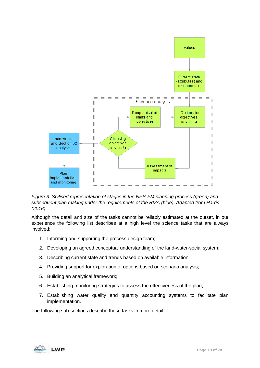

<span id="page-18-0"></span>*Figure 3. Stylised representation of stages in the NPS-FM planning process (green) and subsequent plan making under the requirements of the RMA (blue). Adapted from Harris (2016).*

Although the detail and size of the tasks cannot be reliably estimated at the outset, in our experience the following list describes at a high level the science tasks that are always involved:

- 1. Informing and supporting the process design team;
- 2. Developing an agreed conceptual understanding of the land-water-social system;
- 3. Describing current state and trends based on available information;
- 4. Providing support for exploration of options based on scenario analysis;
- 5. Building an analytical framework;
- 6. Establishing monitoring strategies to assess the effectiveness of the plan;
- 7. Establishing water quality and quantity accounting systems to facilitate plan implementation.

The following sub-sections describe these tasks in more detail.

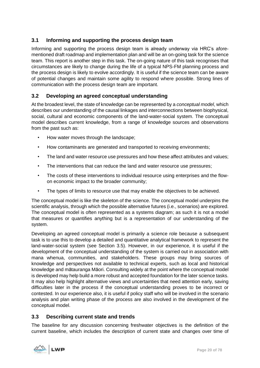# <span id="page-19-0"></span>**3.1 Informing and supporting the process design team**

Informing and supporting the process design team is already underway via HRC's aforementioned draft roadmap and implementation plan and will be an on-going task for the science team. This report is another step in this task. The on-going nature of this task recognises that circumstances are likely to change during the life of a typical NPS-FM planning process and the process design is likely to evolve accordingly. It is useful if the science team can be aware of potential changes and maintain some agility to respond where possible. Strong lines of communication with the process design team are important.

# <span id="page-19-1"></span>**3.2 Developing an agreed conceptual understanding**

At the broadest level, the state of knowledge can be represented by a *conceptual model*, which describes our understanding of the causal linkages and interconnections between biophysical, social, cultural and economic components of the land-water-social system. The conceptual model describes current knowledge, from a range of knowledge sources and observations from the past such as:

- How water moves through the landscape;
- How contaminants are generated and transported to receiving environments;
- The land and water resource use pressures and how these affect attributes and values;
- The interventions that can reduce the land and water resource use pressures;
- The costs of these interventions to individual resource using enterprises and the flowon economic impact to the broader community;
- The types of limits to resource use that may enable the objectives to be achieved.

The conceptual model is like the skeleton of the science. The conceptual model underpins the scientific analysis, through which the possible alternative futures (i.e., scenarios) are explored. The conceptual model is often represented as a systems diagram; as such it is not a model that measures or quantifies anything but is a representation of our understanding of the system.

Developing an agreed conceptual model is primarily a science role because a subsequent task is to use this to develop a detailed and quantitative analytical framework to represent the land-water-social system (see Section [3.5\)](#page-22-0). However, in our experience, it is useful if the development of the conceptual understanding of the system is carried out in association with mana whenua, communities, and stakeholders. These groups may bring sources of knowledge and perspectives not available to technical experts, such as local and historical knowledge and mātauranga Māori. Consulting widely at the point where the conceptual model is developed may help build a more robust and accepted foundation for the later science tasks. It may also help highlight alternative views and uncertainties that need attention early, saving difficulties later in the process if the conceptual understanding proves to be incorrect or contested. In our experience also, it is useful if policy staff who will be involved in the scenario analysis and plan writing phase of the process are also involved in the development of the conceptual model.

# <span id="page-19-2"></span>**3.3 Describing current state and trends**

The baseline for any discussion concerning freshwater objectives is the definition of the current baseline, which includes the description of current state and changes over time of

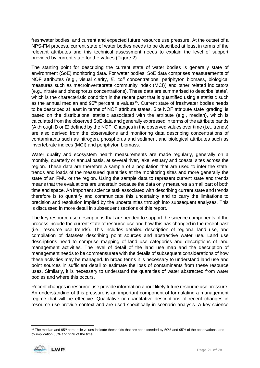freshwater bodies, and current and expected future resource use pressure. At the outset of a NPS-FM process, current state of water bodies needs to be described at least in terms of the relevant attributes and this technical assessment needs to explain the level of support provided by current state for the values [\(Figure 2\)](#page-13-0).

The starting point for describing the current state of water bodies is generally state of environment (SoE) monitoring data. For water bodies, SoE data comprises measurements of NOF attributes (e.g., visual clarity, *E. coli* concentrations, periphyton biomass, biological measures such as macroinvertebrate community index (MCI)) and other related indicators (e.g., nitrate and phosphorus concentrations). These data are summarised to describe 'state', which is the characteristic condition in the recent past that is quantified using a statistic such as the annual median and 95<sup>th</sup> percentile values<sup>15</sup>. Current state of freshwater bodies needs to be described at least in terms of NOF attribute states. Site NOF attribute state 'grading' is based on the distributional statistic associated with the attribute (e.g., median), which is calculated from the observed SoE data and generally expressed in terms of the attribute bands (A through D or E) defined by the NOF. Changes in the observed values over time (i.e., trends) are also derived from the observations and monitoring data describing concentrations of contaminants such as nitrogen, phosphorus and sediment and biological attributes such as invertebrate indices (MCI) and periphyton biomass.

Water quality and ecosystem health measurements are made regularly, generally on a monthly, quarterly or annual basis, at several river, lake, estuary and coastal sites across the region. These data are therefore a sample of a population that are used to infer the state, trends and loads of the measured quantities at the monitoring sites and more generally the state of an FMU or the region. Using the sample data to represent current state and trends means that the evaluations are uncertain because the data only measures a small part of both time and space. An important science task associated with describing current state and trends therefore is to quantify and communicate this uncertainty and to carry the limitations to precision and resolution implied by the uncertainties through into subsequent analyses. This is discussed in more detail in subsequent sections of this report.

The key resource use descriptions that are needed to support the science components of the process include the current state of resource use and how this has changed in the recent past (i.e., resource use trends). This includes detailed description of regional land use, and compilation of datasets describing point sources and abstractive water use. Land use descriptions need to comprise mapping of land use categories and descriptions of land management activities. The level of detail of the land use map and the description of management needs to be commensurate with the details of subsequent considerations of how these activities may be managed. In broad terms it is necessary to understand land use and point sources in sufficient detail to estimate the loss of contaminants from these resource uses. Similarly, it is necessary to understand the quantities of water abstracted from water bodies and where this occurs.

Recent changes in resource use provide information about likely future resource use pressure. An understanding of this pressure is an important component of formulating a management regime that will be effective. Qualitative or quantitative descriptions of recent changes in resource use provide context and are used specifically in scenario analysis. A key science

 $15$  The median and 95<sup>th</sup> percentile values indicate thresholds that are not exceeded by 50% and 95% of the observations, and by implication 50% and 95% of the time.

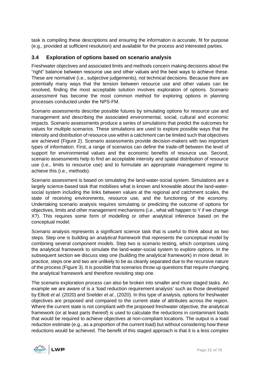task is compiling these descriptions and ensuring the information is accurate, fit for purpose (e.g., provided at sufficient resolution) and available for the process and interested parties.

# <span id="page-21-0"></span>**3.4 Exploration of options based on scenario analysis**

Freshwater objectives and associated limits and methods concern making decisions about the "right" balance between resource use and other values and the best ways to achieve these. These are normative (i.e., subjective judgements), not technical decisions. Because there are potentially many ways that the tension between resource use and other values can be resolved, finding the most acceptable solution involves exploration of options. *Scenario assessment* has become the most common method for exploring options in planning processes conducted under the NPS-FM.

Scenario assessments describe possible futures by simulating options for resource use and management and describing the associated environmental, social, cultural and economic impacts. Scenario assessments produce a series of simulations that predict the outcomes for values for multiple scenarios. These simulations are used to explore possible ways that the intensity and distribution of resource use within a catchment can be limited such that objectives are achieved (Figure 2). Scenario assessments provide decision-makers with two important types of information. First, a range of scenarios can define the trade-off between the level of support for environmental values and the economic benefits of resource use. Second, scenario assessments help to find an acceptable intensity and spatial distribution of resource use (i.e., limits to resource use) and to formulate an appropriate management regime to achieve this (i.e., methods).

Scenario assessment is based on simulating the land-water-social system. Simulations are a largely science-based task that mobilises what is known and knowable about the land-watersocial system including the links between values at the regional and catchment scales, the state of receiving environments, resource use, and the functioning of the economy. Undertaking scenario analysis requires simulating or predicting the outcome of options for objectives, limits and other management mechanisms (i.e., what will happen to Y if we change X?). This requires some form of modelling or other analytical inference based on the conceptual model.

Scenario analysis represents a significant science task that is useful to think about as two steps. Step one is building an *analytical framework* that represents the conceptual model by combining several *component models*. Step two is scenario testing, which comprises using the analytical framework to simulate the land-water-social system to explore options. In the subsequent section we discuss step one (building the analytical framework) in more detail. In practice, steps one and two are unlikely to be as cleanly separated due to the recursive nature of the process [\(Figure 3\)](#page-18-0). It is possible that scenarios throw up questions that require changing the analytical framework and therefore revisiting step one.

The scenario exploration process can also be broken into smaller and more staged tasks. An example we are aware of is a 'load reduction requirement analysis' such as those developed by Elliott *et al.* (2020) and Snelder *et al.*, (2020). In this type of analysis, options for freshwater objectives are proposed and compared to the current state of attributes across the region. Where the current state is not compliant with the proposed freshwater objective, the analytical framework (or at least parts thereof) is used to calculate the reductions in contaminant loads that would be required to achieve objectives at non-compliant locations. The output is a load reduction estimate (e.g., as a proportion of the current load) but without considering how these reductions would be achieved. The benefit of this staged approach is that it is a less complex

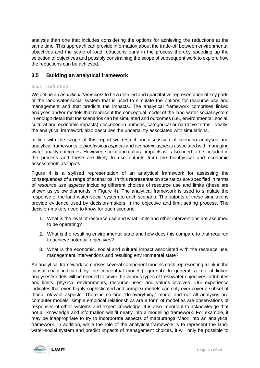analysis than one that includes considering the options for achieving the reductions at the same time. This approach can provide information about the trade-off between environmental objectives and the scale of load reductions early in the process thereby speeding up the selection of objectives and possibly constraining the scope of subsequent work to explore how the reductions can be achieved.

# <span id="page-22-0"></span>**3.5 Building an analytical framework**

#### <span id="page-22-1"></span>**3.5.1 Definition**

We define an *analytical framework* to be a detailed and quantitative representation of key parts of the land-water-social system that is used to simulate the options for resource use and management and that predicts the impacts. The analytical framework comprises linked analyses and/or models that represent the conceptual model of the land-water-social system in enough detail that the scenarios can be simulated and outcomes (i.e., environmental, social, cultural and economic impacts) described in numeric, categorical or narrative terms. Ideally, the analytical framework also describes the uncertainty associated with simulations.

In line with the scope of this report we restrict our discussion of scenario analyses and analytical frameworks to *biophysical aspects* and *economic aspects* associated with managing water quality outcomes. However, social and cultural impacts will also need to be included in the process and these are likely to use outputs from the biophysical and economic assessments as inputs.

[Figure 4](#page-23-0) is a stylised representation of an analytical framework for assessing the consequences of a range of scenarios. In this representation scenarios are specified in terms of *resource use aspects* including different choices of resource use and limits (these are shown as yellow diamonds in [Figure 4\)](#page-23-0). The analytical framework is used to simulate the response of the land-water-social system to each scenario. The outputs of these simulations provide evidence used by decision-makers in the objective and limit setting process. The decision-makers need to know for each scenario:

- 1. What is the level of resource use and what limits and other interventions are assumed to be operating?
- 2. What is the resulting environmental state and how does this compare to that required to achieve potential objectives?
- 3. What is the economic, social and cultural impact associated with the resource use, management interventions and resulting environmental state?

An analytical framework comprises several component models each representing a link in the causal chain indicated by the conceptual model [\(Figure 4\)](#page-23-0). In general, a mix of linked analyses/models will be needed to cover the various types of freshwater objectives, attributes and limits, physical environments, resource uses, and values involved. Our experience indicates that even highly sophisticated and complex models can only ever cover a subset of these relevant aspects. There is no one "do-everything" model and not all analyses are computer models; simple empirical relationships are a form of model as are observations of responses of other systems and expert knowledge. It is also important to acknowledge that not all knowledge and information will fit neatly into a modelling framework. For example, it may be inappropriate to try to incorporate aspects of mātauranga Maori into an analytical framework. In addition, while the role of the analytical framework is to represent the landwater-social system and predict impacts of management choices, it will only be possible to

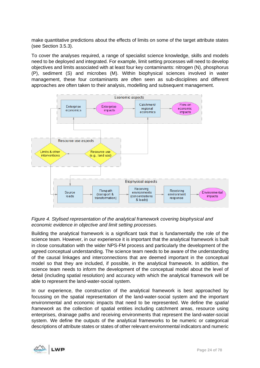make quantitative predictions about the effects of limits on some of the target attribute states (see Section 3.5.3).

To cover the analyses required, a range of specialist science knowledge, skills and models need to be deployed and integrated. For example, limit setting processes will need to develop objectives and limits associated with at least four key contaminants: nitrogen (N), phosphorus (P), sediment (S) and microbes (M). Within biophysical sciences involved in water management, these four contaminants are often seen as sub-disciplines and different approaches are often taken to their analysis, modelling and subsequent management.



# <span id="page-23-0"></span>*Figure 4. Stylised representation of the analytical framework covering biophysical and economic evidence in objective and limit setting processes.*

Building the analytical framework is a significant task that is fundamentally the role of the science team. However, in our experience it is important that the analytical framework is built in close consultation with the wider NPS-FM process and particularly the development of the agreed conceptual understanding. The science team needs to be aware of the understanding of the causal linkages and interconnections that are deemed important in the conceptual model so that they are included, if possible, in the analytical framework. In addition, the science team needs to inform the development of the conceptual model about the level of detail (including spatial resolution) and accuracy with which the analytical framework will be able to represent the land-water-social system.

In our experience, the construction of the analytical framework is best approached by focussing on the spatial representation of the land-water-social system and the important environmental and economic impacts that need to be represented. We define the *spatial framework* as the collection of spatial entities including catchment areas, resource using enterprises, drainage paths and receiving environments that represent the land-water-social system. We define the outputs of the analytical frameworks to be numeric or categorical descriptions of attribute states or states of other relevant environmental indicators and numeric

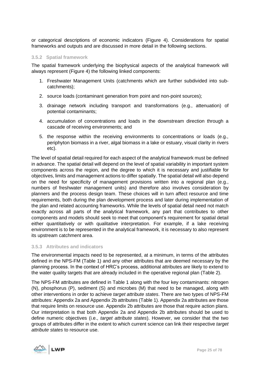or categorical descriptions of economic indicators [\(Figure 4\)](#page-23-0). Considerations for spatial frameworks and outputs and are discussed in more detail in the following sections.

#### <span id="page-24-0"></span>**3.5.2 Spatial framework**

The spatial framework underlying the biophysical aspects of the analytical framework will always represent [\(Figure 4\)](#page-23-0) the following linked components:

- 1. Freshwater Management Units (catchments which are further subdivided into subcatchments);
- 2. source loads (contaminant generation from point and non-point sources);
- 3. drainage network including transport and transformations (e.g., attenuation) of potential contaminants;
- 4. accumulation of concentrations and loads in the downstream direction through a cascade of receiving environments; and
- 5. the response within the receiving environments to concentrations or loads (e.g., periphyton biomass in a river, algal biomass in a lake or estuary, visual clarity in rivers etc).

The level of spatial detail required for each aspect of the analytical framework must be defined in advance. The spatial detail will depend on the level of spatial variability in important system components across the region, and the degree to which it is necessary and justifiable for objectives, limits and management actions to differ spatially. The spatial detail will also depend on the need for specificity of management provisions written into a regional plan (e.g., numbers of freshwater management units) and therefore also involves consideration by planners and the process design team. These choices will in turn affect resource and time requirements, both during the plan development process and later during implementation of the plan and related accounting frameworks. While the levels of spatial detail need not match exactly across all parts of the analytical framework, any part that contributes to other components and models should seek to meet that component's requirement for spatial detail either quantitatively or with qualitative interpretation. For example, if a lake receiving environment is to be represented in the analytical framework, it is necessary to also represent its upstream catchment area.

#### <span id="page-24-1"></span>**3.5.3 Attributes and indicators**

The environmental impacts need to be represented, at a minimum, in terms of the attributes defined in the NPS-FM [\(Table 1\)](#page-26-0) and any other attributes that are deemed necessary by the planning process. In the context of HRC's process, additional attributes are likely to extend to the water quality targets that are already included in the operative regional plan [\(Table 2\)](#page-27-1).

The NPS-FM attributes are defined in [Table 1](#page-26-0) along with the four key contaminants: nitrogen (N), phosphorus (P), sediment (S) and microbes (M) that need to be managed, along with other interventions in order to achieve *target attribute states*. There are two types of NPS-FM attributes: Appendix 2a and Appendix 2b attributes [\(Table 1\)](#page-26-0). Appendix 2a attributes are those that require limits on resource use. Appendix 2b attributes are those that require action plans. Our interpretation is that both Appendix 2a and Appendix 2b attributes should be used to define numeric objectives (i.e., *target attribute states*). However, we consider that the two groups of attributes differ in the extent to which current science can link their respective *target attribute states* to resource use.

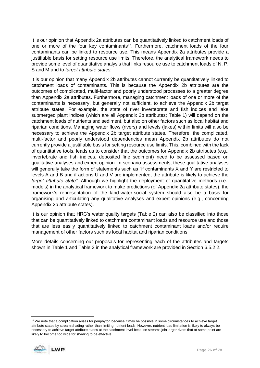It is our opinion that Appendix 2a attributes can be quantitatively linked to catchment loads of one or more of the four key contaminants<sup>16</sup>. Furthermore, catchment loads of the four contaminants can be linked to resource use. This means Appendix 2a attributes provide a justifiable basis for setting resource use limits. Therefore, the analytical framework needs to provide some level of quantitative analysis that links resource use to catchment loads of N, P, S and M and to *target attribute states.* 

It is our opinion that many Appendix 2b attributes cannot currently be quantitatively linked to catchment loads of contaminants. This is because the Appendix 2b attributes are the outcomes of complicated, multi-factor and poorly understood processes to a greater degree than Appendix 2a attributes. Furthermore, managing catchment loads of one or more of the contaminants is necessary, but generally not sufficient, to achieve the Appendix 2b target attribute states. For example, the state of river invertebrate and fish indices and lake submerged plant indices (which are all Appendix 2b attributes; [Table 1\)](#page-26-0) will depend on the catchment loads of nutrients and sediment, but also on other factors such as local habitat and riparian conditions. Managing water flows (rivers) and levels (lakes) within limits will also be necessary to achieve the Appendix 2b target attribute states. Therefore, the complicated, multi-factor and poorly understood dependencies mean Appendix 2b attributes do not currently provide a justifiable basis for setting resource use limits. This, combined with the lack of quantitative tools, leads us to consider that the outcomes for Appendix 2b attributes (e.g., invertebrate and fish indices, deposited fine sediment) need to be assessed based on qualitative analyses and expert opinion. In scenario assessments, these qualitative analyses will generally take the form of statements such as "if contaminants X and Y are restricted to levels A and B and if actions U and V are implemented, the attribute is likely to achieve the *target attribute state".* Although we highlight the deployment of quantitative methods (i.e., models) in the analytical framework to make predictions (of Appendix 2a attribute states), the framework's representation of the land-water-social system should also be a basis for organising and articulating any qualitative analyses and expert opinions (e.g., concerning Appendix 2b attribute states).

It is our opinion that HRC's water quality targets [\(Table 2\)](#page-27-1) can also be classified into those that can be quantitatively linked to catchment contaminant loads and resource use and those that are less easily quantitatively linked to catchment contaminant loads and/or require management of other factors such as local habitat and riparian conditions.

More details concerning our proposals for representing each of the attributes and targets shown in [Table 1](#page-26-0) and [Table 2](#page-27-1) in the analytical framework are provided in Section [6.5.2.2.](#page-48-0)

<sup>&</sup>lt;sup>16</sup> We note that a complication arises for periphyton because it may be possible in some circumstances to achieve target attribute states by stream shading rather than limiting nutrient loads. However, nutrient load limitation is likely to always be necessary to achieve target attribute states at the catchment level because streams join larger rivers that at some point are likely to become too wide for shading to be effective.

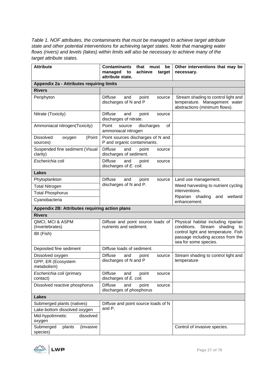<span id="page-26-0"></span>*Table 1. NOF attributes, the contaminants that must be managed to achieve target attribute state and other potential interventions for achieving target states. Note that managing water flows (rivers) and levels (lakes) within limits will also be necessary to achieve many of the target attribute states.* 

| <b>Attribute</b>                                 | <b>Contaminants</b><br>that<br>must<br>be<br>achieve<br>managed<br>to<br>target<br>attribute state. | Other interventions that may be<br>necessary.                                                                  |  |
|--------------------------------------------------|-----------------------------------------------------------------------------------------------------|----------------------------------------------------------------------------------------------------------------|--|
| Appendix 2a - Attributes requiring limits        |                                                                                                     |                                                                                                                |  |
| <b>Rivers</b>                                    |                                                                                                     |                                                                                                                |  |
| Periphyton                                       | <b>Diffuse</b><br>and<br>point<br>source<br>discharges of N and P                                   | Stream shading to control light and<br>temperature. Management water<br>abstractions (minimum flows).          |  |
| Nitrate (Toxicity)                               | <b>Diffuse</b><br>and<br>point<br>source<br>discharges of nitrate.                                  |                                                                                                                |  |
| Ammoniacal nitrogen(Toxicity)                    | Point<br>discharges<br>οf<br>source<br>ammoniacal nitrogen                                          |                                                                                                                |  |
| <b>Dissolved</b><br>(Point<br>oxygen<br>sources) | Point sources discharges of N and<br>P and organic contaminants.                                    |                                                                                                                |  |
| Suspended fine sediment (Visual<br>clarity)      | <b>Diffuse</b><br>and<br>point<br>source<br>discharges of sediment.                                 |                                                                                                                |  |
| Escherichia coli                                 | <b>Diffuse</b><br>and<br>point<br>source<br>discharges of E. coli.                                  |                                                                                                                |  |
| <b>Lakes</b>                                     |                                                                                                     |                                                                                                                |  |
| Phytoplankton                                    | <b>Diffuse</b><br>and<br>point<br>source                                                            | Land use management.                                                                                           |  |
| <b>Total Nitrogen</b>                            | discharges of N and P.                                                                              | Weed harvesting to nutrient cycling                                                                            |  |
| <b>Total Phosphorus</b>                          |                                                                                                     | interventions.                                                                                                 |  |
| Cyanobacteria                                    |                                                                                                     | Riparian shading<br>wetland<br>and<br>enhancement.                                                             |  |
| Appendix 2B: Attributes requiring action plans   |                                                                                                     |                                                                                                                |  |
| <b>Rivers</b>                                    |                                                                                                     |                                                                                                                |  |
| QMCI, MCI & ASPM<br>(Invertebrates)              | Diffuse and point source loads of<br>nutrients and sediment.                                        | Physical habitat including riparian<br>conditions.<br>Stream shading to<br>control light and temperature. Fish |  |
| IBI (Fish)                                       |                                                                                                     | passage including access from the<br>sea for some species.                                                     |  |
| Deposited fine sediment                          | Diffuse loads of sediment.                                                                          |                                                                                                                |  |
| Dissolved oxygen                                 | <b>Diffuse</b><br>and<br>point<br>source                                                            | Stream shading to control light and                                                                            |  |
| GPP, ER (Ecosystem<br>metabolism)                | discharges of N and P                                                                               | temperature                                                                                                    |  |
| Escherichia coli (primary<br>contact)            | <b>Diffuse</b><br>point<br>and<br>source<br>discharges of E. coli.                                  |                                                                                                                |  |
| Dissolved reactive phosphorus                    | <b>Diffuse</b><br>point<br>and<br>source<br>discharges of phosphorus                                |                                                                                                                |  |
| <b>Lakes</b>                                     |                                                                                                     |                                                                                                                |  |
| Submerged plants (natives)                       | Diffuse and point source loads of N                                                                 |                                                                                                                |  |
| Lake-bottom dissolved oxygen                     | and P.                                                                                              |                                                                                                                |  |
| Mid-hypolimnetic<br>dissolved<br>oxygen          |                                                                                                     |                                                                                                                |  |
| Submerged<br>(invasive<br>plants<br>species)     |                                                                                                     | Control of invasive species.                                                                                   |  |

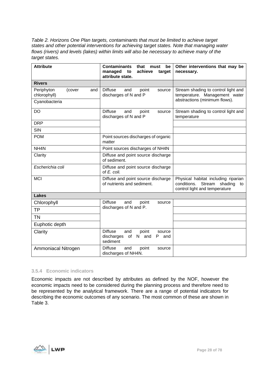<span id="page-27-1"></span>*Table 2. Horizons One Plan targets, contaminants that must be limited to achieve target states and other potential interventions for achieving target states. Note that managing water flows (rivers) and levels (lakes) within limits will also be necessary to achieve many of the target states.*

| <b>Attribute</b>                            | <b>Contaminants</b><br>that<br>must<br>be<br>achieve<br>managed<br>target<br>to<br>attribute state. | Other interventions that may be<br>necessary.                                                               |
|---------------------------------------------|-----------------------------------------------------------------------------------------------------|-------------------------------------------------------------------------------------------------------------|
| <b>Rivers</b>                               |                                                                                                     |                                                                                                             |
| Periphyton<br>(cover<br>and<br>chlorophyll) | <b>Diffuse</b><br>and<br>point<br>source<br>discharges of N and P                                   | Stream shading to control light and<br>temperature. Management water                                        |
| Cyanobacteria                               |                                                                                                     | abstractions (minimum flows).                                                                               |
| <b>DO</b>                                   | <b>Diffuse</b><br>and<br>point<br>source<br>discharges of N and P                                   | Stream shading to control light and<br>temperature                                                          |
| <b>DRP</b>                                  |                                                                                                     |                                                                                                             |
| SIN                                         |                                                                                                     |                                                                                                             |
| <b>POM</b>                                  | Point sources discharges of organic<br>matter                                                       |                                                                                                             |
| NH <sub>4</sub> N                           | Point sources discharges of NH4N                                                                    |                                                                                                             |
| Clarity                                     | Diffuse and point source discharge<br>of sediment.                                                  |                                                                                                             |
| Escherichia coli                            | Diffuse and point source discharge<br>of E. coli.                                                   |                                                                                                             |
| <b>MCI</b>                                  | Diffuse and point source discharge<br>of nutrients and sediment.                                    | Physical habitat including riparian<br>conditions. Stream<br>shading<br>to<br>control light and temperature |
| <b>Lakes</b>                                |                                                                                                     |                                                                                                             |
| Chlorophyll                                 | <b>Diffuse</b><br>and<br>point<br>source                                                            |                                                                                                             |
| <b>TP</b>                                   | discharges of N and P.                                                                              |                                                                                                             |
| <b>TN</b>                                   |                                                                                                     |                                                                                                             |
| Euphotic depth                              |                                                                                                     |                                                                                                             |
| Clarity                                     | <b>Diffuse</b><br>and<br>point<br>source<br>discharges<br>of<br>N.<br>and<br>P<br>and<br>sediment   |                                                                                                             |
| Ammoniacal Nitrogen                         | <b>Diffuse</b><br>and<br>point<br>source<br>discharges of NH4N.                                     |                                                                                                             |

#### <span id="page-27-0"></span>**3.5.4 Economic indicators**

Economic impacts are not described by attributes as defined by the NOF, however the economic impacts need to be considered during the planning process and therefore need to be represented by the analytical framework. There are a range of potential indicators for describing the economic outcomes of any scenario. The most common of these are shown in [Table 3.](#page-28-0)

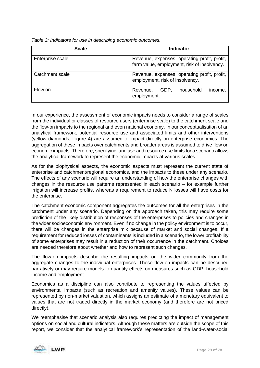| <b>Scale</b>     | <b>Indicator</b>                                                                            |  |
|------------------|---------------------------------------------------------------------------------------------|--|
| Enterprise scale | Revenue, expenses, operating profit, profit,<br>farm value, employment, risk of insolvency. |  |
| Catchment scale  | Revenue, expenses, operating profit, profit,<br>employment, risk of insolvency.             |  |
| Flow on          | household<br>GDP.<br>Revenue,<br>income,<br>employment.                                     |  |

<span id="page-28-0"></span>*Table 3: Indicators for use in describing economic outcomes.*

In our experience, the assessment of economic impacts needs to consider a range of scales from the individual or classes of resource users (enterprise scale) to the catchment scale and the flow-on impacts to the regional and even national economy. In our conceptualisation of an analytical framework, potential resource use and associated limits and other interventions (yellow diamonds; Figure 4) are assumed to impact directly on enterprise economics. The aggregation of these impacts over catchments and broader areas is assumed to drive flow on economic impacts. Therefore, specifying land use and resource use limits for a scenario allows the analytical framework to represent the economic impacts at various scales.

As for the biophysical aspects, the economic aspects must represent the current state of enterprise and catchment/regional economics, and the impacts to these under any scenario. The effects of any scenario will require an understanding of how the enterprise changes with changes in the resource use patterns represented in each scenario – for example further irrigation will increase profits, whereas a requirement to reduce N losses will have costs for the enterprise.

The catchment economic component aggregates the outcomes for all the enterprises in the catchment under any scenario. Depending on the approach taken, this may require some prediction of the likely distribution of responses of the enterprises to policies and changes in the wider socioeconomic environment. Even if no change in the policy environment is to occur, there will be changes in the enterprise mix because of market and social changes. If a requirement for reduced losses of contaminants is included in a scenario, the lower profitability of some enterprises may result in a reduction of their occurrence in the catchment. Choices are needed therefore about whether and how to represent such changes.

The flow-on impacts describe the resulting impacts on the wider community from the aggregate changes to the individual enterprises. These flow-on impacts can be described narratively or may require models to quantify effects on measures such as GDP, household income and employment.

Economics as a discipline can also contribute to representing the values affected by environmental impacts (such as recreation and amenity values). These values can be represented by non-market valuation, which assigns an estimate of a monetary equivalent to values that are not traded directly in the market economy (and therefore are not priced directly).

We reemphasise that scenario analysis also requires predicting the impact of management options on social and cultural indicators. Although these matters are outside the scope of this report, we consider that the analytical framework's representation of the land-water-social

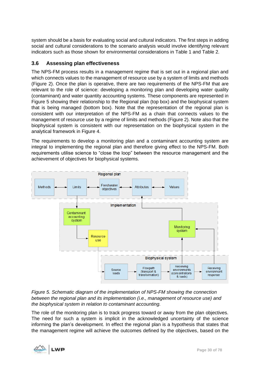system should be a basis for evaluating social and cultural indicators. The first steps in adding social and cultural considerations to the scenario analysis would involve identifying relevant indicators such as those shown for environmental considerations in [Table 1](#page-26-0) and [Table 2.](#page-27-1)

# <span id="page-29-0"></span>**3.6 Assessing plan effectiveness**

The NPS-FM process results in a management regime that is set out in a regional plan and which connects values to the management of resource use by a system of limits and methods [\(Figure 2\)](#page-13-0). Once the plan is operative, there are two requirements of the NPS-FM that are relevant to the role of science: developing a monitoring plan and developing water quality (contaminant) and water quantity accounting systems. These components are represented in [Figure 5](#page-29-1) showing their relationship to the Regional plan (top box) and the biophysical system that is being managed (bottom box). Note that the representation of the regional plan is consistent with our interpretation of the NPS-FM as a chain that connects values to the management of resource use by a regime of limits and methods [\(Figure 2\)](#page-13-0). Note also that the biophysical system is consistent with our representation on the biophysical system in the analytical framework in [Figure 4.](#page-23-0)

The requirements to develop a monitoring plan and a contaminant accounting system are integral to implementing the regional plan and therefore giving effect to the NPS-FM. Both requirements utilise science to "close the loop" between the resource management and the achievement of objectives for biophysical systems.



<span id="page-29-1"></span>*Figure 5. Schematic diagram of the implementation of NPS-FM showing the connection between the regional plan and its implementation (i.e., management of resource use) and the biophysical system in relation to contaminant accounting.*

The role of the monitoring plan is to track progress toward or away from the plan objectives. The need for such a system is implicit in the acknowledged uncertainty of the science informing the plan's development. In effect the regional plan is a hypothesis that states that the management regime will achieve the outcomes defined by the objectives, based on the

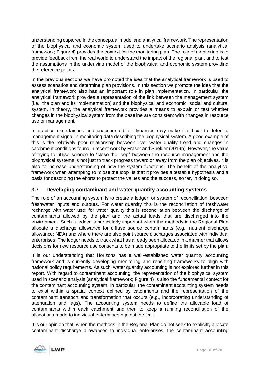understanding captured in the conceptual model and analytical framework. The representation of the biophysical and economic system used to undertake scenario analysis (analytical framework; [Figure 4\)](#page-23-0) provides the context for the monitoring plan. The role of monitoring is to provide feedback from the real world to understand the impact of the regional plan, and to test the assumptions in the underlying model of the biophysical and economic system providing the reference points.

In the previous sections we have promoted the idea that the analytical framework is used to assess scenarios and determine plan provisions. In this section we promote the idea that the analytical framework also has an important role in plan implementation. In particular, the analytical framework provides a representation of the link between the management system (i.e., the plan and its implementation) and the biophysical and economic, social and cultural system. In theory, the analytical framework provides a means to explain or test whether changes in the biophysical system from the baseline are consistent with changes in resource use or management.

In practice uncertainties and unaccounted for dynamics may make it difficult to detect a management signal in monitoring data describing the biophysical system. A good example of this is the relatively poor relationship between river water quality trend and changes in catchment conditions found in recent work by Fraser and Snelder (2019b). However, the value of trying to utilise science to "close the loop" between the resource management and the biophysical systems is not just to track progress toward or away from the plan objectives, it is also to increase understanding of how the system functions. The benefit of the analytical framework when attempting to "close the loop" is that it provides a testable hypothesis and a basis for describing the efforts to protect the values and the success, so far, in doing so.

# <span id="page-30-0"></span>**3.7 Developing contaminant and water quantity accounting systems**

The role of an accounting system is to create a ledger, or system of reconciliation, between freshwater inputs and outputs. For water quantity this is the reconciliation of freshwater recharge with water use; for water quality this is reconciliation between the discharge of contaminants allowed by the plan and the actual loads that are discharged into the environment. Such a ledger is particularly important when the methods in the Regional Plan allocate a discharge allowance for diffuse source contaminants (e.g., nutrient discharge allowance; NDA) and where there are also point source discharges associated with individual enterprises. The ledger needs to track what has already been allocated in a manner that allows decisions for new resource use consents to be made appropriate to the limits set by the plan.

It is our understanding that Horizons has a well-established water quantity accounting framework and is currently developing monitoring and reporting frameworks to align with national policy requirements. As such, water quantity accounting is not explored further in this report. With regard to contaminant accounting, the representation of the biophysical system used in scenario analysis (analytical framework; [Figure 4\)](#page-23-0) is also the fundamental context for the contaminant accounting system. In particular, the contaminant accounting system needs to exist within a spatial context defined by catchments and the representation of the contaminant transport and transformation that occurs (e.g., incorporating understanding of attenuation and lags). The accounting system needs to define the allocable load of contaminants within each catchment and then to keep a running reconciliation of the allocations made to individual enterprises against the limit.

It is our opinion that, when the methods in the Regional Plan do not seek to explicitly allocate contaminant discharge allowances to individual enterprises, the contaminant accounting

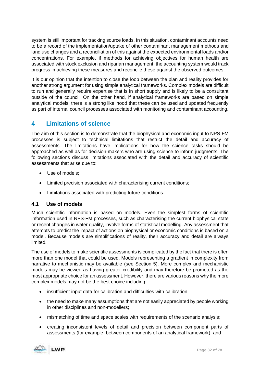system is still important for tracking source loads. In this situation, contaminant accounts need to be a record of the implementation/uptake of other contaminant management methods and land use changes and a reconciliation of this against the expected environmental loads and/or concentrations. For example, if methods for achieving objectives for human health are associated with stock exclusion and riparian management, the accounting system would track progress in achieving these measures and reconcile these against the observed outcomes.

It is our opinion that the intention to close the loop between the plan and reality provides for another strong argument for using simple analytical frameworks. Complex models are difficult to run and generally require expertise that is in short supply and is likely to be a consultant outside of the council. On the other hand, if analytical frameworks are based on simple analytical models, there is a strong likelihood that these can be used and updated frequently as part of internal council processes associated with monitoring and contaminant accounting.

# <span id="page-31-0"></span>**4 Limitations of science**

The aim of this section is to demonstrate that the biophysical and economic input to NPS-FM processes is subject to technical limitations that restrict the detail and accuracy of assessments. The limitations have implications for how the science tasks should be approached as well as for decision-makers who are using science to inform judgments. The following sections discuss limitations associated with the detail and accuracy of scientific assessments that arise due to:

- Use of models;
- Limited precision associated with characterising current conditions;
- Limitations associated with predicting future conditions.

# <span id="page-31-1"></span>**4.1 Use of models**

Much scientific information is based on models. Even the simplest forms of scientific information used in NPS-FM processes, such as characterising the current biophysical state or recent changes in water quality, involve forms of statistical modelling. Any assessment that attempts to predict the impact of actions on biophysical or economic conditions is based on a model. Because models are simplifications of reality, their accuracy and detail are always limited.

The use of models to make scientific assessments is complicated by the fact that there is often more than one model that could be used. Models representing a gradient in complexity from narrative to mechanistic may be available (see Section 5). More complex and mechanistic models may be viewed as having greater credibility and may therefore be promoted as the most appropriate choice for an assessment. However, there are various reasons why the more complex models may not be the best choice including:

- insufficient input data for calibration and difficulties with calibration;
- the need to make many assumptions that are not easily appreciated by people working in other disciplines and non-modellers;
- mismatching of time and space scales with requirements of the scenario analysis;
- creating inconsistent levels of detail and precision between component parts of assessments (for example, between components of an analytical framework); and

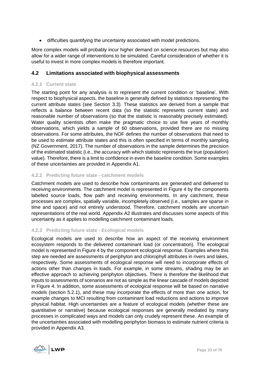• difficulties quantifying the uncertainty associated with model predictions.

More complex models will probably incur higher demand on science resources but may also allow for a wider range of interventions to be simulated. Careful consideration of whether it is useful to invest in more complex models is therefore important.

### <span id="page-32-0"></span>**4.2 Limitations associated with biophysical assessments**

#### <span id="page-32-1"></span>**4.2.1 Current state**

The starting point for any analysis is to represent the current condition or 'baseline'. With respect to biophysical aspects, the baseline is generally defined by statistics representing the current attribute states (see Section [3.3\)](#page-19-2). These statistics are derived from a sample that reflects a balance between recent data (so the statistic represents current state) and reasonable number of observations (so that the statistic is reasonably precisely estimated). Water quality scientists often make the pragmatic choice to use five years of monthly observations, which yields a sample of 60 observations, provided there are no missing observations. For some attributes, the NOF defines the number of observations that need to be used to estimate attribute states and this is often specified in terms of monthly sampling (NZ Government, 2017). The number of observations in the sample determines the precision of the estimated statistic (i.e., the accuracy with which statistic represents the true (population) value). Therefore, there is a limit to confidence in even the baseline condition. Some examples of these uncertainties are provided in Appendix [A1.](#page-72-1)

#### <span id="page-32-2"></span>**4.2.2 Predicting future state - catchment models**

Catchment models are used to describe how contaminants are generated and delivered to receiving environments. The catchment model is represented in Figure 4 by the components labelled source loads, flow path and receiving environments. In any catchment, these processes are complex, spatially variable, incompletely observed (i.e., samples are sparse in time and space) and not entirely understood. Therefore, catchment models are uncertain representations of the real world. Appendix [A2](#page-74-1) illustrates and discusses some aspects of this uncertainty as it applies to modelling catchment contaminant loads.

#### <span id="page-32-3"></span>**4.2.3 Predicting future state - Ecological models**

Ecological models are used to describe how an aspect of the receiving environment ecosystem responds to the delivered contaminant load (or concentration). The ecological model is represented in [Figure 4](#page-23-0) by the component ecological response. Examples where this step are needed are assessments of periphyton and chlorophyll attributes in rivers and lakes, respectively. Some assessments of ecological response will need to incorporate effects of actions other than changes in loads. For example, in some streams, shading may be an effective approach to achieving periphyton objectives. There is therefore the likelihood that inputs to assessments of scenarios are not as simple as the linear cascade of models depicted in [Figure 4.](#page-23-0) In addition, some assessments of ecological response will be based on narrative models (section [5.2.1\)](#page-36-0), and these may incorporate the effects of more than one action, for example changes to MCI resulting from contaminant load reductions and actions to improve physical habitat. High uncertainties are a feature of ecological models (whether these are quantitative or narrative) because ecological responses are generally mediated by many processes in complicated ways and models can only crudely represent these. An example of the uncertainties associated with modelling periphyton biomass to estimate nutrient criteria is provided in Appendix [A3.](#page-76-0)

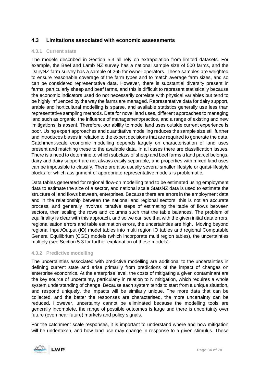# <span id="page-33-0"></span>**4.3 Limitations associated with economic assessments**

#### <span id="page-33-1"></span>**4.3.1 Current state**

The models described in Section [5.3](#page-37-1) all rely on extrapolation from limited datasets. For example, the Beef and Lamb NZ survey has a national sample size of 500 farms, and the DairyNZ farm survey has a sample of 265 for owner operators. These samples are weighted to ensure reasonable coverage of the farm types and to match average farm sizes, and so can be considered representative data. However, there is substantial diversity present in farms, particularly sheep and beef farms, and this is difficult to represent statistically because the economic indicators used do not necessarily correlate with physical variables but tend to be highly influenced by the way the farms are managed. Representative data for dairy support, arable and horticultural modelling is sparse, and available statistics generally use less than representative sampling methods. Data for novel land uses, different approaches to managing land such as organic, the influence of management/practice, and a range of existing and new 'mitigations' is absent. Therefore, our ability to model land uses outside current experience is poor. Using expert approaches and quantitative modelling reduces the sample size still further and introduces biases in relation to the expert decisions that are required to generate the data. Catchment-scale economic modelling depends largely on characterisation of land uses present and matching these to the available data. In all cases there are classification issues. There is a need to determine to which subclass of sheep and beef farms a land parcel belongs, dairy and dairy support are not always easily separable, and properties with mixed land uses can be impossible to classify. There are also usually several smaller lifestyle or quasi-lifestyle blocks for which assignment of appropriate representative models is problematic.

Data tables generated for regional flow-on modelling tend to be estimated using employment data to estimate the size of a sector, and national scale StatsNZ data is used to estimate the structure of, and flows between, enterprises. Because there are errors in the employment data and in the relationship between the national and regional sectors, this is not an accurate process, and generally involves iterative steps of estimating the table of flows between sectors, then scaling the rows and columns such that the table balances. The problem of equifinality is clear with this approach, and so we can see that with the given initial data errors, regionalisation errors and table estimation errors, the uncertainties are high. Moving beyond regional Input/Output (IO) model tables into multi region IO tables and regional Computable General Equilibrium (CGE) models (which incorporate multi region tables), the uncertainties multiply (see Section [5.3](#page-37-1) for further explanation of these models).

#### <span id="page-33-2"></span>**4.3.2 Predictive modelling**

The uncertainties associated with predictive modelling are additional to the uncertainties in defining current state and arise primarily from predictions of the impact of changes on enterprise economics. At the enterprise level, the costs of mitigating a given contaminant are the key source of uncertainty, particularly in relation to N mitigation, which requires a whole system understanding of change. Because each system tends to start from a unique situation, and respond uniquely, the impacts will be similarly unique. The more data that can be collected, and the better the responses are characterised, the more uncertainty can be reduced. However, uncertainty cannot be eliminated because the modelling tools are generally incomplete, the range of possible outcomes is large and there is uncertainty over future (even near future) markets and policy signals.

For the catchment scale responses, it is important to understand where and how mitigation will be undertaken, and how land use may change in response to a given stimulus. These

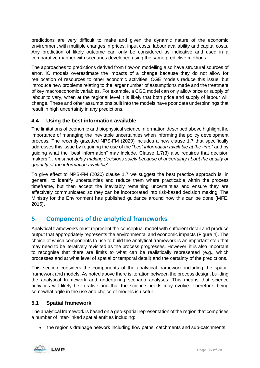predictions are very difficult to make and given the dynamic nature of the economic environment with multiple changes in prices, input costs, labour availability and capital costs. Any prediction of likely outcome can only be considered as indicative and used in a comparative manner with scenarios developed using the same predictive methods.

The approaches to predictions derived from flow-on modelling also have structural sources of error. IO models overestimate the impacts of a change because they do not allow for reallocation of resources to other economic activities. CGE models reduce this issue, but introduce new problems relating to the larger number of assumptions made and the treatment of key macroeconomic variables. For example, a CGE model can only allow price or supply of labour to vary, when at the regional level it is likely that both price and supply of labour will change. These and other assumptions built into the models have poor data underpinnings that result in high uncertainty in any predictions.

# <span id="page-34-0"></span>**4.4 Using the best information available**

The limitations of economic and biophysical science information described above highlight the importance of managing the inevitable uncertainties when informing the policy development process. The recently gazetted NPS-FM (2020) includes a new clause 1.7 that specifically addresses this issue by requiring the use of the "*best information available at the time*" and by guiding what the "best information" may include. Clause 1.7(3) also requires that decision makers "…*must not delay making decisions solely because of uncertainty about the quality or quantity of the information available*":

To give effect to NPS-FM (2020) clause 1.7 we suggest the best practice approach is, in general, to identify uncertainties and reduce them where practicable within the process timeframe, but then accept the inevitably remaining uncertainties and ensure they are effectively communicated so they can be incorporated into risk-based decision making. The Ministry for the Environment has published guidance around how this can be done (MFE, 2016).

# <span id="page-34-1"></span>**5 Components of the analytical frameworks**

Analytical frameworks must represent the conceptual model with sufficient detail and produce output that appropriately represents the environmental and economic impacts [\(Figure 4\)](#page-23-0). The choice of which components to use to build the analytical framework is an important step that may need to be iteratively revisited as the process progresses. However, it is also important to recognise that there are limits to what can be realistically represented (e.g., which processes and at what level of spatial or temporal detail) and the certainty of the predictions.

This section considers the components of the analytical framework including the spatial framework and models. As noted above there is iteration between the process design, building the analytical framework and undertaking scenario analyses. This means that science activities will likely be iterative and that the science needs may evolve. Therefore, being somewhat agile in the use and choice of models is useful.

# <span id="page-34-2"></span>**5.1 Spatial framework**

The analytical framework is based on a geo-spatial representation of the region that comprises a number of inter-linked spatial entities including:

• the region's drainage network including flow paths, catchments and sub-catchments;

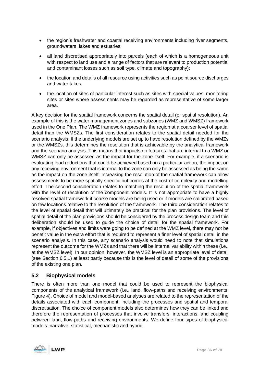- the region's freshwater and coastal receiving environments including river segments, groundwaters, lakes and estuaries;
- all land discretised appropriately into parcels (each of which is a homogeneous unit with respect to land use and a range of factors that are relevant to production potential and contaminant losses such as soil type, climate and topography);
- the location and details of all resource using activities such as point source discharges and water takes.
- the location of sites of particular interest such as sites with special values, monitoring sites or sites where assessments may be regarded as representative of some larger area.

A key decision for the spatial framework concerns the spatial detail (or spatial resolution). An example of this is the water management zones and subzones (WMZ and WMSZ) framework used in the One Plan. The WMZ framework represents the region at a coarser level of spatial detail than the WMSZs. The first consideration relates to the spatial detail needed for the scenario analysis. If the underlying models are set up to have resolution defined by the WMZs or the WMSZs, this determines the resolution that is achievable by the analytical framework and the scenario analysis. This means that impacts on features that are internal to a WMZ or WMSZ can only be assessed as the impact for the zone itself. For example, if a scenario is evaluating load reductions that could be achieved based on a particular action, the impact on any receiving environment that is internal to the zone can only be assessed as being the same as the impact on the zone itself. Increasing the resolution of the spatial framework can allow assessments to be more spatially specific but comes at the cost of complexity and modelling effort. The second consideration relates to matching the resolution of the spatial framework with the level of resolution of the component models. It is not appropriate to have a highly resolved spatial framework if coarse models are being used or if models are calibrated based on few locations relative to the resolution of the framework. The third consideration relates to the level of spatial detail that will ultimately be practical for the plan provisions. The level of spatial detail of the plan provisions should be considered by the process design team and this deliberation should be used to guide the choice of detail for the spatial framework. For example, if objectives and limits were going to be defined at the WMZ level, there may not be benefit value in the extra effort that is required to represent a finer level of spatial detail in the scenario analysis. In this case, any scenario analysis would need to note that simulations represent the outcome for the WMZs and that there will be internal variability within these (i.e., at the WMSZ level). In our opinion, however, the WMSZ level is an appropriate level of detail (see Section [6.5.1\)](#page-45-1) at least partly because this is the level of detail of some of the provisions of the existing one plan.

# <span id="page-35-0"></span>**5.2 Biophysical models**

There is often more than one model that could be used to represent the biophysical components of the analytical framework (i.e., land, flow-paths and receiving environments; [Figure 4\)](#page-23-0). Choice of model and model-based analyses are related to the representation of the details associated with each component, including the processes and spatial and temporal discretisation. The choice of component models also determines how they can be linked and therefore the representation of processes that involve transfers, interactions, and coupling between land, flow-paths and receiving environments. We define four types of biophysical models: narrative, statistical, mechanistic and hybrid.

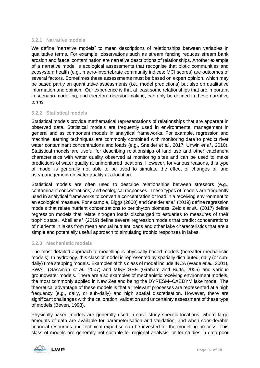### **5.2.1 Narrative models**

We define "narrative models" to mean descriptions of relationships between variables in qualitative terms. For example, observations such as stream fencing reduces stream bank erosion and faecal contamination are narrative descriptions of relationships. Another example of a narrative model is ecological assessments that recognise that biotic communities and ecosystem health (e.g., macro-invertebrate community indices; MCI scores) are outcomes of several factors. Sometimes these assessments must be based on expert opinion, which may be based partly on quantitative assessments (i.e., model predictions) but also on qualitative information and opinion. Our experience is that at least some relationships that are important in scenario modelling, and therefore decision-making, can only be defined in these narrative terms.

### **5.2.2 Statistical models**

Statistical models provide mathematical representations of relationships that are apparent in observed data. Statistical models are frequently used in environmental management in general and as component models in analytical frameworks. For example, regression and machine learning techniques are commonly combined with monitoring data to predict river water contaminant concentrations and loads (e.g., Snelder *et al.*, 2017; Unwin *et al.*, 2010). Statistical models are useful for describing relationships of land use and other catchment characteristics with water quality observed at monitoring sites and can be used to make predictions of water quality at unmonitored locations. However, for various reasons, this type of model is generally not able to be used to simulate the effect of changes of land use/management on water quality at a location.

Statistical models are often used to describe relationships between stressors (e.g., contaminant concentrations) and ecological responses. These types of models are frequently used in analytical frameworks to convert a concentration or load in a receiving environment to an ecological measure. For example, Biggs (2000) and Snelder *et al.* (2019) define regression models that relate nutrient concentrations to periphyton biomass. Zeldis *et al.*, (2017) define regression models that relate nitrogen loads discharged to estuaries to measures of their trophic state. Abell *et al.* (2019) define several regression models that predict concentrations of nutrients in lakes from mean annual nutrient loads and other lake characteristics that are a simple and potentially useful approach to simulating trophic responses in lakes.

### **5.2.3 Mechanistic models**

The most detailed approach to modelling is physically based models (hereafter mechanistic models). In hydrology, this class of model is represented by spatially distributed, daily (or subdaily) time stepping models. Examples of this class of model include INCA (Wade *et al.*, 2001), SWAT (Gassman *et al.*, 2007) and MIKE SHE (Graham and Butts, 2005) and various groundwater models. There are also examples of mechanistic receiving environment models, the most commonly applied in New Zealand being the DYRESM–CAEDYM lake model. The theoretical advantage of these models is that all relevant processes are represented at a high frequency (e.g., daily, or sub-daily) and high spatial discretisation. However, there are significant challenges with the calibration, validation and uncertainty assessment of these type of models (Beven, 1993).

Physically-based models are generally used in case study specific locations, where large amounts of data are available for parameterisation and validation, and when considerable financial resources and technical expertise can be invested for the modelling process. This class of models are generally not suitable for regional analysis, or for studies in data-poor

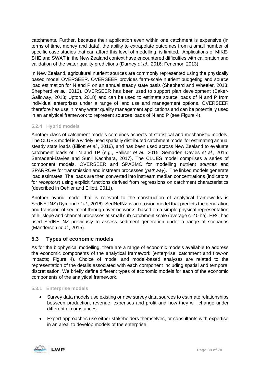catchments. Further, because their application even within one catchment is expensive (in terms of time, money and data), the ability to extrapolate outcomes from a small number of specific case studies that can afford this level of modelling, is limited. Applications of MIKE-SHE and SWAT in the New Zealand context have encountered difficulties with calibration and validation of the water quality predictions (Durney *et al.*, 2016; Fenemor, 2013).

In New Zealand, agricultural nutrient sources are commonly represented using the physically based model OVERSEER. OVERSEER provides farm-scale nutrient budgeting and source load estimation for N and P on an annual steady state basis (Shepherd and Wheeler, 2013; Shepherd *et al.*, 2013). OVERSEER has been used to support plan development (Baker-Galloway, 2013; Upton, 2018) and can be used to estimate source loads of N and P from individual enterprises under a range of land use and management options. OVERSEER therefore has use in many water quality management applications and can be potentially used in an analytical framework to represent sources loads of N and P (see [Figure 4\)](#page-23-0).

### **5.2.4 Hybrid models**

Another class of catchment models combines aspects of statistical and mechanistic models. The CLUES model is a widely used spatially distributed catchment model for estimating annual steady state loads (Elliott *et al.*, 2016), and has been used across New Zealand to evaluate catchment loads of TN and TP (e.g., Palliser *et al.*, 2015; Semadeni-Davies *et al.*, 2015; Semadeni-Davies and Sunil Kachhara, 2017). The CLUES model comprises a series of component models, OVERSEER and SPASMO for modelling nutrient *sources* and SPARROW for transmission and instream processes (*pathway*). The linked models generate load estimates. The loads are then converted into instream median concentrations (indicators for *receptors*) using explicit functions derived from regressions on catchment characteristics (described in Oehler and Elliott, 2011).

Another hybrid model that is relevant to the construction of analytical frameworks is SedNETNZ (Dymond *et al.*, 2016). SedNetNZ is an erosion model that predicts the generation and transport of sediment through river networks, based on a simple physical representation of hillslope and channel processes at small sub-catchment scale (average c. 40 ha). HRC has used SedNETNZ previously to assess sediment generation under a range of scenarios (Manderson *et al.*, 2015).

# **5.3 Types of economic models**

As for the biophysical modelling, there are a range of economic models available to address the economic components of the analytical framework (enterprise, catchment and flow-on impacts; [Figure 4\)](#page-23-0). Choice of model and model-based analyses are related to the representation of the details associated with each component including spatial and temporal discretisation. We briefly define different types of economic models for each of the economic components of the analytical framework.

### **5.3.1 Enterprise models**

- Survey data models use existing or new survey data sources to estimate relationships between production, revenue, expenses and profit and how they will change under different circumstances.
- Expert approaches use either stakeholders themselves, or consultants with expertise in an area, to develop models of the enterprise.

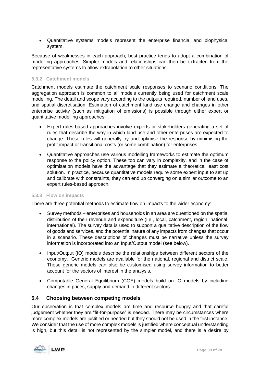• Quantitative systems models represent the enterprise financial and biophysical system.

Because of weaknesses in each approach, best practice tends to adopt a combination of modelling approaches. Simpler models and relationships can then be extracted from the representative systems to allow extrapolation to other situations.

### **5.3.2 Catchment models**

Catchment models estimate the catchment scale responses to scenario conditions. The aggregation approach is common to all models currently being used for catchment scale modelling. The detail and scope vary according to the outputs required, number of land uses, and spatial discretisation. Estimation of catchment land use change and changes in other enterprise activity (such as mitigation of emissions) is possible through either expert or quantitative modelling approaches:

- Expert rules-based approaches involve experts or stakeholders generating a set of rules that describe the way in which land use and other enterprises are expected to change. These rules will generally try and optimise the response by minimising the profit impact or transitional costs (or some combination) for enterprises.
- Quantitative approaches use various modelling frameworks to estimate the optimum response to the policy option. These too can vary in complexity, and in the case of optimisation models have the advantage that they estimate a theoretical least cost solution. In practice, because quantitative models require some expert input to set up and calibrate with constraints, they can end up converging on a similar outcome to an expert rules-based approach.

### **5.3.3 Flow on impacts**

There are three potential methods to estimate flow on impacts to the wider economy:

- Survey methods enterprises and households in an area are questioned on the spatial distribution of their revenue and expenditure (i.e., local, catchment, region, national, international). The survey data is used to support a qualitative description of the flow of goods and services, and the potential nature of any impacts from changes that occur in a scenario. These descriptions of changes must be narrative unless the survey information is incorporated into an Input/Output model (see below).
- Input/Output (IO) models describe the relationships between different sectors of the economy. Generic models are available for the national, regional and district scale. These generic models can also be customised using survey information to better account for the sectors of interest in the analysis.
- Computable General Equilibrium (CGE) models build on IO models by including changes in prices, supply and demand in different sectors.

# <span id="page-38-0"></span>**5.4 Choosing between competing models**

Our observation is that complex models are time and resource hungry and that careful judgement whether they are "fit-for-purpose" is needed. There may be circumstances where more complex models are justified or needed but they should not be used in the first instance. We consider that the use of more complex models is justified where conceptual understanding is high, but this detail is not represented by the simpler model, and there is a desire by

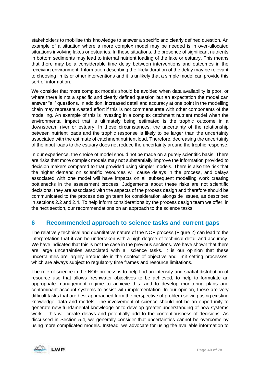stakeholders to mobilise this knowledge to answer a specific and clearly defined question. An example of a situation where a more complex model may be needed is in over-allocated situations involving lakes or estuaries. In these situations, the presence of significant nutrients in bottom sediments may lead to internal nutrient loading of the lake or estuary. This means that there may be a considerable time delay between interventions and outcomes in the receiving environment. Information describing the likely duration of the delay may be relevant to choosing limits or other interventions and it is unlikely that a simple model can provide this sort of information.

We consider that more complex models should be avoided when data availability is poor, or where there is not a specific and clearly defined question but an expectation the model can answer "all" questions. In addition, increased detail and accuracy at one point in the modelling chain may represent wasted effort if this is not commensurate with other components of the modelling. An example of this is investing in a complex catchment nutrient model when the environmental impact that is ultimately being estimated is the trophic outcome in a downstream river or estuary. In these circumstances, the uncertainty of the relationship between nutrient loads and the trophic response is likely to be larger than the uncertainty associated with the estimate of catchment nutrient load. Therefore, decreasing the uncertainty of the input loads to the estuary does not reduce the uncertainty around the trophic response.

In our experience, the choice of model should not be made on a purely scientific basis. There are risks that more complex models may not substantially improve the information provided to decision makers compared to that provided using simpler models. There is also the risk that the higher demand on scientific resources will cause delays in the process, and delays associated with one model will have impacts on all subsequent modelling work creating bottlenecks in the assessment process. Judgements about these risks are not scientific decisions, they are associated with the aspects of the process design and therefore should be communicated to the process design team for consideration alongside issues, as described in sections [2.2](#page-10-0) and [2.4.](#page-14-0) To help inform considerations by the process design team we offer, in the next section, our recommendations on an approach to the science tasks.

# <span id="page-39-0"></span>**6 Recommended approach to science tasks and current gaps**

The relatively technical and quantitative nature of the NOF process [\(Figure 2\)](#page-13-0) can lead to the interpretation that it can be undertaken with a high degree of technical detail and accuracy. We have indicated that this is not the case in the previous sections. We have shown that there are large uncertainties associated with all science tasks. It is our opinion that these uncertainties are largely irreducible in the context of objective and limit setting processes, which are always subject to regulatory time frames and resource limitations.

The role of science in the NOF process is to help find an intensity and spatial distribution of resource use that allows freshwater objectives to be achieved, to help to formulate an appropriate management regime to achieve this, and to develop monitoring plans and contaminant account systems to assist with implementation. In our opinion, these are very difficult tasks that are best approached from the perspective of problem solving using existing knowledge, data and models. The involvement of science should not be an opportunity to generate new fundamental knowledge or to develop greater understanding of how systems work – this will create delays and potentially add to the contentiousness of decisions. As discussed in Section [5.4,](#page-38-0) we generally consider that uncertainties cannot be overcome by using more complicated models. Instead, we advocate for using the available information to

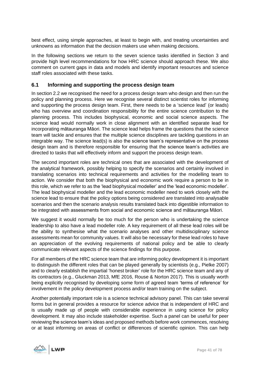best effect, using simple approaches, at least to begin with, and treating uncertainties and unknowns as information that the decision makers use when making decisions.

In the following sections we return to the seven science tasks identified in Section [3](#page-17-0) and provide high level recommendations for how HRC science should approach these. We also comment on current gaps in data and models and identify important resources and science staff roles associated with these tasks.

# <span id="page-40-0"></span>**6.1 Informing and supporting the process design team**

In section [2.2](#page-10-0) we recognised the need for a process design team who design and then run the policy and planning process. Here we recognise several distinct scientist roles for informing and supporting the process design team. First, there needs to be a 'science lead' (or leads) who has overview and coordination responsibility for the entire science contribution to the planning process. This includes biophysical, economic and social science aspects. The science lead would normally work in close alignment with an identified separate lead for incorporating mātauranga Māori. The science lead helps frame the questions that the science team will tackle and ensures that the multiple science disciplines are tackling questions in an integrable way. The science lead(s) is also the science team's representative on the process design team and is therefore responsible for ensuring that the science team's activities are directed to tasks that will effectively inform and support the process design team.

The second important roles are technical ones that are associated with the development of the analytical framework, possibly helping to specify the scenarios and certainly involved in translating scenarios into technical requirements and activities for the modelling team to action. We consider that both the biophysical and economic work require a person to be in this role, which we refer to as the 'lead biophysical modeller' and the 'lead economic modeller'. The lead biophysical modeller and the lead economic modeller need to work closely with the science lead to ensure that the policy options being considered are translated into analysable scenarios and then the scenario analysis results translated back into digestible information to be integrated with assessments from social and economic science and mātauranga Māori.

We suggest it would normally be too much for the person who is undertaking the science leadership to also have a lead modeller role. A key requirement of all these lead roles will be the ability to synthesise what the scenario analyses and other multidisciplinary science assessments mean for community values. It will also be necessary for these lead roles to have an appreciation of the evolving requirements of national policy and be able to clearly communicate relevant aspects of the science findings for this purpose.

For all members of the HRC science team that are informing policy development it is important to distinguish the different roles that can be played generally by scientists (e.g., Pielke 2007) and to clearly establish the impartial 'honest broker' role for the HRC science team and any of its contractors (e.g., Gluckman 2013, MfE 2016, Rouse & Norton 2017). This is usually worth being explicitly recognised by developing some form of agreed team 'terms of reference' for involvement in the policy development process and/or team training on the subject.

Another potentially important role is a science technical advisory panel. This can take several forms but in general provides a resource for science advice that is independent of HRC and is usually made up of people with considerable experience in using science for policy development. It may also include stakeholder expertise. Such a panel can be useful for peer reviewing the science team's ideas and proposed methods before work commences, resolving or at least informing on areas of conflict or differences of scientific opinion. This can help

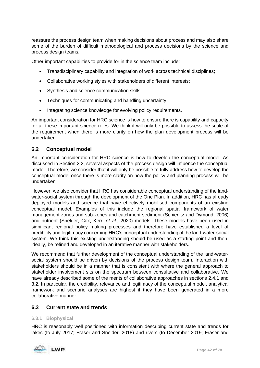reassure the process design team when making decisions about process and may also share some of the burden of difficult methodological and process decisions by the science and process design teams.

Other important capabilities to provide for in the science team include:

- Transdisciplinary capability and integration of work across technical disciplines;
- Collaborative working styles with stakeholders of different interests;
- Synthesis and science communication skills;
- Techniques for communicating and handling uncertainty;
- Integrating science knowledge for evolving policy requirements.

An important consideration for HRC science is how to ensure there is capability and capacity for all these important science roles. We think it will only be possible to assess the scale of the requirement when there is more clarity on how the plan development process will be undertaken.

# **6.2 Conceptual model**

An important consideration for HRC science is how to develop the conceptual model. As discussed in Section [2.2,](#page-10-0) several aspects of the process design will influence the conceptual model. Therefore, we consider that it will only be possible to fully address how to develop the conceptual model once there is more clarity on how the policy and planning process will be undertaken.

However, we also consider that HRC has considerable conceptual understanding of the landwater-social system through the development of the One Plan. In addition, HRC has already deployed models and science that have effectively mobilised components of an existing conceptual model. Examples of this include the regional spatial framework of water management zones and sub-zones and catchment sediment (Schierlitz and Dymond, 2006) and nutrient (Snelder, Cox, Kerr, *et al.*, 2020) models. These models have been used in significant regional policy making processes and therefore have established a level of credibility and legitimacy concerning HRC's conceptual understanding of the land-water-social system. We think this existing understanding should be used as a starting point and then, ideally, be refined and developed in an iterative manner with stakeholders.

We recommend that further development of the conceptual understanding of the land-watersocial system should be driven by decisions of the process design team. Interaction with stakeholders should be in a manner that is consistent with where the general approach to stakeholder involvement sits on the spectrum between consultative and collaborative. We have already described some of the merits of collaborative approaches in sections [2.4.1](#page-14-1) and [3.2.](#page-19-0) In particular, the credibility, relevance and legitimacy of the conceptual model, analytical framework and scenario analyses are highest if they have been generated in a more collaborative manner.

### <span id="page-41-0"></span>**6.3 Current state and trends**

### **6.3.1 Biophysical**

HRC is reasonably well positioned with information describing current state and trends for lakes (to July 2017; Fraser and Snelder, 2018) and rivers (to December 2019; Fraser and

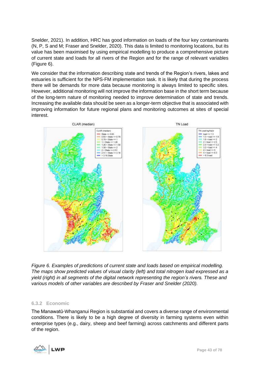Snelder, 2021). In addition, HRC has good information on loads of the four key contaminants (N, P, S and M; Fraser and Snelder, 2020). This data is limited to monitoring locations, but its value has been maximised by using empirical modelling to produce a comprehensive picture of current state and loads for all rivers of the Region and for the range of relevant variables [\(Figure 6\)](#page-42-0).

We consider that the information describing state and trends of the Region's rivers, lakes and estuaries is sufficient for the NPS-FM implementation task. It is likely that during the process there will be demands for more data because monitoring is always limited to specific sites. However, additional monitoring will not improve the information base in the short term because of the long-term nature of monitoring needed to improve determination of state and trends. Increasing the available data should be seen as a longer-term objective that is associated with improving information for future regional plans and monitoring outcomes at sites of special interest.



<span id="page-42-0"></span>*Figure 6. Examples of predictions of current state and loads based on empirical modelling. The maps show predicted values of visual clarity (left) and total nitrogen load expressed as a yield (right) in all segments of the digital network representing the region's rivers. These and various models of other variables are described by Fraser and Snelder (2020).*

### <span id="page-42-1"></span>**6.3.2 Economic**

The Manawatū-Whanganui Region is substantial and covers a diverse range of environmental conditions. There is likely to be a high degree of diversity in farming systems even within enterprise types (e.g., dairy, sheep and beef farming) across catchments and different parts of the region.

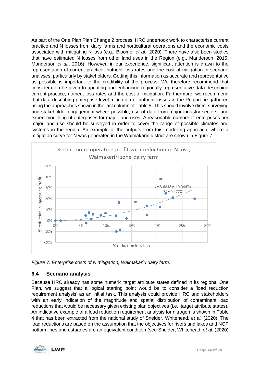As part of the One Plan Plan Change 2 process, HRC undertook work to characterise current practice and N losses from dairy farms and horticultural operations and the economic costs associated with mitigating N loss (e.g., Bloomer *et al.*, 2020). There have also been studies that have estimated N losses from other land uses in the Region (e.g., Manderson, 2015; Manderson *et al.*, 2016). However, in our experience, significant attention is drawn to the representation of current practice, nutrient loss rates and the cost of mitigation in scenario analyses, particularly by stakeholders. Getting this information as accurate and representative as possible is important to the credibility of the process. We therefore recommend that consideration be given to updating and enhancing regionally representative data describing current practice, nutrient loss rates and the cost of mitigation. Furthermore, we recommend that data describing enterprise level mitigation of nutrient losses in the Region be gathered using the approaches shown in the last column o[f Table 5.](#page-56-0) This should involve direct surveying and stakeholder engagement where possible, use of data from major industry sectors, and expert modelling of enterprises for major land uses. A reasonable number of enterprises per major land use should be surveyed in order to cover the range of possible climates and systems in the region. An example of the outputs from this modelling approach, where a mitigation curve for N was generated in the Waimakariri district are shown in [Figure 7.](#page-43-0)



<span id="page-43-0"></span>*Figure 7: Enterprise costs of N mitigation, Waimakariri dairy farm.*

# **6.4 Scenario analysis**

Because HRC already has some numeric target attribute states defined in its regional One Plan, we suggest that a logical starting point would be to consider a 'load reduction requirement analysis' as an initial task. This analysis could provide HRC and stakeholders with an early indication of the magnitude and spatial distribution of contaminant load reductions that would be necessary given existing plan objectives (i.e., target attribute states). An indicative example of a load reduction requirement analysis for nitrogen is shown in [Table](#page-45-0)  [4](#page-45-0) that has been extracted from the national study of Snelder, Whitehead, *et al.* (2020). The load reductions are based on the assumption that the objectives for rivers and lakes and NOF bottom lines and estuaries are an equivalent condition (see Snelder, Whitehead, *et al.* (2020)

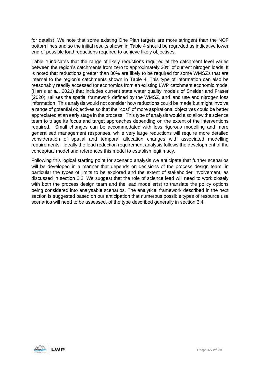for details). We note that some existing One Plan targets are more stringent than the NOF bottom lines and so the initial results shown in [Table 4](#page-45-0) should be regarded as indicative lower end of possible load reductions required to achieve likely objectives.

[Table 4](#page-45-0) indicates that the range of likely reductions required at the catchment level varies between the region's catchments from zero to approximately 30% of current nitrogen loads. It is noted that reductions greater than 30% are likely to be required for some WMSZs that are internal to the region's catchments shown in [Table 4.](#page-45-0) This type of information can also be reasonably readily accessed for economics from an existing LWP catchment economic model (Harris *et al.*, 2021) that includes current state water quality models of Snelder and Fraser (2020), utilises the spatial framework defined by the WMSZ, and land use and nitrogen loss information. This analysis would not consider how reductions could be made but might involve a range of potential objectives so that the "cost" of more aspirational objectives could be better appreciated at an early stage in the process. This type of analysis would also allow the science team to triage its focus and target approaches depending on the extent of the interventions required. Small changes can be accommodated with less rigorous modelling and more generalised management responses, while very large reductions will require more detailed consideration of spatial and temporal allocation changes with associated modelling requirements. Ideally the load reduction requirement analysis follows the development of the conceptual model and references this model to establish legitimacy.

Following this logical starting point for scenario analysis we anticipate that further scenarios will be developed in a manner that depends on decisions of the process design team, in particular the types of limits to be explored and the extent of stakeholder involvement, as discussed in section [2.2.](#page-10-0) We suggest that the role of science lead will need to work closely with both the process design team and the lead modeller(s) to translate the policy options being considered into analysable scenarios. The analytical framework described in the next section is suggested based on our anticipation that numerous possible types of resource use scenarios will need to be assessed, of the type described generally in section [3.4.](#page-21-0)

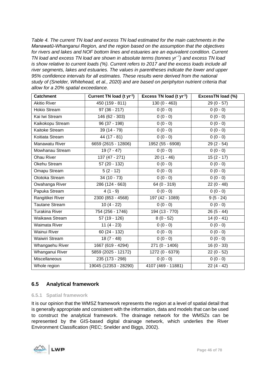<span id="page-45-0"></span>*Table 4. The current TN load and excess TN load estimated for the main catchments in the Manawatū-Whanganui Region, and the region based on the assumption that the objectives for rivers and lakes and NOF bottom lines and estuaries are an equivalent condition. Current TN load and excess TN load are shown in absolute terms (tonnes yr−1) and excess TN load is show relative to current loads (%). Current refers to 2017 and the excess loads include all river segments, lakes and estuaries. The values in parentheses indicate the lower and upper 95% confidence intervals for all estimates. These results were derived from the national study of (Snelder, Whitehead, et al., 2020) and are based on periphyton nutrient criteria that allow for a 20% spatial exceedance.*

| <b>Catchment</b>      | Current TN load (t yr <sup>-1</sup> ) | Excess TN load (t yr <sup>-1</sup> ) | <b>ExcessTN load (%)</b> |
|-----------------------|---------------------------------------|--------------------------------------|--------------------------|
| <b>Akitio River</b>   | 450 (159 - 811)                       | $130(0 - 463)$                       | $29(0 - 57)$             |
| Hokio Stream          | $97(36 - 217)$                        | $0(0 - 0)$                           | $0(0 - 0)$               |
| Kai Iwi Stream        | 146 (62 - 303)                        | $0(0 - 0)$                           | $0(0 - 0)$               |
| Kaikokopu Stream      | $96(37 - 198)$                        | $0(0 - 0)$                           | $0(0 - 0)$               |
| Kaitoke Stream        | $39(14 - 79)$                         | $0(0 - 0)$                           | $0(0 - 0)$               |
| Koitiata Stream       | $44(17-81)$                           | $0(0 - 0)$                           | $0(0 - 0)$               |
| Manawatu River        | 6659 (2615 - 12806)                   | 1952 (55 - 6908)                     | $29(2-54)$               |
| Mowhanau Stream       | $19(7 - 47)$                          | $0(0 - 0)$                           | $0(0 - 0)$               |
| <b>Ohau River</b>     | 137 (47 - 271)                        | $20(1 - 46)$                         | $15(2 - 17)$             |
| Okehu Stream          | 57 (20 - 132)                         | $0(0 - 0)$                           | $0(0 - 0)$               |
| Omapu Stream          | $5(2 - 12)$                           | $0(0 - 0)$                           | $0(0 - 0)$               |
| Ototoka Stream        | $34(10 - 73)$                         | $0(0 - 0)$                           | $0(0 - 0)$               |
| Owahanga River        | 286 (124 - 663)                       | $64(0 - 319)$                        | $22(0 - 48)$             |
| Papuka Stream         | $\overline{4(1-9)}$                   | $0(0 - 0)$                           | $0(0 - 0)$               |
| Rangitikei River      | $2300(853 - 4568)$                    | 197 (42 - 1089)                      | $9(5 - 24)$              |
| <b>Tautane Stream</b> | $10(4 - 22)$                          | $0(0 - 0)$                           | $0(0 - 0)$               |
| Turakina River        | 754 (256 - 1746)                      | 194 (13 - 770)                       | $26(5 - 44)$             |
| Waikawa Stream        | $\overline{57}$ (19 - 126)            | $8(0 - 52)$                          | $14(0 - 41)$             |
| Waimata River         | $11(4 - 23)$                          | $0(0 - 0)$                           | $0(0 - 0)$               |
| <b>Wainui River</b>   | 60 (24 - 132)                         | $0(0 - 0)$                           | $0(0 - 0)$               |
| <b>Waiwiri Stream</b> | $18(7 - 48)$                          | $0(0 - 0)$                           | $0(0 - 0)$               |
| Whangaehu River       | 1667 (619 - 4294)                     | $271(0 - 1406)$                      | $16(0 - 33)$             |
| Whanganui River       | 5859 (2025 - 12172)                   | 1272 (0 - 6379)                      | $22(0 - 52)$             |
| Miscellaneous         | $235(173 - 298)$                      | $0(0 - 0)$                           | $0(0 - 0)$               |
| Whole region          | 19045 (12353 - 28290)                 | 4107 (469 - 11881)                   | $22(4 - 42)$             |

# **6.5 Analytical framework**

### **6.5.1 Spatial framework**

It is our opinion that the WMSZ framework represents the region at a level of spatial detail that is generally appropriate and consistent with the information, data and models that can be used to construct the analytical framework. The drainage network for the WMSZs can be represented by the GIS-based digital drainage network, which underlies the River Environment Classification (REC; Snelder and Biggs, 2002).

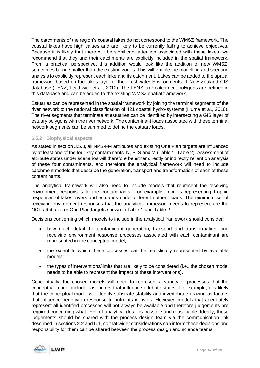The catchments of the region's coastal lakes do not correspond to the WMSZ framework. The coastal lakes have high values and are likely to be currently failing to achieve objectives. Because it is likely that there will be significant attention associated with these lakes, we recommend that they and their catchments are explicitly included in the spatial framework. From a practical perspective, this addition would look like the addition of new WMSZ, sometimes being smaller than the existing zones. This will enable the modelling and scenario analysis to explicitly represent each lake and its catchment. Lakes can be added to the spatial framework based on the lakes layer of the Freshwater Environments of New Zealand GIS database (FENZ; Leathwick et al., 2010). The FENZ lake catchment polygons are defined in this database and can be added to the existing WMSZ spatial framework.

Estuaries can be represented in the spatial framework by joining the terminal segments of the river network to the national classification of 421 coastal hydro-systems (Hume et al., 2016). The river segments that terminate at estuaries can be identified by intersecting a GIS layer of estuary polygons with the river network. The contaminant loads associated with these terminal network segments can be summed to define the estuary loads.

### **6.5.2 Biophysical aspects**

As stated in section [3.5.3,](#page-24-0) all NPS-FM attributes and existing One Plan targets are influenced by at least one of the four key contaminants: N, P, S and M [\(Table 1,](#page-26-0) [Table 2\)](#page-27-0). Assessment of attribute states under scenarios will therefore be either directly or indirectly reliant on analysis of these four contaminants, and therefore the analytical framework will need to include catchment models that describe the generation, transport and transformation of each of these contaminants.

The analytical framework will also need to include models that represent the receiving environment responses to the contaminants. For example, models representing trophic responses of lakes, rivers and estuaries under different nutrient loads. The minimum set of receiving environment responses that the analytical framework needs to represent are the NOF attributes or One Plan targets shown in [Table 1](#page-26-0) and [Table 2.](#page-27-0)

Decisions concerning which models to include in the analytical framework should consider:

- how much detail the contaminant generation, transport and transformation, and receiving environment response processes associated with each contaminant are represented in the conceptual model;
- the extent to which these processes can be realistically represented by available models;
- the types of interventions/limits that are likely to be considered (i.e., the chosen model needs to be able to represent the impact of these interventions).

Conceptually, the chosen models will need to represent a variety of processes that the conceptual model includes as factors that influence attribute states. For example, it is likely that the conceptual model will identify substrate stability and invertebrate grazing as factors that influence periphyton response to nutrients in rivers. However, models that adequately represent all identified processes will not always be available and therefore judgements are required concerning what level of analytical detail is possible and reasonable. Ideally, these judgements should be shared with the process design team via the communication link described in sections [2.2](#page-10-0) and [6.1,](#page-40-0) so that wider considerations can inform these decisions and responsibility for them can be shared between the process design and science teams.

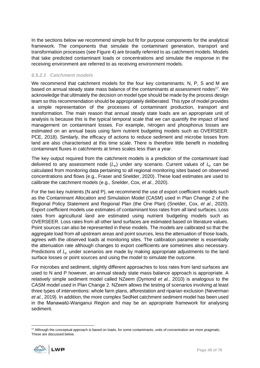In the sections below we recommend simple but fit for purpose components for the analytical framework. The components that simulate the contaminant generation, transport and transformation processes (see [Figure 4\)](#page-23-0) are broadly referred to as catchment models. Models that take predicted contaminant loads or concentrations and simulate the response in the receiving environment are referred to as receiving environment models.

### <span id="page-47-0"></span>*6.5.2.1 Catchment models*

We recommend that catchment models for the four key contaminants: N, P, S and M are based on annual steady state mass balance of the contaminants at assessment nodes<sup>17</sup>. We acknowledge that ultimately the decision on model type should be made by the process design team so this recommendation should be appropriately deliberated. This type of model provides a simple representation of the processes of contaminant production, transport and transformation. The main reason that annual steady state loads are an appropriate unit of analysis is because this is the typical temporal scale that we can quantify the impact of land management on contaminant losses. For example, nitrogen and phosphorus losses are estimated on an annual basis using farm nutrient budgeting models such as OVERSEER: PCE, 2018). Similarly, the efficacy of actions to reduce sediment and microbe losses from land are also characterised at this time scale. There is therefore little benefit in modelling contaminant fluxes in catchments at times scales less than a year.

The key output required from the catchment models is a prediction of the contaminant load delivered to any assessment node  $(L_e)$  under any scenario. Current values of  $L_e$  can be calculated from monitoring data pertaining to all regional monitoring sites based on observed concentrations and flows (e.g., Fraser and Snelder, 2020). These load estimates are used to calibrate the catchment models (e.g., Snelder, Cox, *et al.*, 2020).

For the two key nutrients (N and P), we recommend the use of export coefficient models such as the Contaminant Allocation and Simulation Model (CASM) used in Plan Change 2 of the Regional Policy Statement and Regional Plan (the One Plan) (Snelder, Cox, *et al.*, 2020). Export coefficient models use estimates of contaminant loss rates from all land surfaces. Loss rates from agricultural land are estimated using nutrient budgeting models such as OVERSEER. Loss rates from all other land surfaces are estimated based on literature values. Point sources can also be represented in these models. The models are calibrated so that the aggregate load from all upstream areas and point sources, less the attenuation of those loads, agrees with the observed loads at monitoring sites. The calibration parameter is essentially the attenuation rate although changes to export coefficients are sometimes also necessary. Predictions of  $L<sub>e</sub>$  under scenarios are made by making appropriate adjustments to the land surface losses or point sources and using the model to simulate the outcome.

For microbes and sediment, slightly different approaches to loss rates from land surfaces are used to N and P however, an annual steady state mass balance approach is appropriate. A relatively simple sediment model called NZeem (Dymond *et al.*, 2010) is analogous to the CASM model used in Plan Change 2. NZeem allows the testing of scenarios involving at least three types of interventions: whole farm plans, afforestation and riparian exclusion (Neverman *et al.*, 2019). In addition, the more complex SedNet catchment sediment model has been used in the Manawatū-Wanganui Region and may be an appropriate framework for analysing sediment.

<sup>&</sup>lt;sup>17</sup> Although the conceptual approach is based on loads, for some contaminants, units of concentration are more pragmatic. These are discussed below.

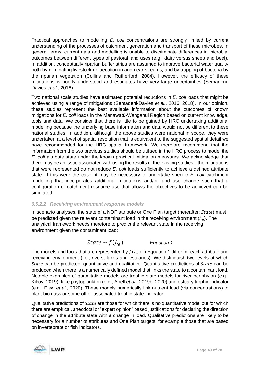Practical approaches to modelling *E. coli* concentrations are strongly limited by current understanding of the processes of catchment generation and transport of these microbes. In general terms, current data and modelling is unable to discriminate differences in microbial outcomes between different types of pastoral land uses (e.g., dairy versus sheep and beef). In addition, conceptually riparian buffer strips are assumed to improve bacterial water quality both by eliminating livestock defaecation in and near streams, and by trapping of bacteria by the riparian vegetation (Collins and Rutherford, 2004). However, the efficacy of these mitigations is poorly understood and estimates have very large uncertainties (Semadeni-Davies *et al.*, 2016).

Two national scale studies have estimated potential reductions in *E. coli* loads that might be achieved using a range of mitigations (Semadeni-Davies *et al.*, 2016, 2018). In our opinion, these studies represent the best available information about the outcomes of known mitigations for *E. coli* loads in the Manawatū-Wanganui Region based on current knowledge, tools and data. We consider that there is little to be gained by HRC undertaking additional modelling because the underlying base information and data would not be different to these national studies. In addition, although the above studies were national in scope, they were undertaken at a level of spatial resolution that is equivalent to the suggested spatial detail we have recommended for the HRC spatial framework. We therefore recommend that the information from the two previous studies should be utilised in the HRC process to model the *E. coli* attribute state under the known practical mitigation measures. We acknowledge that there may be an issue associated with using the results of the existing studies if the mitigations that were represented do not reduce *E. coli* loads sufficiently to achieve a defined attribute state. If this were the case, it may be necessary to undertake specific *E. coli* catchment modelling that incorporates additional mitigations and/or land use change such that a configuration of catchment resource use that allows the objectives to be achieved can be simulated.

### *6.5.2.2 Receiving environment response models*

In scenario analyses, the state of a NOF attribute or One Plan target (hereafter;  $State$ ) must be predicted given the relevant contaminant load in the receiving environment  $(L_e)$ . The analytical framework needs therefore to predict the relevant state in the receiving environment given the contaminant load:

#### $State \sim f(L_e)$ ) *Equation 1*

The models and tools that are represented by  $f(L_E)$  in Equation 1 differ for each attribute and receiving environment (i.e., rivers, lakes and estuaries). We distinguish two levels at which State can be predicted: quantitative and qualitative. Quantitative predictions of  $State$  can be produced when there is a numerically defined model that links the state to a contaminant load. Notable examples of quantitative models are trophic state models for river periphyton (e.g., Kilroy, 2019), lake phytoplankton (e.g., Abell *et al.*, 2019b, 2020) and estuary trophic indicator (e.g., Plew *et al.*, 2020). These models numerically link nutrient load (via concentrations) to plant biomass or some other associated trophic state indicator.

Qualitative predictions of *State* are those for which there is no quantitative model but for which there are empirical, anecdotal or "expert opinion" based justifications for declaring the direction of change in the attribute state with a change in load. Qualitative predictions are likely to be necessary for a number of attributes and One Plan targets, for example those that are based on invertebrate or fish indicators.

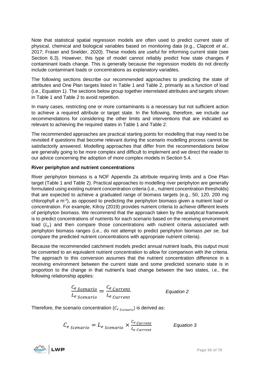Note that statistical spatial regression models are often used to predict current state of physical, chemical and biological variables based on monitoring data (e.g., Clapcott *et al.*, 2017; Fraser and Snelder, 2020). These models are useful for informing current state (see Section [6.3\)](#page-41-0). However, this type of model cannot reliably predict how state changes if contaminant loads change. This is generally because the regression models do not directly include contaminant loads or concentrations as explanatory variables.

The following sections describe our recommended approaches to predicting the state of attributes and One Plan targets listed in [Table 1](#page-26-0) and [Table 2,](#page-27-0) primarily as a function of load (i.e., Equation 1). The sections below group together interrelated attributes and targets shown in [Table 1](#page-26-0) and [Table 2](#page-27-0) to avoid repetition.

In many cases, restricting one or more contaminants is a necessary but not sufficient action to achieve a required attribute or target state. In the following, therefore, we include our recommendations for considering the other limits and interventions that are indicated as relevant to achieving the required states in [Table 1](#page-26-0) and [Table 2.](#page-27-0)

The recommended approaches are practical starting points for modelling that may need to be revisited if questions that become relevant during the scenario modelling process cannot be satisfactorily answered. Modelling approaches that differ from the recommendations below are generally going to be more complex and difficult to implement and we direct the reader to our advice concerning the adoption of more complex models in Section [5.4.](#page-38-0)

# **River periphyton and nutrient concentrations**

River periphyton biomass is a NOF Appendix 2a attribute requiring limits and a One Plan target [\(Table 1](#page-26-0) and [Table 2\)](#page-27-0). Practical approaches to modelling river periphyton are generally formulated using existing nutrient concentration criteria (i.e., nutrient concentration thresholds) that are expected to achieve a graduated range of biomass targets (e.g., 50, 120, 200 mg chlorophyll a m<sup>-2</sup>), as opposed to predicting the periphyton biomass given a nutrient load or concentration. For example, Kilroy (2019) provides nutrient criteria to achieve different levels of periphyton biomass. We recommend that the approach taken by the analytical framework is to predict concentrations of nutrients for each scenario based on the receiving environment load  $(L_e)$  and then compare those concentrations with nutrient criteria associated with periphyton biomass ranges (i.e., do not attempt to predict periphyton biomass *per se*, but compare the predicted nutrient concentrations with appropriate nutrient criteria).

Because the recommended catchment models predict annual nutrient loads, this output must be converted to an equivalent nutrient concentration to allow for comparison with the criteria. The approach to this conversion assumes that the nutrient concentration difference in a receiving environment between the current state and some predicted scenario state is in proportion to the change in that nutrient's load change between the two states, i.e., the following relationship applies:

$$
\frac{C_e \, \text{scenario}}{L_e \, \text{scenario}} = \frac{C_e \, \text{current}}{L_e \, \text{current}}
$$
\nEquation 2

Therefore, the scenario concentration ( $C_{e\ Scenari\omega}$ ) is derived as:

 $C_{e\text{ }\textit{Scenario}} = L_{e\text{ }\textit{Scenario}} \times \frac{C_{e\text{ }\textit{Current}}}{L_{e\text{ }\textit{Current}} }$  $L_e$  Current *Equation 3*

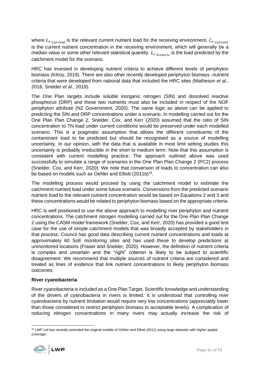where  $L_{e\ current}$  is the relevant current nutrient load for the receiving environment,  $C_{e\ current}$ is the current nutrient concentration in the receiving environment, which will generally be a median value or some other relevant statistical quantity.  $L_{e\,Scenario}$  is the load predicted by the catchment model for the scenario.

HRC has invested in developing nutrient criteria to achieve different levels of periphyton biomass (Kilroy, 2019). There are also other recently developed periphyton biomass -nutrient criteria that were developed from national data that included the HRC sites (Matheson *et al.*, 2016; Snelder *et al.*, 2019).

The One Plan targets include soluble inorganic nitrogen (SIN) and dissolved reactive phosphorus (DRP) and these two nutrients must also be included in respect of the NOF periphyton attribute (NZ Government, 2020). The same logic as above can be applied to predicting the SIN and DRP concentrations under a scenario. In modelling carried out for the One Plan Plan Change 2, Snelder, Cox, and Kerr (2020) assumed that the ratio of SIN concentration to TN load under current conditions would be preserved under each modelled scenario. This is a pragmatic assumption that allows the different constituents of the contaminant load to be predicted but should be recognised as a source of modelling uncertainty. In our opinion, with the data that is available in most limit setting studies this uncertainty is probably irreducible in the short to medium term. Note that this assumption is consistent with current modelling practice. The approach outlined above was used successfully to simulate a range of scenarios in the One Plan Plan Change 2 (PC2) process (Snelder, Cox, and Kerr, 2020). We note that conversion of loads to concentration can also be based on models such as Oehler and Elliott (2011b)<sup>18</sup>.

The modelling process would proceed by using the catchment model to estimate the catchment nutrient load under some future scenario. Conversions from the predicted scenario nutrient load to the relevant nutrient concentration would be based on Equations 2 and 3 and these concentrations would be related to periphyton biomass based on the appropriate criteria.

HRC is well positioned to use the above approach to modelling river periphyton and nutrient concentrations. The catchment nitrogen modelling carried out for the One Plan Plan Change 2 using the CASM model framework (Snelder, Cox, and Kerr, 2020) has provided a good test case for the use of simple catchment models that was broadly accepted by stakeholders in that process. Council has good data describing current nutrient concentrations and loads at approximately 60 SoE monitoring sites and has used these to develop predictions at unmonitored locations (Fraser and Snelder, 2020). However, the definition of nutrient criteria is complex and uncertain and the "right" criterion is likely to be subject to scientific disagreement. We recommend that multiple sources of nutrient criteria are considered and treated as lines of evidence that link nutrient concentrations to likely periphyton biomass outcomes.

### **River cyanobacteria**

River cyanobacteria is included as a One Plan Target. Scientific knowledge and understanding of the drivers of cyanobacteria in rivers is limited. It is understood that controlling river cyanobacteria by nutrient limitation would require very low concentrations (appreciably lower than those considered to restrict periphyton biomass to acceptable levels). A complication of reducing nitrogen concentrations in many rivers may actually increase the risk of

<sup>&</sup>lt;sup>18</sup> LWP Ltd has recently extended the original models of Oehler and Elliott (2011) using large datasets with higher spatial coverage.

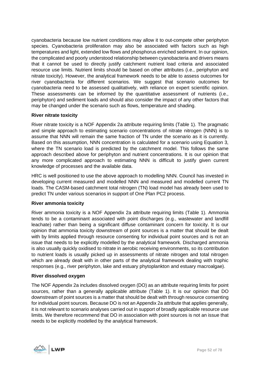cyanobacteria because low nutrient conditions may allow it to out-compete other periphyton species. Cyanobacteria proliferation may also be associated with factors such as high temperatures and light, extended low flows and phosphorus enriched sediment. In our opinion, the complicated and poorly understood relationship between cyanobacteria and drivers means that it cannot be used to directly justify catchment nutrient load criteria and associated resource use limits. Nutrient limits should be based on other attributes (i.e., periphyton and nitrate toxicity). However, the analytical framework needs to be able to assess outcomes for river cyanobacteria for different scenarios. We suggest that scenario outcomes for cyanobacteria need to be assessed qualitatively, with reliance on expert scientific opinion. These assessments can be informed by the quantitative assessment of nutrients (i.e., periphyton) and sediment loads and should also consider the impact of any other factors that may be changed under the scenario such as flows, temperature and shading.

### **River nitrate toxicity**

River nitrate toxicity is a NOF Appendix 2a attribute requiring limits [\(Table 1\)](#page-26-0). The pragmatic and simple approach to estimating scenario concentrations of nitrate nitrogen (NNN) is to assume that NNN will remain the same fraction of TN under the scenario as it is currently. Based on this assumption, NNN concentration is calculated for a scenario using Equation 3, where the TN scenario load is predicted by the catchment model. This follows the same approach described above for periphyton and nutrient concentrations. It is our opinion that any more complicated approach to estimating NNN is difficult to justify given current knowledge of processes and the available data.

HRC is well positioned to use the above approach to modelling NNN. Council has invested in developing current measured and modelled NNN and measured and modelled current TN loads. The CASM-based catchment total nitrogen (TN) load model has already been used to predict TN under various scenarios in support of One Plan PC2 process.

### **River ammonia toxicity**

River ammonia toxicity is a NOF Appendix 2a attribute requiring limits [\(Table 1\)](#page-26-0). Ammonia tends to be a contaminant associated with point discharges (e.g., wastewater and landfill leachate) rather than being a significant diffuse contaminant concern for toxicity. It is our opinion that ammonia toxicity downstream of point sources is a matter that should be dealt with by limits applied through resource consenting for individual point sources and is not an issue that needs to be explicitly modelled by the analytical framework. Discharged ammonia is also usually quickly oxidised to nitrate in aerobic receiving environments, so its contribution to nutrient loads is usually picked up in assessments of nitrate nitrogen and total nitrogen which are already dealt with in other parts of the analytical framework dealing with trophic responses (e.g., river periphyton, lake and estuary phytoplankton and estuary macroalgae).

### **River dissolved oxygen**

The NOF Appendix 2a includes dissolved oxygen (DO) as an attribute requiring limits for point sources, rather than a generally applicable attribute [\(Table 1\)](#page-26-0). It is our opinion that DO downstream of point sources is a matter that should be dealt with through resource consenting for individual point sources. Because DO is not an Appendix 2a attribute that applies generally, it is not relevant to scenario analyses carried out in support of broadly applicable resource use limits. We therefore recommend that DO in association with point sources is not an issue that needs to be explicitly modelled by the analytical framework.

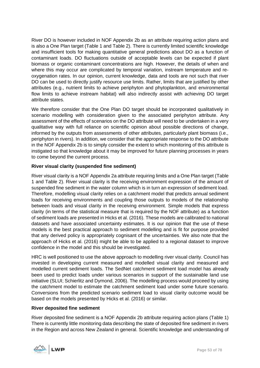River DO is however included in NOF Appendix 2b as an attribute requiring action plans and is also a One Plan target [\(Table 1](#page-26-0) and [Table 2\)](#page-27-0). There is currently limited scientific knowledge and insufficient tools for making quantitative general predictions about DO as a function of contaminant loads. DO fluctuations outside of acceptable levels can be expected if plant biomass or organic contaminant concentrations are high. However, the details of when and where this may occur are complicated by temporal variation, instream temperature and reoxygenation rates. In our opinion, current knowledge, data and tools are not such that river DO can be used to directly justify resource use limits. Rather, limits that are justified by other attributes (e.g., nutrient limits to achieve periphyton and phytoplankton, and environmental flow limits to achieve instream habitat) will also indirectly assist with achieving DO target attribute states.

We therefore consider that the One Plan DO target should be incorporated qualitatively in scenario modelling with consideration given to the associated periphyton attribute. Any assessment of the effects of scenarios on the DO attribute will need to be undertaken in a very qualitative way with full reliance on scientific opinion about possible directions of change, informed by the outputs from assessments of other attributes, particularly plant biomass (i.e., periphyton in rivers). In addition, we consider that the appropriate response to the DO attribute in the NOF Appendix 2b is to simply consider the extent to which monitoring of this attribute is instigated so that knowledge about it may be improved for future planning processes in years to come beyond the current process.

# **River visual clarity (suspended fine sediment)**

River visual clarity is a NOF Appendix 2a attribute requiring limits and a One Plan target [\(Table](#page-26-0)  [1](#page-26-0) and [Table 2\)](#page-27-0). River visual clarity is the receiving environment expression of the amount of suspended fine sediment in the water column which is in turn an expression of sediment load. Therefore, modelling visual clarity relies on a catchment model that predicts annual sediment loads for receiving environments and coupling those outputs to models of the relationship between loads and visual clarity in the receiving environment. Simple models that express clarity (in terms of the statistical measure that is required by the NOF attribute) as a function of sediment loads are presented in Hicks et al. (2016). These models are calibrated to national datasets and have associated uncertainty estimates. It is our opinion that the use of these models is the best practical approach to sediment modelling and is fit for purpose provided that any derived policy is appropriately cognisant of the uncertainties. We also note that the approach of Hicks et al. (2016) might be able to be applied to a regional dataset to improve confidence in the model and this should be investigated.

HRC is well positioned to use the above approach to modelling river visual clarity. Council has invested in developing current measured and modelled visual clarity and measured and modelled current sediment loads. The SedNet catchment sediment load model has already been used to predict loads under various scenarios in support of the sustainable land use initiative (SLUI; Schierlitz and Dymond, 2006). The modelling process would proceed by using the catchment model to estimate the catchment sediment load under some future scenario. Conversions from the predicted scenario sediment load to visual clarity outcome would be based on the models presented by Hicks et al. (2016) or similar.

### **River deposited fine sediment**

River deposited fine sediment is a NOF Appendix 2b attribute requiring action plans [\(Table 1\)](#page-26-0) There is currently little monitoring data describing the state of deposited fine sediment in rivers in the Region and across New Zealand in general. Scientific knowledge and understanding of

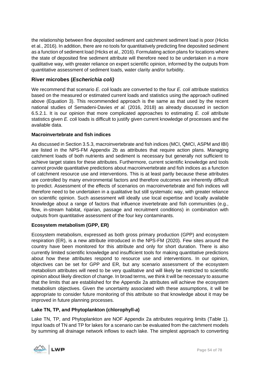the relationship between fine deposited sediment and catchment sediment load is poor (Hicks et al., 2016). In addition, there are no tools for quantitatively predicting fine deposited sediment as a function of sediment load (Hicks et al., 2016). Formulating action plans for locations where the state of deposited fine sediment attribute will therefore need to be undertaken in a more qualitative way, with greater reliance on expert scientific opinion, informed by the outputs from quantitative assessment of sediment loads, water clarity and/or turbidity.

# **River microbes (***Escherichia coli)*

We recommend that scenario *E. coli* loads are converted to the four *E. coli* attribute statistics based on the measured or estimated current loads and statistics using the approach outlined above (Equation 3). This recommended approach is the same as that used by the recent national studies of Semadeni-Davies *et al.* (2016, 2018) as already discussed in section [6.5.2.1.](#page-47-0) It is our opinion that more complicated approaches to estimating *E. coli* attribute statistics given *E. coli* loads is difficult to justify given current knowledge of processes and the available data.

# **Macroinvertebrate and fish indices**

As discussed in Section [3.5.3,](#page-24-0) macroinvertebrate and fish indices (MCI, QMCI, ASPM and IBI) are listed in the NPS-FM Appendix 2b as attributes that require action plans. Managing catchment loads of both nutrients and sediment is necessary but generally not sufficient to achieve target states for these attributes. Furthermore, current scientific knowledge and tools cannot provide quantitative predictions about macroinvertebrate and fish indices as a function of catchment resource use and interventions. This is at least partly because these attributes are controlled by many environmental factors and therefore outcomes are inherently difficult to predict. Assessment of the effects of scenarios on macroinvertebrate and fish indices will therefore need to be undertaken in a qualitative but still systematic way, with greater reliance on scientific opinion. Such assessment will ideally use local expertise and locally available knowledge about a range of factors that influence invertebrate and fish communities (e.g., flow, in-stream habitat, riparian, passage and recruitment conditions) in combination with outputs from quantitative assessment of the four key contaminants.

# **Ecosystem metabolism (GPP, ER)**

Ecosystem metabolism, expressed as both gross primary production (GPP) and ecosystem respiration (ER), is a new attribute introduced in the NPS-FM (2020). Few sites around the country have been monitored for this attribute and only for short duration. There is also currently limited scientific knowledge and insufficient tools for making quantitative predictions about how these attributes respond to resource use and interventions. In our opinion, objectives can be set for GPP and ER, but any scenario assessment of the ecosystem metabolism attributes will need to be very qualitative and will likely be restricted to scientific opinion about likely direction of change. In broad terms, we think it will be necessary to assume that the limits that are established for the Appendix 2a attributes will achieve the ecosystem metabolism objectives. Given the uncertainty associated with these assumptions, it will be appropriate to consider future monitoring of this attribute so that knowledge about it may be improved in future planning processes.

# **Lake TN, TP, and Phytoplankton (chlorophyll-***a***)**

Lake TN, TP, and Phytoplankton are NOF Appendix 2a attributes requiring limits [\(Table 1\)](#page-26-0). Input loads of TN and TP for lakes for a scenario can be evaluated from the catchment models by summing all drainage network inflows to each lake. The simplest approach to converting

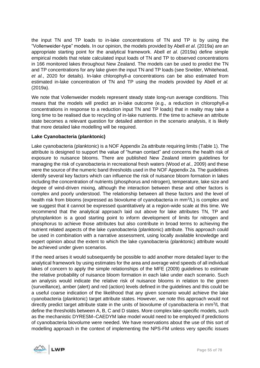the input TN and TP loads to in-lake concentrations of TN and TP is by using the "Vollenweider-type" models. In our opinion, the models provided by Abell *et al*. (2019a) are an appropriate starting point for the analytical framework. Abell *et al*. (2019a) define simple empirical models that relate calculated input loads of TN and TP to observed concentrations in 166 monitored lakes throughout New Zealand. The models can be used to predict the TN and TP concentrations for any lake given the input TN and TP loads (see Snelder, Whitehead, *et al.*, 2020 for details). In-lake chlorophyll-*a* concentrations can be also estimated from estimated in-lake concentration of TN and TP using the models provided by Abell *et al.* (2019a).

We note that Vollenweider models represent steady state long-run average conditions. This means that the models will predict an in-lake outcome (e.g., a reduction in chlorophyll-*a* concentrations in response to a reduction input TN and TP loads) that in reality may take a long time to be realised due to recycling of in-lake nutrients. If the time to achieve an attribute state becomes a relevant question for detailed attention in the scenario analysis, it is likely that more detailed lake modelling will be required.

# **Lake Cyanobacteria (planktonic)**

Lake cyanobacteria (planktonic) is a NOF Appendix 2a attribute requiring limits [\(Table 1\)](#page-26-0). The attribute is designed to support the value of "human contact" and concerns the health risk of exposure to nuisance blooms. There are published New Zealand interim guidelines for managing the risk of cyanobacteria in recreational fresh waters (Wood *et al.*, 2009) and these were the source of the numeric band thresholds used in the NOF Appendix 2a. The guidelines identify several key factors which can influence the risk of nuisance bloom formation in lakes including the concentration of nutrients (phosphorus and nitrogen), temperature, lake size and degree of wind-driven mixing, although the interaction between these and other factors is complex and poorly understood. The relationship between all these factors and the level of health risk from blooms (expressed as biovolume of cyanobacteria in mm<sup>3</sup>/L) is complex and we suggest that it cannot be expressed quantitatively at a region-wide scale at this time. We recommend that the analytical approach laid out above for lake attributes TN, TP and phytoplankton is a good starting point to inform development of limits for nitrogen and phosphorus to achieve those attributes but also contribute in broad terms to achieving the nutrient related aspects of the lake cyanobacteria (planktonic) attribute. This approach could be used in combination with a narrative assessment, using locally available knowledge and expert opinion about the extent to which the lake cyanobacteria (planktonic) attribute would be achieved under given scenarios.

If the need arises it would subsequently be possible to add another more detailed layer to the analytical framework by using estimates for the area and average wind speeds of all individual lakes of concern to apply the simple relationships of the MFE (2009) guidelines to estimate the relative probability of nuisance bloom formation in each lake under each scenario. Such an analysis would indicate the relative risk of nuisance blooms in relation to the green (surveillance), amber (alert) and red (action) levels defined in the guidelines and this could be a useful coarse indication of the likelihood that any given scenario would achieve the lake cyanobacteria (planktonic) target attribute states. However, we note this approach would not directly predict target attribute state in the units of biovolume of cyanobacteria in mm<sup>3</sup>/L that define the thresholds between A, B, C and D states. More complex lake-specific models, such as the mechanistic DYRESM–CAEDYM lake model would need to be employed if predictions of cyanobacteria biovolume were needed. We have reservations about the use of this sort of modelling approach in the context of implementing the NPS-FM unless very specific issues

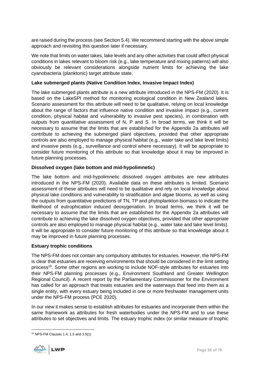are raised during the process (see Section [5.4\)](#page-38-0). We recommend starting with the above simple approach and revisiting this question later if necessary.

We note that limits on water takes, lake levels and any other activities that could affect physical conditions in lakes relevant to bloom risk (e.g., lake temperature and mixing patterns) will also obviously be relevant considerations alongside nutrient limits for achieving the lake cyanobacteria (planktonic) target attribute state.

# **Lake submerged plants (Native Condition Index, Invasive Impact Index)**

The lake submerged plants attribute is a new attribute introduced in the NPS-FM (2020). It is based on the LakeSPI method for monitoring ecological condition in New Zealand lakes. Scenario assessment for this attribute will need to be qualitative, relying on local knowledge about the range of factors that influence native condition and invasive impact (e.g., current condition, physical habitat and vulnerability to invasive pest species), in combination with outputs from quantitative assessment of N, P and S. In broad terms, we think it will be necessary to assume that the limits that are established for the Appendix 2a attributes will contribute to achieving the submerged plant objectives, provided that other appropriate controls are also employed to manage physical habitat (e.g., water take and lake level limits) and invasive pests (e.g., surveillance and control where necessary). It will be appropriate to consider future monitoring of this attribute so that knowledge about it may be improved in future planning processes.

# **Dissolved oxygen (lake bottom and mid-hypolimnetic)**

The lake bottom and mid-hypolimnetic dissolved oxygen attributes are new attributes introduced in the NPS-FM (2020). Available data on these attributes is limited. Scenario assessment of these attributes will need to be qualitative and rely on local knowledge about physical lake conditions and vulnerability to stratification and algae blooms, as well as using the outputs from quantitative predictions of TN, TP and phytoplankton biomass to indicate the likelihood of eutrophication induced deoxygenation. In broad terms, we think it will be necessary to assume that the limits that are established for the Appendix 2a attributes will contribute to achieving the lake dissolved oxygen objectives, provided that other appropriate controls are also employed to manage physical habitat (e.g., water take and lake level limits). It will be appropriate to consider future monitoring of this attribute so that knowledge about it may be improved in future planning processes.

### **Estuary trophic conditions**

The NPS-FM does not contain any compulsory attributes for estuaries. However, the NPS-FM is clear that estuaries are receiving environments that should be considered in the limit setting process<sup>19</sup>. Some other regions are working to include NOF-style attributes for estuaries into their NPS-FM planning processes (e.g., Environment Southland and Greater Wellington Regional Council). A recent report by the Parliamentary Commissioner for the Environment has called for an approach that treats estuaries and the waterways that feed into them as a single entity, with every estuary being included in one or more freshwater management units under the NPS-FM process (PCE 2020).

In our view it makes sense to establish attributes for estuaries and incorporate them within the same framework as attributes for fresh waterbodies under the NPS-FM and to use these attributes to set objectives and limits. The estuary trophic index (or similar measure of trophic

<sup>19</sup> NPS-FM Clauses 1.4, 1.5 and 3.5(1)

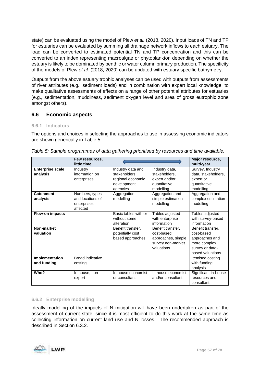state) can be evaluated using the model of Plew *et al.* (2018, 2020). Input loads of TN and TP for estuaries can be evaluated by summing all drainage network inflows to each estuary. The load can be converted to estimated potential TN and TP concentration and this can be converted to an index representing macroalgae or phytoplankton depending on whether the estuary is likely to be dominated by benthic or water column primary production. The specificity of the models of Plew *et al.* (2018, 2020) can be updated with estuary specific bathymetry.

Outputs from the above estuary trophic analyses can be used with outputs from assessments of river attributes (e.g., sediment loads) and in combination with expert local knowledge, to make qualitative assessments of effects on a range of other potential attributes for estuaries (e.g., sedimentation, muddiness, sediment oxygen level and area of gross eutrophic zone amongst others).

# <span id="page-56-1"></span>**6.6 Economic aspects**

### **6.6.1 Indicators**

The options and choices in selecting the approaches to use in assessing economic indicators are shown generically in [Table 5.](#page-56-0)

|                                     | Few resources,<br>little time                                 |                                                                                    |                                                                                           | Major resource,<br>multi-year                                                                            |
|-------------------------------------|---------------------------------------------------------------|------------------------------------------------------------------------------------|-------------------------------------------------------------------------------------------|----------------------------------------------------------------------------------------------------------|
| <b>Enterprise scale</b><br>analysis | Industry<br>information on<br>enterprises                     | Industry data and<br>stakeholders.<br>regional economic<br>development<br>agencies | Industry data,<br>stakeholders.<br>expert and/or<br>quantitative<br>modelling             | Survey, Industry<br>data, stakeholders,<br>expert or<br>quantitative<br>modelling                        |
| Catchment<br>analysis               | Numbers, types<br>and locations of<br>enterprises<br>affected | Aggregation<br>modelling                                                           | Aggregation and<br>simple estimation<br>modelling                                         | Aggregation and<br>complex estimation<br>modelling                                                       |
| Flow-on impacts                     |                                                               | Basic tables with or<br>without some<br>alteration                                 | Tables adjusted<br>with enterprise<br>information                                         | Tables adjusted<br>with survey-based<br>information                                                      |
| Non-market<br>valuation             |                                                               | Benefit transfer,<br>potentially cost<br>based approaches.                         | Benefit transfer,<br>cost-based<br>approaches, simple<br>survey non-market<br>valuations. | Benefit transfer,<br>cost-based<br>approaches and<br>more complex<br>survey or data-<br>based valuations |
| Implementation<br>and funding       | <b>Broad indicative</b><br>costing                            |                                                                                    |                                                                                           | Itemised costing<br>with funding<br>analysis                                                             |
| Who?                                | In house, non-<br>expert                                      | In house economist<br>or consultant                                                | In house economist<br>and/or consultant                                                   | Significant in-house<br>resources and<br>consultant                                                      |

<span id="page-56-0"></span>

|  |  | Table 5: Sample programmes of data gathering prioritised by resources and time available. |  |
|--|--|-------------------------------------------------------------------------------------------|--|
|  |  |                                                                                           |  |

### **6.6.2 Enterprise modelling**

Ideally modelling of the impacts of N mitigation will have been undertaken as part of the assessment of current state, since it is most efficient to do this work at the same time as collecting information on current land use and N losses. The recommended approach is described in Section [6.3.2.](#page-42-1)

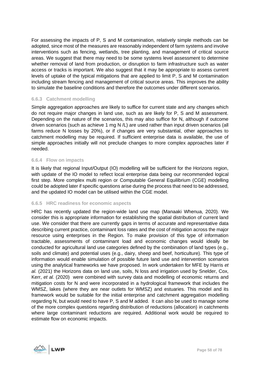For assessing the impacts of P, S and M contamination, relatively simple methods can be adopted, since most of the measures are reasonably independent of farm systems and involve interventions such as fencing, wetlands, tree planting, and management of critical source areas. We suggest that there may need to be some systems level assessment to determine whether removal of land from production, or disruption to farm infrastructure such as water access or tracks is important. We also suggest that it may be appropriate to assess current levels of uptake of the typical mitigations that are applied to limit P, S and M contamination including stream fencing and management of critical source areas. This improves the ability to simulate the baseline conditions and therefore the outcomes under different scenarios.

### **6.6.3 Catchment modelling**

Simple aggregation approaches are likely to suffice for current state and any changes which do not require major changes in land use, such as are likely for P, S and M assessment. Depending on the nature of the scenarios, this may also suffice for N, although if outcome driven scenarios (such as achieve 1 mg N /L) are used rather than input driven scenarios (all farms reduce N losses by 20%), or if changes are very substantial, other approaches to catchment modelling may be required. If sufficient enterprise data is available, the use of simple approaches initially will not preclude changes to more complex approaches later if needed.

### **6.6.4 Flow on impacts**

It is likely that regional Input/Output (IO) modelling will be sufficient for the Horizons region, with update of the IO model to reflect local enterprise data being our recommended logical first step. More complex multi region or Computable General Equilibrium (CGE) modelling could be adopted later if specific questions arise during the process that need to be addressed, and the updated IO model can be utilised within the CGE model.

### **6.6.5 HRC readiness for economic aspects**

HRC has recently updated the region-wide land use map (Manaaki Whenua, 2020). We consider this is appropriate information for establishing the spatial distribution of current land use. We consider that there are currently gaps in terms of accurate and representative data describing current practice, contaminant loss rates and the cost of mitigation across the major resource using enterprises in the Region. To make provision of this type of information tractable, assessments of contaminant load and economic changes would ideally be conducted for agricultural land use categories defined by the combination of land types (e.g., soils and climate) and potential uses (e.g., dairy, sheep and beef, horticulture). This type of information would enable simulation of possible future land use and intervention scenarios using the analytical frameworks we have proposed. In work undertaken for MFE by Harris *et al.* (2021) the Horizons data on land use, soils, N loss and irrigation used by Snelder, Cox, Kerr, *et al.* (2020) were combined with survey data and modelling of economic returns and mitigation costs for N and were incorporated in a hydrological framework that includes the WMSZ, lakes (where they are near outlets for WMSZ) and estuaries. This model and its framework would be suitable for the initial enterprise and catchment aggregation modelling regarding N, but would need to have P, S and M added. It can also be used to manage some of the more complex questions regarding distribution of reductions (allocation) in catchments where large contaminant reductions are required. Additional work would be required to estimate flow on economic impacts.

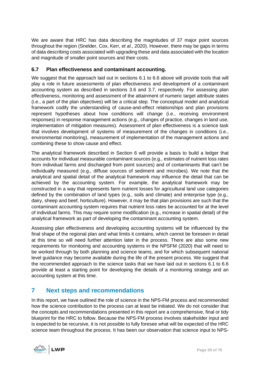We are aware that HRC has data describing the magnitudes of 37 major point sources throughout the region (Snelder, Cox, Kerr, *et al.*, 2020). However, there may be gaps in terms of data describing costs associated with upgrading these and data associated with the location and magnitude of smaller point sources and their costs.

# **6.7 Plan effectiveness and contaminant accounting.**

We suggest that the approach laid out in sections [6.1](#page-40-0) to [6.6](#page-56-1) above will provide tools that will play a role in future assessments of plan effectiveness and development of a contaminant accounting system as described in sections [3.6](#page-29-0) and [3.7,](#page-30-0) respectively. For assessing plan effectiveness, monitoring and assessment of the attainment of numeric target attribute states (i.e., a part of the plan objectives) will be a critical step. The conceptual model and analytical framework codify the understanding of cause-and-effect relationships and plan provisions represent hypotheses about how conditions will change (i.e., receiving environment responses) in response management actions (e.g., changes of practice, changes in land use, implementation of mitigation measures). Assessment of plan effectiveness is a science task that involves development of systems of measurement of the changes in conditions (i.e., environmental monitoring), measurement of implementation of the management actions and combining these to show cause and effect.

The analytical framework described in Section [6](#page-39-0) will provide a basis to build a ledger that accounts for individual measurable contaminant sources (e.g., estimates of nutrient loss rates from individual farms and discharged from point sources) and of contaminants that can't be individually measured (e.g., diffuse sources of sediment and microbes). We note that the analytical and spatial detail of the analytical framework may influence the detail that can be achieved by the accounting system. For example, the analytical framework may be constructed in a way that represents farm nutrient losses for agricultural land use categories defined by the combination of land types (e.g., soils and climate) and enterprise type (e.g., dairy, sheep and beef, horticulture). However, it may be that plan provisions are such that the contaminant accounting system requires that nutrient loss rates be accounted for at the level of individual farms. This may require some modification (e.g., increase in spatial detail) of the analytical framework as part of developing the contaminant accounting system.

Assessing plan effectiveness and developing accounting systems will be influenced by the final shape of the regional plan and what limits it contains, which cannot be foreseen in detail at this time so will need further attention later in the process. There are also some new requirements for monitoring and accounting systems in the NPSFM (2020) that will need to be worked through by both planning and science teams, and for which subsequent national level guidance may become available during the life of the present process. We suggest that the recommended approach to the science tasks that we have laid out in sections [6.1](#page-40-0) to [6.6](#page-56-1) provide at least a starting point for developing the details of a monitoring strategy and an accounting system at this time.

# **7 Next steps and recommendations**

In this report, we have outlined the role of science in the NPS-FM process and recommended how the science contribution to the process can at least be initiated. We do not consider that the concepts and recommendations presented in this report are a comprehensive, final or tidy blueprint for the HRC to follow. Because the NPS-FM process involves stakeholder input and is expected to be recursive, it is not possible to fully foresee what will be expected of the HRC science team throughout the process. It has been our observation that science input to NPS-

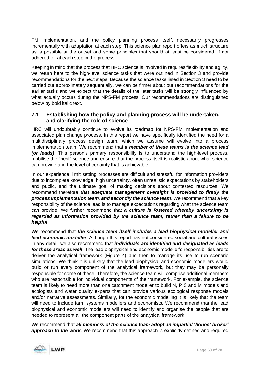FM implementation, and the policy planning process itself, necessarily progresses incrementally with adaptation at each step. This science plan report offers as much structure as is possible at the outset and some principles that should at least be considered, if not adhered to, at each step in the process.

Keeping in mind that the process that HRC science is involved in requires flexibility and agility, we return here to the high-level science tasks that were outlined in Section 3 and provide recommendations for the next steps. Because the science tasks listed in Section 3 need to be carried out approximately sequentially, we can be firmer about our recommendations for the earlier tasks and we expect that the details of the later tasks will be strongly influenced by what actually occurs during the NPS-FM process. Our recommendations are distinguished below by bold italic text.

# **7.1 Establishing how the policy and planning process will be undertaken, and clarifying the role of science**

HRC will undoubtably continue to evolve its roadmap for NPS-FM implementation and associated plan change process. In this report we have specifically identified the need for a multidisciplinary process design team, which we assume will evolve into a process implementation team. We recommend that *a member of these teams is the science lead (or leads)*. This person's primary responsibility is to understand the high-level process, mobilise the "best" science and ensure that the process itself is realistic about what science can provide and the level of certainty that is achievable.

In our experience, limit setting processes are difficult and stressful for information providers due to incomplete knowledge, high uncertainty, often unrealistic expectations by stakeholders and public, and the ultimate goal of making decisions about contested resources. We recommend therefore *that adequate management oversight is provided to firstly the process implementation team, and secondly the science team*. We recommend that a key responsibility of the science lead is to manage expectations regarding what the science team can provide. We further recommend that *a culture is fostered whereby uncertainty is regarded as information provided by the science team, rather than a failure to be helpful*.

We recommend that *the science team itself includes a lead biophysical modeller and lead economic modeller*. Although this report has not considered social and cultural issues in any detail, we also recommend that *individuals are identified and designated as leads for these areas as well*. The lead biophysical and economic modeller's responsibilities are to deliver the analytical framework [\(Figure 4\)](#page-23-0) and then to manage its use to run scenario simulations. We think it is unlikely that the lead biophysical and economic modellers would build or run every component of the analytical framework, but they may be personally responsible for some of these. Therefore, the science team will comprise additional members who are responsible for individual components of the framework. For example, the science team is likely to need more than one catchment modeller to build N, P S and M models and ecologists and water quality experts that can provide various ecological response models and/or narrative assessments. Similarly, for the economic modelling it is likely that the team will need to include farm systems modellers and economists. We recommend that the lead biophysical and economic modellers will need to identify and organise the people that are needed to represent all the component parts of the analytical framework.

We recommend that *all members of the science team adopt an impartial 'honest broker' approach to the work*. We recommend that this approach is explicitly defined and required

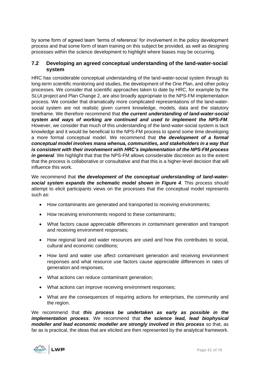by some form of agreed team 'terms of reference' for involvement in the policy development process and that some form of team training on this subject be provided, as well as designing processes within the science development to highlight where biases may be occurring.

# **7.2 Developing an agreed conceptual understanding of the land-water-social system**

HRC has considerable conceptual understanding of the land-water-social system through its long-term scientific monitoring and studies, the development of the One Plan, and other policy processes. We consider that scientific approaches taken to date by HRC, for example by the SLUI project and Plan Change 2, are also broadly appropriate to the NPS-FM implementation process. We consider that dramatically more complicated representations of the land-watersocial system are not realistic given current knowledge, models, data and the statutory timeframe. We therefore recommend that *the current understanding of land-water-social system and ways of working are continued and used to implement the NPS-FM*. However, we consider that much of this understanding of the land-water-social system is tacit knowledge and it would be beneficial to the NPS-FM process to spend some time developing a more formal conceptual model. We recommend that *the development of a formal conceptual model involves mana whenua, communities, and stakeholders in a way that is consistent with their involvement with HRC's implementation of the NPS-FM process in general*. We highlight that that the NPS-FM allows considerable discretion as to the extent that the process is collaborative or consultative and that this is a higher-level decision that will influence this work.

We recommend that *the development of the conceptual understanding of land-watersocial system expands the schematic model shown in [Figure 4](#page-23-0)*. This process should attempt to elicit participants views on the processes that the conceptual model represents such as:

- How contaminants are generated and transported to receiving environments;
- How receiving environments respond to these contaminants;
- What factors cause appreciable differences in contaminant generation and transport and receiving environment responses;
- How regional land and water resources are used and how this contributes to social, cultural and economic conditions;
- How land and water use affect contaminant generation and receiving environment responses and what resource use factors cause appreciable differences in rates of generation and responses;
- What actions can reduce contaminant generation;
- What actions can improve receiving environment responses;
- What are the consequences of requiring actions for enterprises, the community and the region.

We recommend that *this process be undertaken as early as possible in the implementation process*. We recommend that *the science lead, lead biophysical modeller and lead economic modeller are strongly involved in this process* so that, as far as is practical, the ideas that are elicited are then represented by the analytical framework.

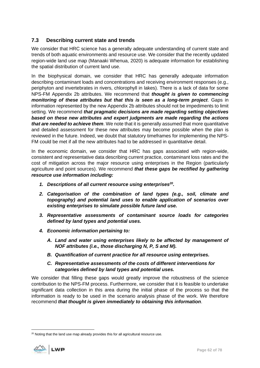# **7.3 Describing current state and trends**

We consider that HRC science has a generally adequate understanding of current state and trends of both aquatic environments and resource use. We consider that the recently updated region-wide land use map (Manaaki Whenua, 2020) is adequate information for establishing the spatial distribution of current land use.

In the biophysical domain, we consider that HRC has generally adequate information describing contaminant loads and concentrations and receiving environment responses (e.g., periphyton and invertebrates in rivers, chlorophyll in lakes). There is a lack of data for some NPS-FM Appendix 2b attributes. We recommend that *thought is given to commencing monitoring of these attributes but that this is seen as a long-term project*. Gaps in information represented by the new Appendix 2b attributes should not be impediments to limit setting. We recommend *that pragmatic decisions are made regarding setting objectives based on these new attributes and expert judgments are made regarding the actions that are needed to achieve them*. We note that it is generally assumed that more quantitative and detailed assessment for these new attributes may become possible when the plan is reviewed in the future. Indeed, we doubt that statutory timeframes for implementing the NPS-FM could be met if all the new attributes had to be addressed in quantitative detail.

In the economic domain, we consider that HRC has gaps associated with region-wide, consistent and representative data describing current practice, contaminant loss rates and the cost of mitigation across the major resource using enterprises in the Region (particularly agriculture and point sources). We recommend *that these gaps be rectified by gathering resource use information including:*

- *1. Descriptions of all current resource using enterprises<sup>20</sup> .*
- *2. Categorisation of the combination of land types (e.g., soil, climate and topography) and potential land uses to enable application of scenarios over existing enterprises to simulate possible future land use.*
- *3. Representative assessments of contaminant source loads for categories defined by land types and potential uses.*
- *4. Economic information pertaining to:*
	- *A. Land and water using enterprises likely to be affected by management of NOF attributes (i.e., those discharging N, P, S and M).*
	- *B. Quantification of current practice for all resource using enterprises.*
	- *C. Representative assessments of the costs of different interventions for categories defined by land types and potential uses.*

We consider that filling these gaps would greatly improve the robustness of the science contribution to the NPS-FM process. Furthermore, we consider that it is feasible to undertake significant data collection in this area during the initial phase of the process so that the information is ready to be used in the scenario analysis phase of the work. We therefore recommend *that thought is given immediately to obtaining this information*.

<sup>&</sup>lt;sup>20</sup> Noting that the land use map already provides this for all agricultural resource use.

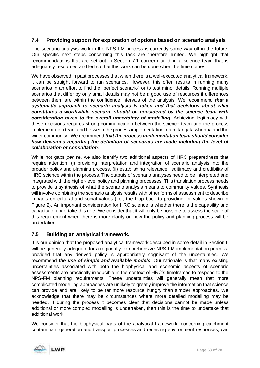# **7.4 Providing support for exploration of options based on scenario analysis**

The scenario analysis work in the NPS-FM process is currently some way off in the future. Our specific next steps concerning this task are therefore limited. We highlight that recommendations that are set out in Section 7.1 concern building a science team that is adequately resourced and led so that this work can be done when the time comes.

We have observed in past processes that when there is a well-executed analytical framework, it can be straight forward to run scenarios. However, this often results in running many scenarios in an effort to find the "perfect scenario" or to test minor details. Running multiple scenarios that differ by only small details may not be a good use of resources if differences between them are within the confidence intervals of the analysis. We recommend *that a systematic approach to scenario analysis is taken and that decisions about what constitutes a worthwhile scenario should be considered by the science team with consideration given to the overall uncertainty of modelling*. Achieving legitimacy with these decisions requires strong communication between the science team and the process implementation team and between the process implementation team, tangata whenua and the wider community . We recommend *that the process implementation team should consider how decisions regarding the definition of scenarios are made including the level of collaboration or consultation*.

While not gaps *per se*, we also identify two additional aspects of HRC preparedness that require attention: (i) providing interpretation and integration of scenario analysis into the broader policy and planning process, (ii) establishing relevance, legitimacy and credibility of HRC science within the process. The outputs of scenario analyses need to be interpreted and integrated with the higher-level policy and planning processes. This translation process needs to provide a synthesis of what the scenario analysis means to community values. Synthesis will involve combining the scenario analysis results with other forms of assessment to describe impacts on cultural and social values (i.e., the loop back to providing for values shown in [Figure 2\)](#page-13-0). An important consideration for HRC science is whether there is the capability and capacity to undertake this role. We consider that it will only be possible to assess the scale of this requirement when there is more clarity on how the policy and planning process will be undertaken.

# **7.5 Building an analytical framework.**

It is our opinion that the proposed analytical framework described in some detail in Section [6](#page-39-0) will be generally adequate for a regionally comprehensive NPS-FM implementation process. provided that any derived policy is appropriately cognisant of the uncertainties. We recommend *the use of simple and available models*. Our rationale is that many existing uncertainties associated with both the biophysical and economic aspects of scenario assessments are practically irreducible in the context of HRC's timeframes to respond to the NPS-FM planning requirements. These uncertainties will generally mean that more complicated modelling approaches are unlikely to greatly improve the information that science can provide and are likely to be far more resource hungry than simpler approaches. We acknowledge that there may be circumstances where more detailed modelling may be needed. If during the process it becomes clear that decisions cannot be made unless additional or more complex modelling is undertaken, then this is the time to undertake that additional work.

We consider that the biophysical parts of the analytical framework, concerning catchment contaminant generation and transport processes and receiving environment responses, can

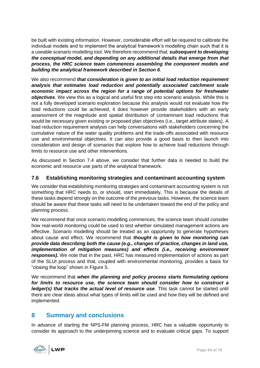be built with existing information. However, considerable effort will be required to calibrate the individual models and to implement the analytical framework's modelling chain such that it is a useable scenario modelling tool. We therefore recommend *that, subsequent to developing the conceptual model, and depending on any additional details that emerge from that process, the HRC science team commences assembling the component models and building the analytical framework described in Section [6](#page-39-0)*.

We also recommend *that consideration is given to an initial load reduction requirement analysis that estimates load reduction and potentially associated catchment scale economic impact across the region for a range of potential options for freshwater objectives*. We view this as a logical and useful first step into scenario analysis. While this is not a fully developed scenario exploration because this analysis would not evaluate how the load reductions could be achieved, it does however provide stakeholders with an early assessment of the magnitude and spatial distribution of contaminant load reductions that would be necessary given existing or proposed plan objectives (i.e., target attribute states). A load reduction requirement analysis can help conversations with stakeholders concerning the cumulative nature of the water quality problems and the trade-offs associated with resource use and environmental objectives. It can also provide a good basis to then launch into consideration and design of scenarios that explore how to achieve load reductions through limits to resource use and other interventions.

As discussed in Section 7.4 above, we consider that further data is needed to build the economic and resource use parts of the analytical framework.

# **7.6 Establishing monitoring strategies and contaminant accounting system**

We consider that establishing monitoring strategies and contaminant accounting system is not something that HRC needs to, or should, start immediately. This is because the details of these tasks depend strongly on the outcome of the previous tasks. However, the science team should be aware that these tasks will need to be undertaken toward the end of the policy and planning process.

We recommend that once scenario modelling commences, the science team should consider how real-world monitoring could be used to test whether simulated management actions are effective. Scenario modelling should be treated as an opportunity to generate hypotheses about cause and effect. We recommend that *thought is given to how monitoring can provide data describing both the cause (e.g., changes of practice, changes in land use, implementation of mitigation measures) and effects (i.e., receiving environment responses).* We note that in the past, HRC has measured implementation of actions as part of the SLUI process and that, coupled with environmental monitoring, provides a basis for "closing the loop" shown in [Figure 5.](#page-29-1)

We recommend that *when the planning and policy process starts formulating options for limits to resource use, the science team should consider how to construct a ledger(s) that tracks the actual level of resource use*. This task cannot be started until there are clear ideas about what types of limits will be used and how they will be defined and implemented.

# **8 Summary and conclusions**

In advance of starting the NPS-FM planning process, HRC has a valuable opportunity to consider its approach to the underpinning science and to evaluate critical gaps. To support

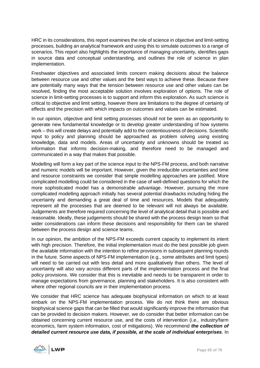HRC in its considerations, this report examines the role of science in objective and limit-setting processes, building an analytical framework and using this to simulate outcomes to a range of scenarios. This report also highlights the importance of managing uncertainty, identifies gaps in source data and conceptual understanding, and outlines the role of science in plan implementation.

Freshwater objectives and associated limits concern making decisions about the balance between resource use and other values and the best ways to achieve these. Because there are potentially many ways that the tension between resource use and other values can be resolved, finding the most acceptable solution involves exploration of options. The role of science in limit-setting processes is to support and inform this exploration. As such science is critical to objective and limit setting, however there are limitations to the degree of certainty of effects and the precision with which impacts on outcomes and values can be estimated.

In our opinion, objective and limit setting processes should not be seen as an opportunity to generate new fundamental knowledge or to develop greater understanding of how systems work – this will create delays and potentially add to the contentiousness of decisions. Scientific input to policy and planning should be approached as problem solving using existing knowledge, data and models. Areas of uncertainty and unknowns should be treated as information that informs decision-making, and therefore need to be managed and communicated in a way that makes that possible.

Modelling will form a key part of the science input to the NPS-FM process, and both narrative and numeric models will be important. However, given the irreducible uncertainties and time and resource constraints we consider that simple modelling approaches are justified. More complicated modelling could be considered in the case of well-defined questions for which the more sophisticated model has a demonstrable advantage. However, pursuing the more complicated modelling approach initially has several potential drawbacks including hiding the uncertainty and demanding a great deal of time and resources. Models that adequately represent all the processes that are deemed to be relevant will not always be available. Judgements are therefore required concerning the level of analytical detail that is possible and reasonable. Ideally, these judgements should be shared with the process design team so that wider considerations can inform these decisions and responsibility for them can be shared between the process design and science teams.

In our opinion, the ambition of the NPS-FM exceeds current capacity to implement its intent with high precision. Therefore, the initial implementation must do the best possible job given the available information with the intention to refine provisions in subsequent planning rounds in the future. Some aspects of NPS-FM implementation (e.g., some attributes and limit types) will need to be carried out with less detail and more qualitatively than others. The level of uncertainty will also vary across different parts of the implementation process and the final policy provisions. We consider that this is inevitable and needs to be transparent in order to manage expectations from governance, planning and stakeholders. It is also consistent with where other regional councils are in their implementation process.

We consider that HRC science has adequate biophysical information on which to at least embark on the NPS-FM implementation process. We do not think there are obvious biophysical science gaps that can be filled that would significantly improve the information that can be provided to decision makers. However, we do consider that better information can be obtained concerning current resource use, and the costs of intervention (i.e., industry/farm economics, farm system information, cost of mitigations). We recommend *the collection of detailed current resource use data, if possible, at the scale of individual enterprises*. In

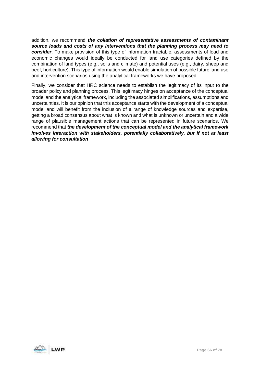addition, we recommend *the collation of representative assessments of contaminant source loads and costs of any interventions that the planning process may need to consider*. To make provision of this type of information tractable, assessments of load and economic changes would ideally be conducted for land use categories defined by the combination of land types (e.g., soils and climate) and potential uses (e.g., dairy, sheep and beef, horticulture). This type of information would enable simulation of possible future land use and intervention scenarios using the analytical frameworks we have proposed.

Finally, we consider that HRC science needs to establish the legitimacy of its input to the broader policy and planning process. This legitimacy hinges on acceptance of the conceptual model and the analytical framework, including the associated simplifications, assumptions and uncertainties. It is our opinion that this acceptance starts with the development of a conceptual model and will benefit from the inclusion of a range of knowledge sources and expertise, getting a broad consensus about what is known and what is unknown or uncertain and a wide range of plausible management actions that can be represented in future scenarios. We recommend that *the development of the conceptual model and the analytical framework involves interaction with stakeholders, potentially collaboratively, but if not at least allowing for consultation*.

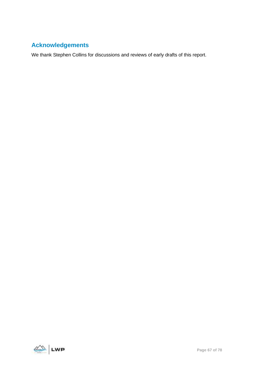# **Acknowledgements**

We thank Stephen Collins for discussions and reviews of early drafts of this report.

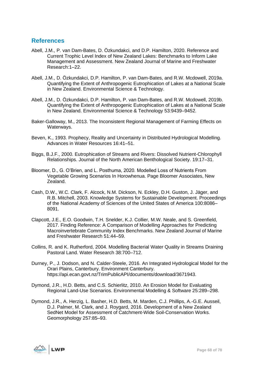# **References**

- Abell, J.M., P. van Dam-Bates, D. Özkundakci, and D.P. Hamilton, 2020. Reference and Current Trophic Level Index of New Zealand Lakes: Benchmarks to Inform Lake Management and Assessment. New Zealand Journal of Marine and Freshwater Research:1–22.
- Abell, J.M., D. Özkundakci, D.P. Hamilton, P. van Dam-Bates, and R.W. Mcdowell, 2019a. Quantifying the Extent of Anthropogenic Eutrophication of Lakes at a National Scale in New Zealand. Environmental Science & Technology.
- Abell, J.M., D. Özkundakci, D.P. Hamilton, P. van Dam-Bates, and R.W. Mcdowell, 2019b. Quantifying the Extent of Anthropogenic Eutrophication of Lakes at a National Scale in New Zealand. Environmental Science & Technology 53:9439–9452.
- Baker-Galloway, M., 2013. The Inconsistent Regional Management of Farming Effects on Waterways.
- Beven, K., 1993. Prophecy, Reality and Uncertainty in Distributed Hydrological Modelling. Advances in Water Resources 16:41–51.
- Biggs, B.J.F., 2000. Eutrophication of Streams and Rivers: Dissolved Nutrient-Chlorophyll Relationships. Journal of the North American Benthological Society. 19:17–31.
- Bloomer, D., G. O'Brien, and L. Posthuma, 2020. Modelled Loss of Nutrients From Vegetable Growing Scenarios In Horowhenua. Page Bloomer Associates, New Zealand.
- Cash, D.W., W.C. Clark, F. Alcock, N.M. Dickson, N. Eckley, D.H. Guston, J. Jäger, and R.B. Mitchell, 2003. Knowledge Systems for Sustainable Development. Proceedings of the National Academy of Sciences of the United States of America 100:8086– 8091.
- Clapcott, J.E., E.O. Goodwin, T.H. Snelder, K.J. Collier, M.W. Neale, and S. Greenfield, 2017. Finding Reference: A Comparison of Modelling Approaches for Predicting Macroinvertebrate Community Index Benchmarks. New Zealand Journal of Marine and Freshwater Research 51:44–59.
- Collins, R. and K. Rutherford, 2004. Modelling Bacterial Water Quality in Streams Draining Pastoral Land. Water Research 38:700–712.
- Durney, P., J. Dodson, and N. Calder-Steele, 2016. An Integrated Hydrological Model for the Orari Plains, Canterbury. Environment Canterbury. https://api.ecan.govt.nz/TrimPublicAPI/documents/download/3671943.
- Dymond, J.R., H.D. Betts, and C.S. Schierlitz, 2010. An Erosion Model for Evaluating Regional Land-Use Scenarios. Environmental Modelling & Software 25:289–298.
- Dymond, J.R., A. Herzig, L. Basher, H.D. Betts, M. Marden, C.J. Phillips, A.-G.E. Ausseil, D.J. Palmer, M. Clark, and J. Roygard, 2016. Development of a New Zealand SedNet Model for Assessment of Catchment-Wide Soil-Conservation Works. Geomorphology 257:85–93.

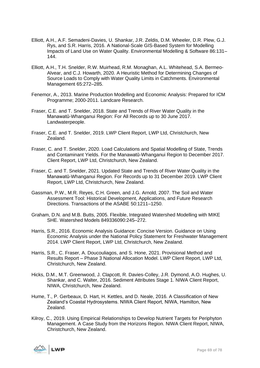- Elliott, A.H., A.F. Semadeni-Davies, U. Shankar, J.R. Zeldis, D.M. Wheeler, D.R. Plew, G.J. Rys, and S.R. Harris, 2016. A National-Scale GIS-Based System for Modelling Impacts of Land Use on Water Quality. Environmental Modelling & Software 86:131– 144.
- Elliott, A.H., T.H. Snelder, R.W. Muirhead, R.M. Monaghan, A.L. Whitehead, S.A. Bermeo-Alvear, and C.J. Howarth, 2020. A Heuristic Method for Determining Changes of Source Loads to Comply with Water Quality Limits in Catchments. Environmental Management 65:272–285.
- Fenemor, A., 2013. Marine Production Modelling and Economic Analysis: Prepared for ICM Programme; 2000-2011. Landcare Research.
- Fraser, C.E. and T. Snelder, 2018. State and Trends of River Water Quality in the Manawatū-Whanganui Region: For All Records up to 30 June 2017. Landwaterpeople.
- Fraser, C.E. and T. Snelder, 2019. LWP Client Report, LWP Ltd, Christchurch, New Zealand.
- Fraser, C. and T. Snelder, 2020. Load Calculations and Spatial Modelling of State, Trends and Contaminant Yields. For the Manawatū-Whanganui Region to December 2017. Client Report, LWP Ltd, Christchurch, New Zealand.
- Fraser, C. and T. Snelder, 2021. Updated State and Trends of River Water Quality in the Manawatū-Whanganui Region. For Records up to 31 December 2019. LWP Client Report, LWP Ltd, Christchurch, New Zealand.
- Gassman, P.W., M.R. Reyes, C.H. Green, and J.G. Arnold, 2007. The Soil and Water Assessment Tool: Historical Development, Applications, and Future Research Directions. Transactions of the ASABE 50:1211–1250.
- Graham, D.N. and M.B. Butts, 2005. Flexible, Integrated Watershed Modelling with MIKE SHE. Watershed Models 849336090:245–272.
- Harris, S.R., 2016. Economic Analysis Guidance: Concise Version. Guidance on Using Economic Analysis under the National Policy Statement for Freshwater Management 2014. LWP Client Report, LWP Ltd, Christchurch, New Zealand.
- Harris, S.R., C. Fraser, A. Doucouliagos, and S. Hone, 2021. Provisional Method and Results Report – Phase 3 National Allocation Model. LWP Client Report, LWP Ltd, Christchurch, New Zealand.
- Hicks, D.M., M.T. Greenwood, J. Clapcott, R. Davies-Colley, J.R. Dymond, A.O. Hughes, U. Shankar, and C. Walter, 2016. Sediment Attributes Stage 1. NIWA Client Report, NIWA, Christchurch, New Zealand.
- Hume, T., P. Gerbeaux, D. Hart, H. Kettles, and D. Neale, 2016. A Classification of New Zealand's Coastal Hydrosystems. NIWA Client Report, NIWA, Hamilton, New Zealand.
- Kilroy, C., 2019. Using Empirical Relationships to Develop Nutrient Targets for Periphyton Management. A Case Study from the Horizons Region. NIWA Client Report, NIWA, Christchurch, New Zealand.

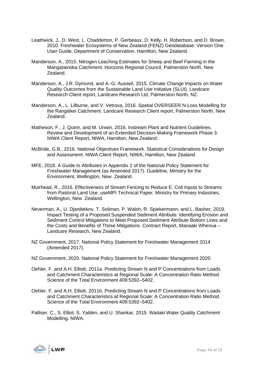- Leathwick, J., D. West, L. Chadderton, P. Gerbeaux, D. Kelly, H. Robertson, and D. Brown, 2010. Freshwater Ecosystems of New Zealand (FENZ) Geodatabase: Version One User Guide. Department of Conservation, Hamilton, New Zealand.
- Manderson, A., 2015. Nitrogen Leaching Estimates for Sheep and Beef Farming in the Mangatainoka Catchment. Horizons Regional Council, Palmerston North, New Zealand.
- Manderson, A., J.R. Dymond, and A.-G. Ausseil, 2015. Climate Change Impacts on Water Quality Outcomes from the Sustainable Land Use Initiative (SLUI). Landcare Research Client report, Landcare Research Ltd, Palmerston North, NZ.
- Manderson, A., L. Lilburne, and V. Vetrova, 2016. Spatial OVERSEER N-Loss Modelling for the Rangitikei Catchment. Landcare Research Client report, Palmerston North, New Zealand.
- Matheson, F., J. Quinn, and M. Unwin, 2016. Instream Plant and Nutrient Guidelines. Review and Development of an Extended Decision-Making Framework Phase 3. NIWA Client Report, NIWA, Hamilton, New Zealand.
- McBride, G.B., 2016. National Objectives Framework. Statistical Considerations for Design and Assessment. NIWA Client Report, NIWA, Hamilton, New Zealand.
- MFE, 2018. A Guide to Attributes in Appendix 2 of the National Policy Statement for Freshwater Management (as Amended 2017). Guideline, Ministry for the Environment, Wellington, New Zealand.
- Muirhead, R., 2016. Effectiveness of Stream Fencing to Reduce E. Coli Inputs to Streams from Pastoral Land Use. useMPI Technical Paper, Ministry for Primary Industries, Wellington, New Zealand.
- Neverman, A., U. Djanibekov, T. Soliman, P. Walsh, R. Spiekermann, and L. Basher, 2019. Impact Testing of a Proposed Suspended Sediment Attribute: Identifying Erosion and Sediment Control Mitigations to Meet Proposed Sediment Attribute Bottom Lines and the Costs and Benefits of Those Mitigations. Contract Report, Manaaki Whenua – Landcare Research, New Zealand.
- NZ Government, 2017. National Policy Statement for Freshwater Management 2014 (Amended 2017).
- NZ Government, 2020. National Policy Statement for Freshwater Management 2020.
- Oehler, F. and A.H. Elliott, 2011a. Predicting Stream N and P Concentrations from Loads and Catchment Characteristics at Regional Scale: A Concentration Ratio Method. Science of the Total Environment 409:5392–5402.
- Oehler, F. and A.H. Elliott, 2011b. Predicting Stream N and P Concentrations from Loads and Catchment Characteristics at Regional Scale: A Concentration Ratio Method. Science of the Total Environment 409:5392–5402.
- Palliser, C., S. Elliot, S. Yalden, and U. Shankar, 2015. Waitaki Water Quality Catchment Modelling. NIWA.

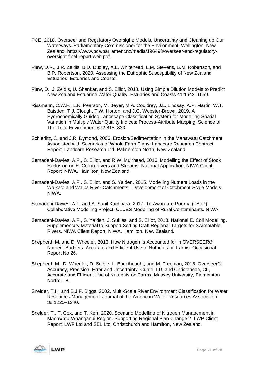- PCE, 2018. Overseer and Regulatory Oversight: Models, Uncertainty and Cleaning up Our Waterways. Parliamentary Commissioner for the Environment, Wellington, New Zealand. https://www.pce.parliament.nz/media/196493/overseer-and-regulatoryoversight-final-report-web.pdf.
- Plew, D.R., J.R. Zeldis, B.D. Dudley, A.L. Whitehead, L.M. Stevens, B.M. Robertson, and B.P. Robertson, 2020. Assessing the Eutrophic Susceptibility of New Zealand Estuaries. Estuaries and Coasts.
- Plew, D., J. Zeldis, U. Shankar, and S. Elliot, 2018. Using Simple Dilution Models to Predict New Zealand Estuarine Water Quality. Estuaries and Coasts 41:1643–1659.
- Rissmann, C.W.F., L.K. Pearson, M. Beyer, M.A. Couldrey, J.L. Lindsay, A.P. Martin, W.T. Baisden, T.J. Clough, T.W. Horton, and J.G. Webster-Brown, 2019. A Hydrochemically Guided Landscape Classification System for Modelling Spatial Variation in Multiple Water Quality Indices: Process-Attribute Mapping. Science of The Total Environment 672:815–833.
- Schierlitz, C. and J.R. Dymond, 2006. Erosion/Sedimentation in the Manawatu Catchment Associated with Scenarios of Whole Farm Plans. Landcare Research Contract Report, Landcare Research Ltd, Palmerston North, New Zealand.
- Semadeni-Davies, A.F., S. Elliot, and R.W. Muirhead, 2016. Modelling the Effect of Stock Exclusion on E. Coli in Rivers and Streams. National Application. NIWA Client Report, NIWA, Hamilton, New Zealand.
- Semadeni-Davies, A.F., S. Elliot, and S. Yalden, 2015. Modelling Nutrient Loads in the Waikato and Waipa River Catchments. Development of Catchment-Scale Models. NIWA.
- Semadeni-Davies, A.F. and A. Sunil Kachhara, 2017. Te Awarua-o-Porirua (TAoP) Collaborative Modelling Project: CLUES Modelling of Rural Contaminants. NIWA.
- Semadeni-Davies, A.F., S. Yalden, J. Sukias, and S. Elliot, 2018. National E. Coli Modelling. Supplementary Material to Support Setting Draft Regional Targets for Swimmable Rivers. NIWA Client Report, NIWA, Hamilton, New Zealand.
- Shepherd, M. and D. Wheeler, 2013. How Nitrogen Is Accounted for in OVERSEER® Nutrient Budgets. Accurate and Efficient Use of Nutrients on Farms. Occasional Report No 26.
- Shepherd, M., D. Wheeler, D. Selbie, L. Buckthought, and M. Freeman, 2013. Overseer®: Accuracy, Precision, Error and Uncertainty. Currie, LD, and Christensen, CL, Accurate and Efficient Use of Nutrients on Farms, Massey University, Palmerston North:1–8.
- Snelder, T.H. and B.J.F. Biggs, 2002. Multi-Scale River Environment Classification for Water Resources Management. Journal of the American Water Resources Association 38:1225–1240.
- Snelder, T., T. Cox, and T. Kerr, 2020. Scenario Modelling of Nitrogen Management in Manawatū-Whanganui Region. Supporting Regional Plan Change 2. LWP Client Report, LWP Ltd and SEL Ltd, Christchurch and Hamilton, New Zealand.

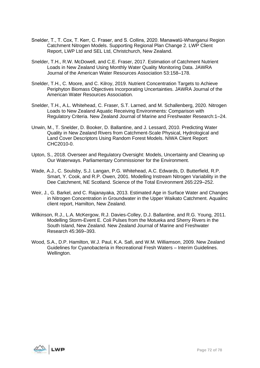- Snelder, T., T. Cox, T. Kerr, C. Fraser, and S. Collins, 2020. Manawatū-Whanganui Region Catchment Nitrogen Models. Supporting Regional Plan Change 2. LWP Client Report, LWP Ltd and SEL Ltd, Christchurch, New Zealand.
- Snelder, T.H., R.W. McDowell, and C.E. Fraser, 2017. Estimation of Catchment Nutrient Loads in New Zealand Using Monthly Water Quality Monitoring Data. JAWRA Journal of the American Water Resources Association 53:158–178.
- Snelder, T.H., C. Moore, and C. Kilroy, 2019. Nutrient Concentration Targets to Achieve Periphyton Biomass Objectives Incorporating Uncertainties. JAWRA Journal of the American Water Resources Association.
- Snelder, T.H., A.L. Whitehead, C. Fraser, S.T. Larned, and M. Schallenberg, 2020. Nitrogen Loads to New Zealand Aquatic Receiving Environments: Comparison with Regulatory Criteria. New Zealand Journal of Marine and Freshwater Research:1–24.
- Unwin, M., T. Snelder, D. Booker, D. Ballantine, and J. Lessard, 2010. Predicting Water Quality in New Zealand Rivers from Catchment-Scale Physical, Hydrological and Land Cover Descriptors Using Random Forest Models. NIWA Client Report: CHC2010-0.
- Upton, S., 2018. Overseer and Regulatory Oversight: Models, Uncertainty and Cleaning up Our Waterways. Parliamentary Commissioner for the Environment.
- Wade, A.J., C. Soulsby, S.J. Langan, P.G. Whitehead, A.C. Edwards, D. Butterfield, R.P. Smart, Y. Cook, and R.P. Owen, 2001. Modelling Instream Nitrogen Variability in the Dee Catchment, NE Scotland. Science of the Total Environment 265:229–252.
- Weir, J., G. Barkel, and C. Rajanayaka, 2013. Estimated Age in Surface Water and Changes in Nitrogen Concentration in Groundwater in the Upper Waikato Catchment. Aqualinc client report, Hamilton, New Zealand.
- Wilkinson, R.J., L.A. McKergow, R.J. Davies-Colley, D.J. Ballantine, and R.G. Young, 2011. Modelling Storm-Event E. Coli Pulses from the Motueka and Sherry Rivers in the South Island, New Zealand. New Zealand Journal of Marine and Freshwater Research 45:369–393.
- Wood, S.A., D.P. Hamilton, W.J. Paul, K.A. Safi, and W.M. Williamson, 2009. New Zealand Guidelines for Cyanobacteria in Recreational Fresh Waters – Interim Guidelines. Wellington.

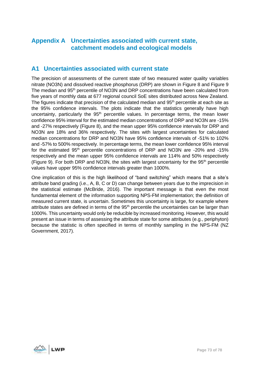## **Appendix A Uncertainties associated with current state, catchment models and ecological models**

## **A1 Uncertainties associated with current state**

The precision of assessments of the current state of two measured water quality variables nitrate (NO3N) and dissolved reactive phosphorus (DRP) are shown in [Figure 8](#page-73-0) and [Figure 9](#page-73-1) The median and 95<sup>th</sup> percentile of NO3N and DRP concentrations have been calculated from five years of monthly data at 677 regional council SoE sites distributed across New Zealand. The figures indicate that precision of the calculated median and 95<sup>th</sup> percentile at each site as the 95% confidence intervals. The plots indicate that the statistics generally have high uncertainty, particularly the  $95<sup>th</sup>$  percentile values. In percentage terms, the mean lower confidence 95% interval for the estimated median concentrations of DRP and NO3N are -15% and -27% respectively [\(Figure 8\)](#page-73-0), and the mean upper 95% confidence intervals for DRP and NO3N are 18% and 36% respectively. The sites with largest uncertainties for calculated median concentrations for DRP and NO3N have 95% confidence intervals of -51% to 102% and -57% to 500% respectively. In percentage terms, the mean lower confidence 95% interval for the estimated 95<sup>th</sup> percentile concentrations of DRP and NO3N are -20% and -15% respectively and the mean upper 95% confidence intervals are 114% and 50% respectively [\(Figure 9\)](#page-73-1). For both DRP and NO3N, the sites with largest uncertainty for the  $95<sup>th</sup>$  percentile values have upper 95% confidence intervals greater than 1000%.

One implication of this is the high likelihood of "band switching" which means that a site's attribute band grading (i.e., A, B, C or D) can change between years due to the imprecision in the statistical estimate (McBride, 2016). The important message is that even the most fundamental element of the information supporting NPS-FM implementation; the definition of measured current state, is uncertain. Sometimes this uncertainty is large, for example where attribute states are defined in terms of the  $95<sup>th</sup>$  percentile the uncertainties can be larger than 1000%. This uncertainty would only be reducible by increased monitoring. However, this would present an issue in terms of assessing the attribute state for some attributes (e.g., periphyton) because the statistic is often specified in terms of monthly sampling in the NPS-FM (NZ Government, 2017).

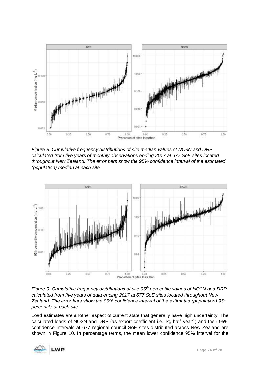

<span id="page-73-0"></span>*Figure 8. Cumulative frequency distributions of site median values of NO3N and DRP calculated from five years of monthly observations ending 2017 at 677 SoE sites located throughout New Zealand. The error bars show the 95% confidence interval of the estimated (population) median at each site.* 



<span id="page-73-1"></span>*Figure 9. Cumulative frequency distributions of site 95th percentile values of NO3N and DRP calculated from five years of data ending 2017 at 677 SoE sites located throughout New Zealand. The error bars show the 95% confidence interval of the estimated (population) 95th percentile at each site.* 

Load estimates are another aspect of current state that generally have high uncertainty. The calculated loads of NO3N and DRP (as export coefficient i.e., kg ha<sup>-1</sup> year<sup>-1</sup>) and their 95% confidence intervals at 677 regional council SoE sites distributed across New Zealand are shown in [Figure 10.](#page-74-0) In percentage terms, the mean lower confidence 95% interval for the

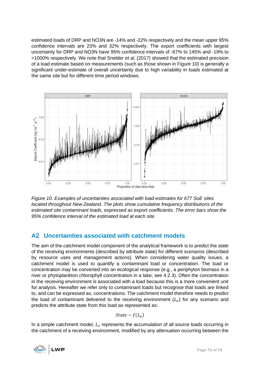estimated loads of DRP and NO3N are -14% and -22% respectively and the mean upper 95% confidence intervals are 23% and 32% respectively. The export coefficients with largest uncertainty for DRP and NO3N have 95% confidence intervals of -67% to 145% and -19% to >1000% respectively. We note that Snelder *et al.* (2017) showed that the estimated precision of a load estimate based on measurements (such as those shown in [Figure 10\)](#page-74-0) is generally a significant under-estimate of overall uncertainty due to high variability in loads estimated at the same site but for different time period windows.



<span id="page-74-0"></span>*Figure 10. Examples of uncertainties associated with load estimates for 677 SoE sites located throughout New Zealand. The plots show cumulative frequency distributions of the estimated site contaminant loads, expressed as export coefficients. The error bars show the 95% confidence interval of the estimated load at each site.* 

## **A2 Uncertainties associated with catchment models**

The aim of the catchment model component of the analytical framework is to predict the state of the receiving environments (described by attribute state) for different scenarios (described by resource uses and management actions). When considering water quality issues, a catchment model is used to quantify a contaminant load or concentration. The load or concentration may be converted into an ecological response (e.g., a periphyton biomass in a river or phytoplankton chlorophyll concentration in a lake; see [4.2.3\)](#page-32-0). Often the concentration in the receiving environment is associated with a load because this is a more convenient unit for analysis. Hereafter we refer only to contaminant loads but recognise that loads are linked to, and can be expressed as, concentrations. The catchment model therefore needs to predict the load of contaminant delivered to the receiving environment  $(L_e)$  for any scenario and predicts the attribute state from this load as represented as:

$$
State \sim f(L_e)
$$

In a simple catchment model,  $L_e$  represents the accumulation of all source loads occurring in the catchment of a receiving environment, modified by any attenuation occurring between the

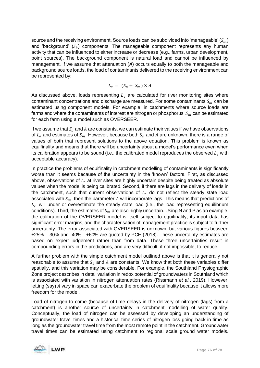source and the receiving environment. Source loads can be subdivided into 'manageable'  $(S_m)$ and 'background'  $(S_h)$  components. The manageable component represents any human activity that can be influenced to either increase or decrease (e.g., farms, urban development, point sources). The background component is natural load and cannot be influenced by management. If we assume that attenuation (*A*) occurs equally to both the manageable and background source loads, the load of contaminants delivered to the receiving environment can be represented by:

$$
L_e = (S_b + S_m) \times A
$$

As discussed above, loads representing  $L_e$  are calculated for river monitoring sites where contaminant concentrations and discharge are measured. For some contaminants  $S_m$  can be estimated using component models. For example, in catchments where source loads are farms and where the contaminants of interest are nitrogen or phosphorus,  $S<sub>m</sub>$  can be estimated for each farm using a model such as OVERSEER.

If we assume that  $S_b$  and A are constants, we can estimate their values if we have observations of  $L_e$  and estimates of  $S_m$ . However, because both  $S_b$  and A are unknown, there is a range of values of both that represent solutions to the above equation. This problem is known as equifinality and means that there will be uncertainty about a model's performance even when its calibration appears to be sound (i.e., the calibrated model reproduces the observed  $L<sub>e</sub>$  with acceptable accuracy).

In practice the problems of equifinality in catchment modelling of contaminants is significantly worse than it seems because of the uncertainty in the 'known' factors. First, as discussed above, observations of  $L<sub>e</sub>$  at river sites are highly uncertain despite being treated as absolute values when the model is being calibrated. Second, if there are lags in the delivery of loads in the catchment, such that current observations of  $L<sub>e</sub>$  do not reflect the steady state load associated with  $S_m$ , then the parameter A will incorporate lags. This means that predictions of  $L_e$  will under or overestimate the steady state load (i.e., the load representing equilibrium conditions). Third, the estimates of  $S_m$  are also highly uncertain. Using N and P as an example, the calibration of the OVERSEER model is itself subject to equifinality, its input data has significant error margins, and the characterisation of management practice is subject to further uncertainty. The error associated with OVERSEER is unknown, but various figures between ±25% – 30% and -40% - +60% are quoted by PCE (2018). These uncertainty estimates are based on expert judgement rather than from data. These three uncertainties result in compounding errors in the predictions, and are very difficult, if not impossible, to reduce.

A further problem with the simple catchment model outlined above is that it is generally not reasonable to assume that  $S_h$  and A are constants. We know that both these variables differ spatially, and this variation may be considerable. For example, the Southland Physiographic Zone project describes in detail variation in redox potential of groundwaters in Southland which is associated with variation in nitrogen attenuation rates (Rissmann *et al.*, 2019). However, letting (say)  $A$  vary in space can exacerbate the problem of equifinality because it allows more freedom for the model.

Load of nitrogen to come (because of time delays in the delivery of nitrogen (lags) from a catchment) is another source of uncertainty in catchment modelling of water quality. Conceptually, the load of nitrogen can be assessed by developing an understanding of groundwater travel times and a historical time series of nitrogen loss going back in time as long as the groundwater travel time from the most remote point in the catchment. Groundwater travel times can be estimated using catchment to regional scale ground water models.

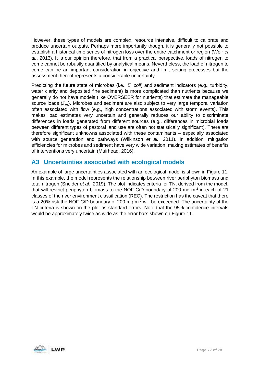However, these types of models are complex, resource intensive, difficult to calibrate and produce uncertain outputs. Perhaps more importantly though, it is generally not possible to establish a historical time series of nitrogen loss over the entire catchment or region (Weir *et al.*, 2013). It is our opinion therefore, that from a practical perspective, loads of nitrogen to come cannot be robustly quantified by analytical means. Nevertheless, the load of nitrogen to come can be an important consideration in objective and limit setting processes but the assessment thereof represents a considerable uncertainty.

Predicting the future state of microbes (i.e., *E. coli*) and sediment indicators (e.g., turbidity, water clarity and deposited fine sediment) is more complicated than nutrients because we generally do not have models (like OVERSEER for nutrients) that estimate the manageable source loads  $(S_m)$ . Microbes and sediment are also subject to very large temporal variation often associated with flow (e.g., high concentrations associated with storm events). This makes load estimates very uncertain and generally reduces our ability to discriminate differences in loads generated from different sources (e.g., differences in microbial loads between different types of pastoral land use are often not statistically significant). There are therefore significant unknowns associated with these contaminants – especially associated with source generation and pathways (Wilkinson *et al.*, 2011). In addition, mitigation efficiencies for microbes and sediment have very wide variation, making estimates of benefits of interventions very uncertain (Muirhead, 2016).

## **A3 Uncertainties associated with ecological models**

An example of large uncertainties associated with an ecological model is shown in [Figure 11.](#page-77-0) In this example, the model represents the relationship between river periphyton biomass and total nitrogen (Snelder *et al.*, 2019). The plot indicates criteria for TN, derived from the model, that will restrict periphyton biomass to the NOF C/D boundary of 200 mg  $m<sup>2</sup>$  in each of 21 classes of the river environment classification (REC). The restriction has the caveat that there is a 20% risk the NOF C/D boundary of 200 mg  $m<sup>-2</sup>$  will be exceeded. The uncertainty of the TN criteria is shown on the plot as standard errors. Note that the 95% confidence intervals would be approximately twice as wide as the error bars shown on [Figure 11.](#page-77-0)